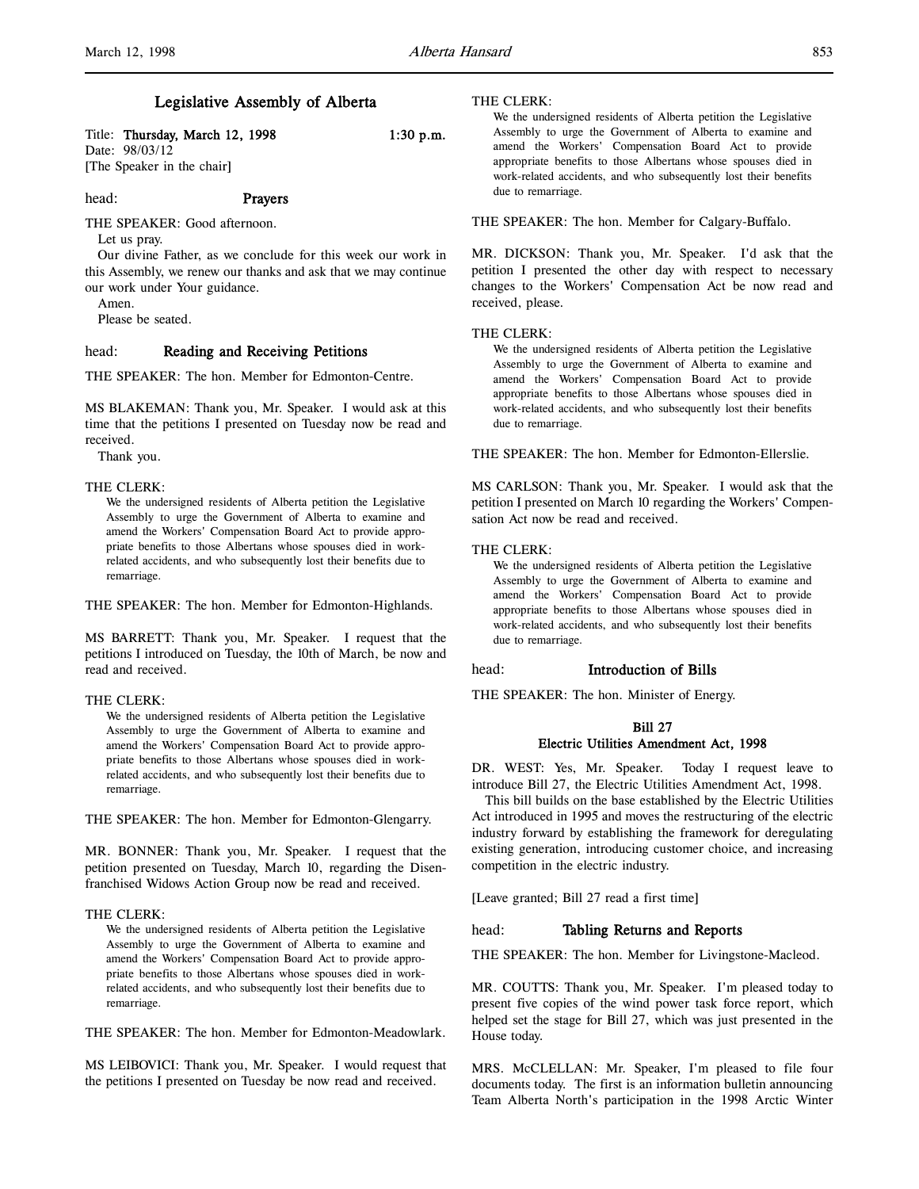# Legislative Assembly of Alberta

Title: Thursday, March 12, 1998 1:30 p.m.

Date: 98/03/12 [The Speaker in the chair]

### head: Prayers

THE SPEAKER: Good afternoon.

Let us pray.

Our divine Father, as we conclude for this week our work in this Assembly, we renew our thanks and ask that we may continue our work under Your guidance.

Amen.

Please be seated.

### head: Reading and Receiving Petitions

THE SPEAKER: The hon. Member for Edmonton-Centre.

MS BLAKEMAN: Thank you, Mr. Speaker. I would ask at this time that the petitions I presented on Tuesday now be read and received.

Thank you.

# THE CLERK:

We the undersigned residents of Alberta petition the Legislative Assembly to urge the Government of Alberta to examine and amend the Workers' Compensation Board Act to provide appropriate benefits to those Albertans whose spouses died in workrelated accidents, and who subsequently lost their benefits due to remarriage.

THE SPEAKER: The hon. Member for Edmonton-Highlands.

MS BARRETT: Thank you, Mr. Speaker. I request that the petitions I introduced on Tuesday, the 10th of March, be now and read and received.

#### THE CLERK:

We the undersigned residents of Alberta petition the Legislative Assembly to urge the Government of Alberta to examine and amend the Workers' Compensation Board Act to provide appropriate benefits to those Albertans whose spouses died in workrelated accidents, and who subsequently lost their benefits due to remarriage.

THE SPEAKER: The hon. Member for Edmonton-Glengarry.

MR. BONNER: Thank you, Mr. Speaker. I request that the petition presented on Tuesday, March 10, regarding the Disenfranchised Widows Action Group now be read and received.

### THE CLERK:

We the undersigned residents of Alberta petition the Legislative Assembly to urge the Government of Alberta to examine and amend the Workers' Compensation Board Act to provide appropriate benefits to those Albertans whose spouses died in workrelated accidents, and who subsequently lost their benefits due to remarriage.

THE SPEAKER: The hon. Member for Edmonton-Meadowlark.

MS LEIBOVICI: Thank you, Mr. Speaker. I would request that the petitions I presented on Tuesday be now read and received.

#### THE CLERK:

We the undersigned residents of Alberta petition the Legislative Assembly to urge the Government of Alberta to examine and amend the Workers' Compensation Board Act to provide appropriate benefits to those Albertans whose spouses died in work-related accidents, and who subsequently lost their benefits due to remarriage.

THE SPEAKER: The hon. Member for Calgary-Buffalo.

MR. DICKSON: Thank you, Mr. Speaker. I'd ask that the petition I presented the other day with respect to necessary changes to the Workers' Compensation Act be now read and received, please.

# THE CLERK:

We the undersigned residents of Alberta petition the Legislative Assembly to urge the Government of Alberta to examine and amend the Workers' Compensation Board Act to provide appropriate benefits to those Albertans whose spouses died in work-related accidents, and who subsequently lost their benefits due to remarriage.

THE SPEAKER: The hon. Member for Edmonton-Ellerslie.

MS CARLSON: Thank you, Mr. Speaker. I would ask that the petition I presented on March 10 regarding the Workers' Compensation Act now be read and received.

### THE CLERK:

We the undersigned residents of Alberta petition the Legislative Assembly to urge the Government of Alberta to examine and amend the Workers' Compensation Board Act to provide appropriate benefits to those Albertans whose spouses died in work-related accidents, and who subsequently lost their benefits due to remarriage.

# head: Introduction of Bills

THE SPEAKER: The hon. Minister of Energy.

# Bill 27 Electric Utilities Amendment Act, 1998

DR. WEST: Yes, Mr. Speaker. Today I request leave to introduce Bill 27, the Electric Utilities Amendment Act, 1998.

This bill builds on the base established by the Electric Utilities Act introduced in 1995 and moves the restructuring of the electric industry forward by establishing the framework for deregulating existing generation, introducing customer choice, and increasing competition in the electric industry.

[Leave granted; Bill 27 read a first time]

### head: Tabling Returns and Reports

THE SPEAKER: The hon. Member for Livingstone-Macleod.

MR. COUTTS: Thank you, Mr. Speaker. I'm pleased today to present five copies of the wind power task force report, which helped set the stage for Bill 27, which was just presented in the House today.

MRS. McCLELLAN: Mr. Speaker, I'm pleased to file four documents today. The first is an information bulletin announcing Team Alberta North's participation in the 1998 Arctic Winter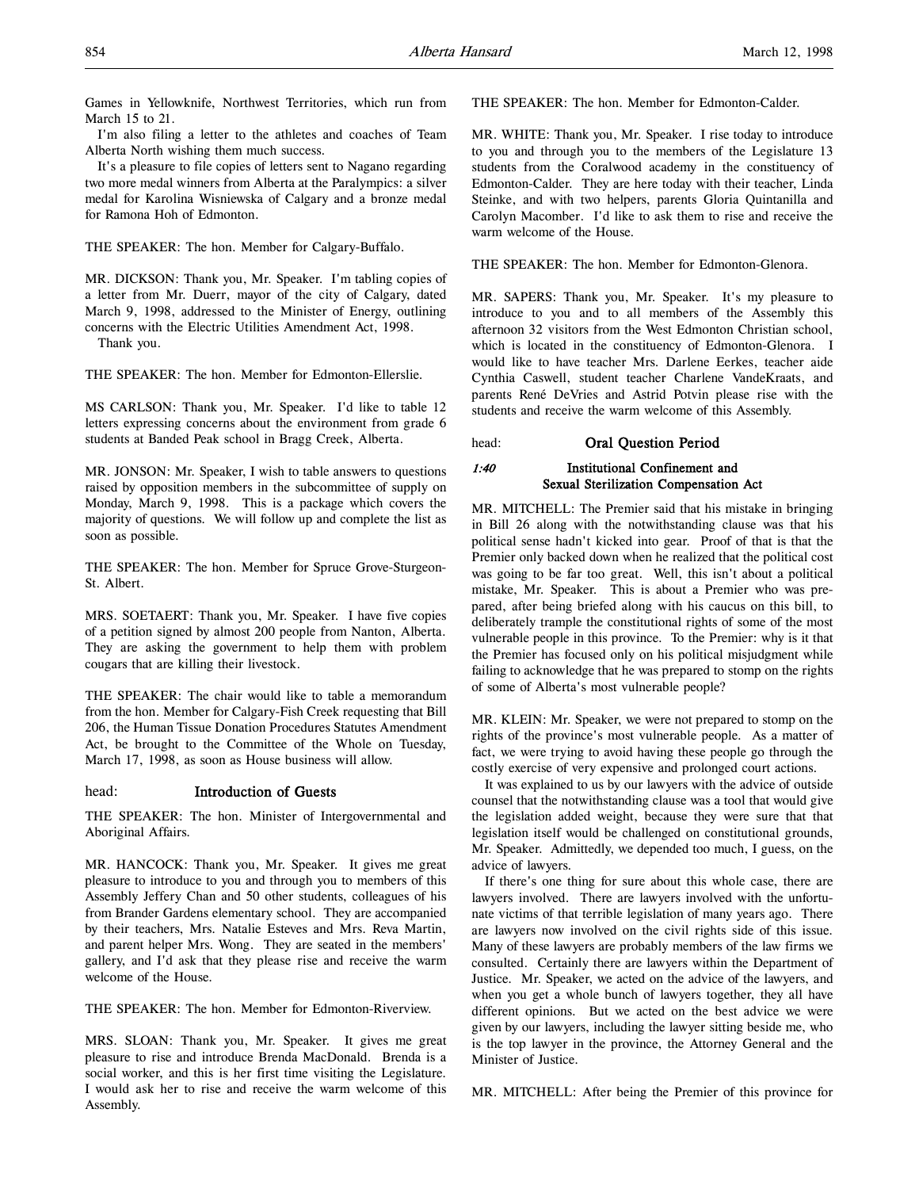Games in Yellowknife, Northwest Territories, which run from March 15 to 21.

I'm also filing a letter to the athletes and coaches of Team Alberta North wishing them much success.

It's a pleasure to file copies of letters sent to Nagano regarding two more medal winners from Alberta at the Paralympics: a silver medal for Karolina Wisniewska of Calgary and a bronze medal for Ramona Hoh of Edmonton.

THE SPEAKER: The hon. Member for Calgary-Buffalo.

MR. DICKSON: Thank you, Mr. Speaker. I'm tabling copies of a letter from Mr. Duerr, mayor of the city of Calgary, dated March 9, 1998, addressed to the Minister of Energy, outlining concerns with the Electric Utilities Amendment Act, 1998.

Thank you.

THE SPEAKER: The hon. Member for Edmonton-Ellerslie.

MS CARLSON: Thank you, Mr. Speaker. I'd like to table 12 letters expressing concerns about the environment from grade 6 students at Banded Peak school in Bragg Creek, Alberta.

MR. JONSON: Mr. Speaker, I wish to table answers to questions raised by opposition members in the subcommittee of supply on Monday, March 9, 1998. This is a package which covers the majority of questions. We will follow up and complete the list as soon as possible.

THE SPEAKER: The hon. Member for Spruce Grove-Sturgeon-St. Albert.

MRS. SOETAERT: Thank you, Mr. Speaker. I have five copies of a petition signed by almost 200 people from Nanton, Alberta. They are asking the government to help them with problem cougars that are killing their livestock.

THE SPEAKER: The chair would like to table a memorandum from the hon. Member for Calgary-Fish Creek requesting that Bill 206, the Human Tissue Donation Procedures Statutes Amendment Act, be brought to the Committee of the Whole on Tuesday, March 17, 1998, as soon as House business will allow.

# head: Introduction of Guests

THE SPEAKER: The hon. Minister of Intergovernmental and Aboriginal Affairs.

MR. HANCOCK: Thank you, Mr. Speaker. It gives me great pleasure to introduce to you and through you to members of this Assembly Jeffery Chan and 50 other students, colleagues of his from Brander Gardens elementary school. They are accompanied by their teachers, Mrs. Natalie Esteves and Mrs. Reva Martin, and parent helper Mrs. Wong. They are seated in the members' gallery, and I'd ask that they please rise and receive the warm welcome of the House.

THE SPEAKER: The hon. Member for Edmonton-Riverview.

MRS. SLOAN: Thank you, Mr. Speaker. It gives me great pleasure to rise and introduce Brenda MacDonald. Brenda is a social worker, and this is her first time visiting the Legislature. I would ask her to rise and receive the warm welcome of this Assembly.

THE SPEAKER: The hon. Member for Edmonton-Calder.

MR. WHITE: Thank you, Mr. Speaker. I rise today to introduce to you and through you to the members of the Legislature 13 students from the Coralwood academy in the constituency of Edmonton-Calder. They are here today with their teacher, Linda Steinke, and with two helpers, parents Gloria Quintanilla and Carolyn Macomber. I'd like to ask them to rise and receive the warm welcome of the House.

THE SPEAKER: The hon. Member for Edmonton-Glenora.

MR. SAPERS: Thank you, Mr. Speaker. It's my pleasure to introduce to you and to all members of the Assembly this afternoon 32 visitors from the West Edmonton Christian school, which is located in the constituency of Edmonton-Glenora. I would like to have teacher Mrs. Darlene Eerkes, teacher aide Cynthia Caswell, student teacher Charlene VandeKraats, and parents René DeVries and Astrid Potvin please rise with the students and receive the warm welcome of this Assembly.

head: Oral Question Period

# 1:40 Institutional Confinement and Sexual Sterilization Compensation Act

MR. MITCHELL: The Premier said that his mistake in bringing in Bill 26 along with the notwithstanding clause was that his political sense hadn't kicked into gear. Proof of that is that the Premier only backed down when he realized that the political cost was going to be far too great. Well, this isn't about a political mistake, Mr. Speaker. This is about a Premier who was prepared, after being briefed along with his caucus on this bill, to deliberately trample the constitutional rights of some of the most vulnerable people in this province. To the Premier: why is it that the Premier has focused only on his political misjudgment while failing to acknowledge that he was prepared to stomp on the rights of some of Alberta's most vulnerable people?

MR. KLEIN: Mr. Speaker, we were not prepared to stomp on the rights of the province's most vulnerable people. As a matter of fact, we were trying to avoid having these people go through the costly exercise of very expensive and prolonged court actions.

It was explained to us by our lawyers with the advice of outside counsel that the notwithstanding clause was a tool that would give the legislation added weight, because they were sure that that legislation itself would be challenged on constitutional grounds, Mr. Speaker. Admittedly, we depended too much, I guess, on the advice of lawyers.

If there's one thing for sure about this whole case, there are lawyers involved. There are lawyers involved with the unfortunate victims of that terrible legislation of many years ago. There are lawyers now involved on the civil rights side of this issue. Many of these lawyers are probably members of the law firms we consulted. Certainly there are lawyers within the Department of Justice. Mr. Speaker, we acted on the advice of the lawyers, and when you get a whole bunch of lawyers together, they all have different opinions. But we acted on the best advice we were given by our lawyers, including the lawyer sitting beside me, who is the top lawyer in the province, the Attorney General and the Minister of Justice.

MR. MITCHELL: After being the Premier of this province for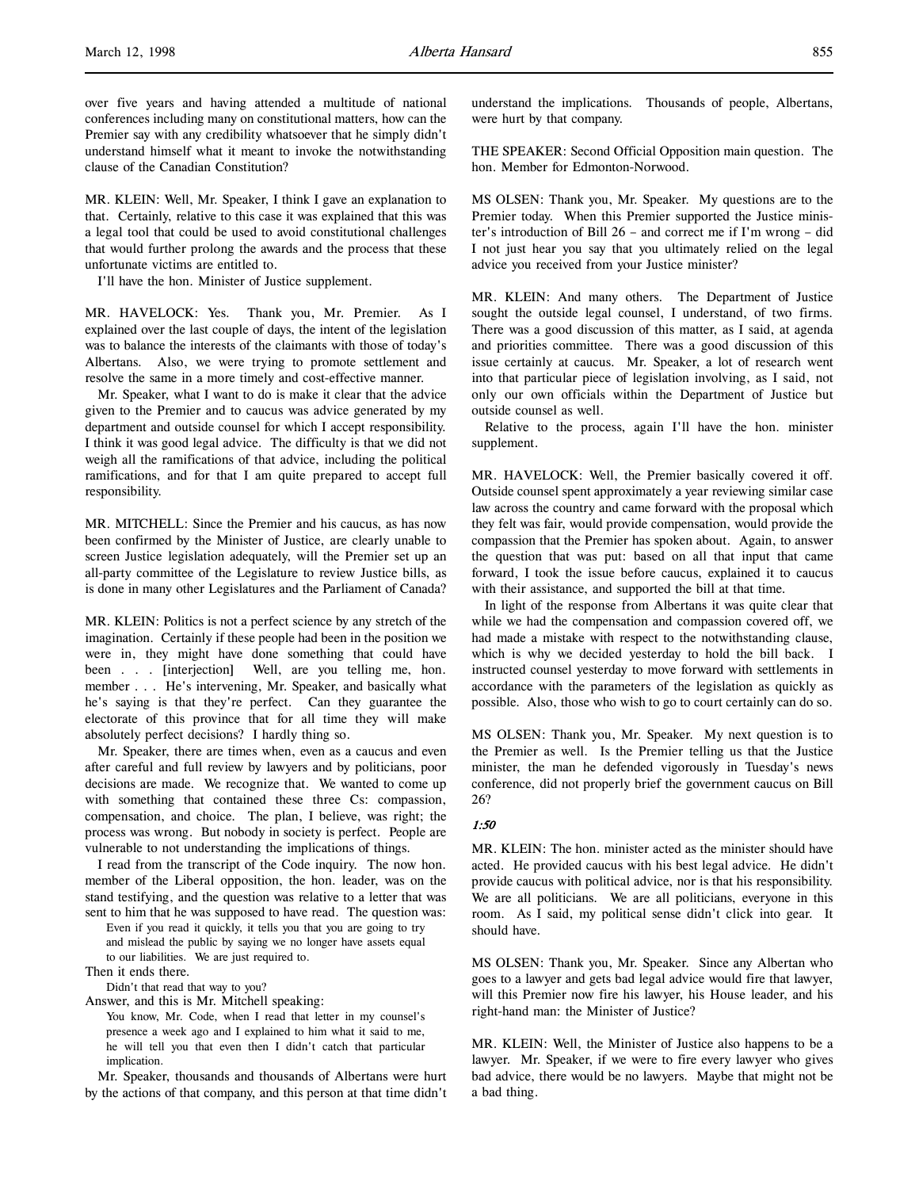over five years and having attended a multitude of national conferences including many on constitutional matters, how can the Premier say with any credibility whatsoever that he simply didn't understand himself what it meant to invoke the notwithstanding clause of the Canadian Constitution?

MR. KLEIN: Well, Mr. Speaker, I think I gave an explanation to that. Certainly, relative to this case it was explained that this was a legal tool that could be used to avoid constitutional challenges that would further prolong the awards and the process that these unfortunate victims are entitled to.

I'll have the hon. Minister of Justice supplement.

MR. HAVELOCK: Yes. Thank you, Mr. Premier. As I explained over the last couple of days, the intent of the legislation was to balance the interests of the claimants with those of today's Albertans. Also, we were trying to promote settlement and resolve the same in a more timely and cost-effective manner.

Mr. Speaker, what I want to do is make it clear that the advice given to the Premier and to caucus was advice generated by my department and outside counsel for which I accept responsibility. I think it was good legal advice. The difficulty is that we did not weigh all the ramifications of that advice, including the political ramifications, and for that I am quite prepared to accept full responsibility.

MR. MITCHELL: Since the Premier and his caucus, as has now been confirmed by the Minister of Justice, are clearly unable to screen Justice legislation adequately, will the Premier set up an all-party committee of the Legislature to review Justice bills, as is done in many other Legislatures and the Parliament of Canada?

MR. KLEIN: Politics is not a perfect science by any stretch of the imagination. Certainly if these people had been in the position we were in, they might have done something that could have been . . . [interjection] Well, are you telling me, hon. member . . . He's intervening, Mr. Speaker, and basically what he's saying is that they're perfect. Can they guarantee the electorate of this province that for all time they will make absolutely perfect decisions? I hardly thing so.

Mr. Speaker, there are times when, even as a caucus and even after careful and full review by lawyers and by politicians, poor decisions are made. We recognize that. We wanted to come up with something that contained these three Cs: compassion, compensation, and choice. The plan, I believe, was right; the process was wrong. But nobody in society is perfect. People are vulnerable to not understanding the implications of things.

I read from the transcript of the Code inquiry. The now hon. member of the Liberal opposition, the hon. leader, was on the stand testifying, and the question was relative to a letter that was sent to him that he was supposed to have read. The question was:

Even if you read it quickly, it tells you that you are going to try and mislead the public by saying we no longer have assets equal to our liabilities. We are just required to.

Then it ends there.

Didn't that read that way to you?

Answer, and this is Mr. Mitchell speaking:

You know, Mr. Code, when I read that letter in my counsel's presence a week ago and I explained to him what it said to me, he will tell you that even then I didn't catch that particular implication.

Mr. Speaker, thousands and thousands of Albertans were hurt by the actions of that company, and this person at that time didn't understand the implications. Thousands of people, Albertans, were hurt by that company.

THE SPEAKER: Second Official Opposition main question. The hon. Member for Edmonton-Norwood.

MS OLSEN: Thank you, Mr. Speaker. My questions are to the Premier today. When this Premier supported the Justice minister's introduction of Bill 26 – and correct me if I'm wrong – did I not just hear you say that you ultimately relied on the legal advice you received from your Justice minister?

MR. KLEIN: And many others. The Department of Justice sought the outside legal counsel, I understand, of two firms. There was a good discussion of this matter, as I said, at agenda and priorities committee. There was a good discussion of this issue certainly at caucus. Mr. Speaker, a lot of research went into that particular piece of legislation involving, as I said, not only our own officials within the Department of Justice but outside counsel as well.

Relative to the process, again I'll have the hon. minister supplement.

MR. HAVELOCK: Well, the Premier basically covered it off. Outside counsel spent approximately a year reviewing similar case law across the country and came forward with the proposal which they felt was fair, would provide compensation, would provide the compassion that the Premier has spoken about. Again, to answer the question that was put: based on all that input that came forward, I took the issue before caucus, explained it to caucus with their assistance, and supported the bill at that time.

In light of the response from Albertans it was quite clear that while we had the compensation and compassion covered off, we had made a mistake with respect to the notwithstanding clause, which is why we decided yesterday to hold the bill back. I instructed counsel yesterday to move forward with settlements in accordance with the parameters of the legislation as quickly as possible. Also, those who wish to go to court certainly can do so.

MS OLSEN: Thank you, Mr. Speaker. My next question is to the Premier as well. Is the Premier telling us that the Justice minister, the man he defended vigorously in Tuesday's news conference, did not properly brief the government caucus on Bill 26?

# 1:50

MR. KLEIN: The hon. minister acted as the minister should have acted. He provided caucus with his best legal advice. He didn't provide caucus with political advice, nor is that his responsibility. We are all politicians. We are all politicians, everyone in this room. As I said, my political sense didn't click into gear. It should have.

MS OLSEN: Thank you, Mr. Speaker. Since any Albertan who goes to a lawyer and gets bad legal advice would fire that lawyer, will this Premier now fire his lawyer, his House leader, and his right-hand man: the Minister of Justice?

MR. KLEIN: Well, the Minister of Justice also happens to be a lawyer. Mr. Speaker, if we were to fire every lawyer who gives bad advice, there would be no lawyers. Maybe that might not be a bad thing.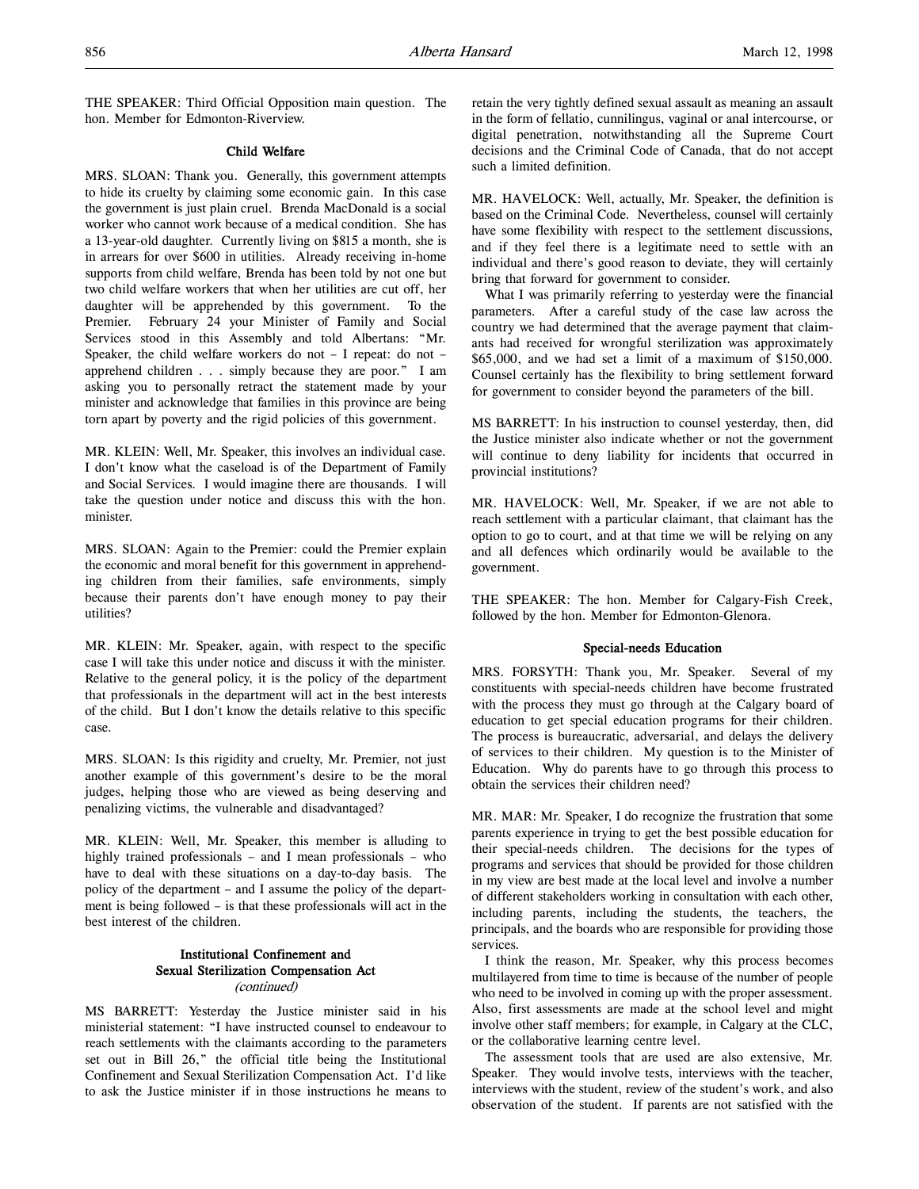THE SPEAKER: Third Official Opposition main question. The hon. Member for Edmonton-Riverview.

# Child Welfare

MRS. SLOAN: Thank you. Generally, this government attempts to hide its cruelty by claiming some economic gain. In this case the government is just plain cruel. Brenda MacDonald is a social worker who cannot work because of a medical condition. She has a 13-year-old daughter. Currently living on \$815 a month, she is in arrears for over \$600 in utilities. Already receiving in-home supports from child welfare, Brenda has been told by not one but two child welfare workers that when her utilities are cut off, her daughter will be apprehended by this government. To the Premier. February 24 your Minister of Family and Social Services stood in this Assembly and told Albertans: "Mr. Speaker, the child welfare workers do not – I repeat: do not – apprehend children . . . simply because they are poor." I am asking you to personally retract the statement made by your minister and acknowledge that families in this province are being torn apart by poverty and the rigid policies of this government.

MR. KLEIN: Well, Mr. Speaker, this involves an individual case. I don't know what the caseload is of the Department of Family and Social Services. I would imagine there are thousands. I will take the question under notice and discuss this with the hon. minister.

MRS. SLOAN: Again to the Premier: could the Premier explain the economic and moral benefit for this government in apprehending children from their families, safe environments, simply because their parents don't have enough money to pay their utilities?

MR. KLEIN: Mr. Speaker, again, with respect to the specific case I will take this under notice and discuss it with the minister. Relative to the general policy, it is the policy of the department that professionals in the department will act in the best interests of the child. But I don't know the details relative to this specific case.

MRS. SLOAN: Is this rigidity and cruelty, Mr. Premier, not just another example of this government's desire to be the moral judges, helping those who are viewed as being deserving and penalizing victims, the vulnerable and disadvantaged?

MR. KLEIN: Well, Mr. Speaker, this member is alluding to highly trained professionals – and I mean professionals – who have to deal with these situations on a day-to-day basis. The policy of the department – and I assume the policy of the department is being followed – is that these professionals will act in the best interest of the children.

# Institutional Confinement and Sexual Sterilization Compensation Act (continued)

MS BARRETT: Yesterday the Justice minister said in his ministerial statement: "I have instructed counsel to endeavour to reach settlements with the claimants according to the parameters set out in Bill 26," the official title being the Institutional Confinement and Sexual Sterilization Compensation Act. I'd like to ask the Justice minister if in those instructions he means to

retain the very tightly defined sexual assault as meaning an assault in the form of fellatio, cunnilingus, vaginal or anal intercourse, or digital penetration, notwithstanding all the Supreme Court decisions and the Criminal Code of Canada, that do not accept such a limited definition.

MR. HAVELOCK: Well, actually, Mr. Speaker, the definition is based on the Criminal Code. Nevertheless, counsel will certainly have some flexibility with respect to the settlement discussions, and if they feel there is a legitimate need to settle with an individual and there's good reason to deviate, they will certainly bring that forward for government to consider.

What I was primarily referring to yesterday were the financial parameters. After a careful study of the case law across the country we had determined that the average payment that claimants had received for wrongful sterilization was approximately \$65,000, and we had set a limit of a maximum of \$150,000. Counsel certainly has the flexibility to bring settlement forward for government to consider beyond the parameters of the bill.

MS BARRETT: In his instruction to counsel yesterday, then, did the Justice minister also indicate whether or not the government will continue to deny liability for incidents that occurred in provincial institutions?

MR. HAVELOCK: Well, Mr. Speaker, if we are not able to reach settlement with a particular claimant, that claimant has the option to go to court, and at that time we will be relying on any and all defences which ordinarily would be available to the government.

THE SPEAKER: The hon. Member for Calgary-Fish Creek, followed by the hon. Member for Edmonton-Glenora.

# Special-needs Education

MRS. FORSYTH: Thank you, Mr. Speaker. Several of my constituents with special-needs children have become frustrated with the process they must go through at the Calgary board of education to get special education programs for their children. The process is bureaucratic, adversarial, and delays the delivery of services to their children. My question is to the Minister of Education. Why do parents have to go through this process to obtain the services their children need?

MR. MAR: Mr. Speaker, I do recognize the frustration that some parents experience in trying to get the best possible education for their special-needs children. The decisions for the types of programs and services that should be provided for those children in my view are best made at the local level and involve a number of different stakeholders working in consultation with each other, including parents, including the students, the teachers, the principals, and the boards who are responsible for providing those services.

I think the reason, Mr. Speaker, why this process becomes multilayered from time to time is because of the number of people who need to be involved in coming up with the proper assessment. Also, first assessments are made at the school level and might involve other staff members; for example, in Calgary at the CLC, or the collaborative learning centre level.

The assessment tools that are used are also extensive, Mr. Speaker. They would involve tests, interviews with the teacher, interviews with the student, review of the student's work, and also observation of the student. If parents are not satisfied with the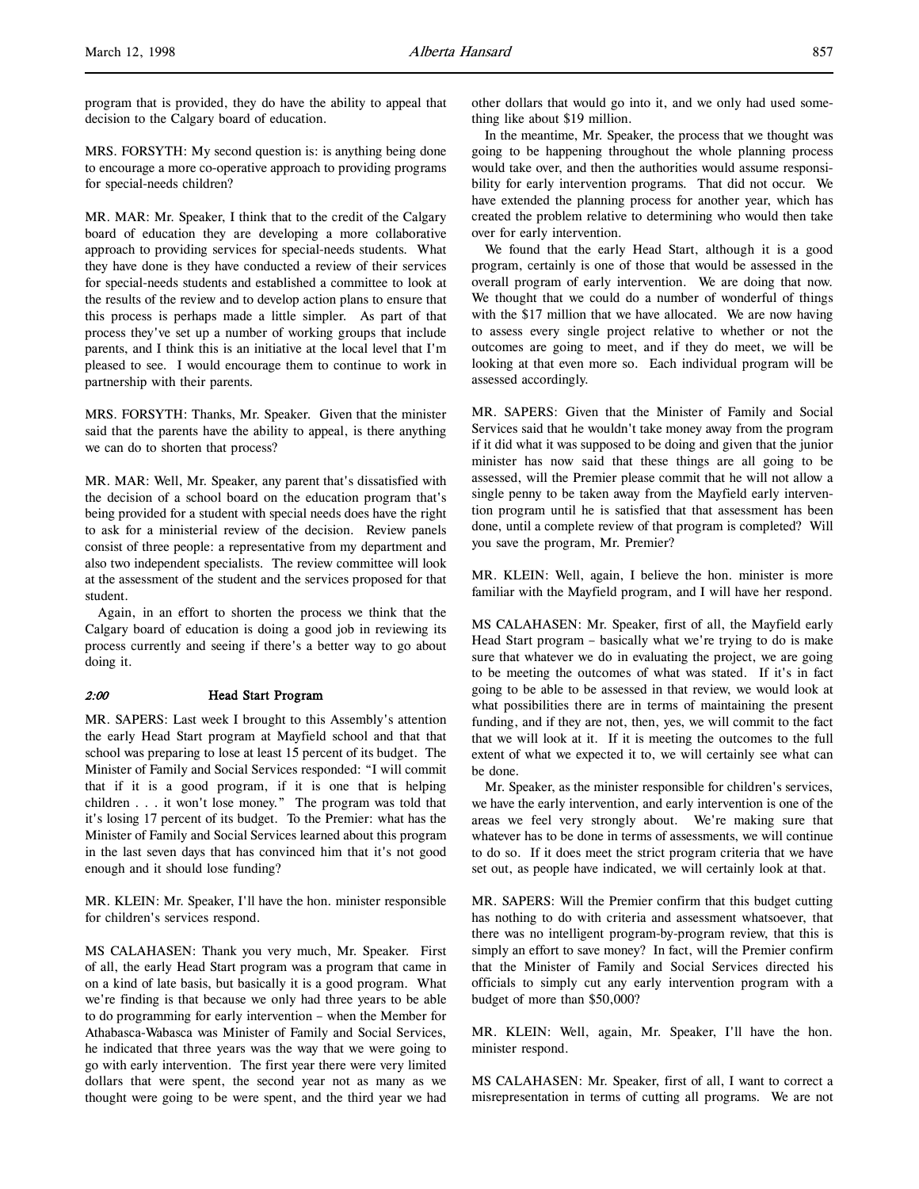program that is provided, they do have the ability to appeal that decision to the Calgary board of education.

MRS. FORSYTH: My second question is: is anything being done to encourage a more co-operative approach to providing programs for special-needs children?

MR. MAR: Mr. Speaker, I think that to the credit of the Calgary board of education they are developing a more collaborative approach to providing services for special-needs students. What they have done is they have conducted a review of their services for special-needs students and established a committee to look at the results of the review and to develop action plans to ensure that this process is perhaps made a little simpler. As part of that process they've set up a number of working groups that include parents, and I think this is an initiative at the local level that I'm pleased to see. I would encourage them to continue to work in partnership with their parents.

MRS. FORSYTH: Thanks, Mr. Speaker. Given that the minister said that the parents have the ability to appeal, is there anything we can do to shorten that process?

MR. MAR: Well, Mr. Speaker, any parent that's dissatisfied with the decision of a school board on the education program that's being provided for a student with special needs does have the right to ask for a ministerial review of the decision. Review panels consist of three people: a representative from my department and also two independent specialists. The review committee will look at the assessment of the student and the services proposed for that student.

Again, in an effort to shorten the process we think that the Calgary board of education is doing a good job in reviewing its process currently and seeing if there's a better way to go about doing it.

### 2:00 Head Start Program

MR. SAPERS: Last week I brought to this Assembly's attention the early Head Start program at Mayfield school and that that school was preparing to lose at least 15 percent of its budget. The Minister of Family and Social Services responded: "I will commit that if it is a good program, if it is one that is helping children . . . it won't lose money." The program was told that it's losing 17 percent of its budget. To the Premier: what has the Minister of Family and Social Services learned about this program in the last seven days that has convinced him that it's not good enough and it should lose funding?

MR. KLEIN: Mr. Speaker, I'll have the hon. minister responsible for children's services respond.

MS CALAHASEN: Thank you very much, Mr. Speaker. First of all, the early Head Start program was a program that came in on a kind of late basis, but basically it is a good program. What we're finding is that because we only had three years to be able to do programming for early intervention – when the Member for Athabasca-Wabasca was Minister of Family and Social Services, he indicated that three years was the way that we were going to go with early intervention. The first year there were very limited dollars that were spent, the second year not as many as we thought were going to be were spent, and the third year we had

other dollars that would go into it, and we only had used something like about \$19 million.

In the meantime, Mr. Speaker, the process that we thought was going to be happening throughout the whole planning process would take over, and then the authorities would assume responsibility for early intervention programs. That did not occur. We have extended the planning process for another year, which has created the problem relative to determining who would then take over for early intervention.

We found that the early Head Start, although it is a good program, certainly is one of those that would be assessed in the overall program of early intervention. We are doing that now. We thought that we could do a number of wonderful of things with the \$17 million that we have allocated. We are now having to assess every single project relative to whether or not the outcomes are going to meet, and if they do meet, we will be looking at that even more so. Each individual program will be assessed accordingly.

MR. SAPERS: Given that the Minister of Family and Social Services said that he wouldn't take money away from the program if it did what it was supposed to be doing and given that the junior minister has now said that these things are all going to be assessed, will the Premier please commit that he will not allow a single penny to be taken away from the Mayfield early intervention program until he is satisfied that that assessment has been done, until a complete review of that program is completed? Will you save the program, Mr. Premier?

MR. KLEIN: Well, again, I believe the hon. minister is more familiar with the Mayfield program, and I will have her respond.

MS CALAHASEN: Mr. Speaker, first of all, the Mayfield early Head Start program – basically what we're trying to do is make sure that whatever we do in evaluating the project, we are going to be meeting the outcomes of what was stated. If it's in fact going to be able to be assessed in that review, we would look at what possibilities there are in terms of maintaining the present funding, and if they are not, then, yes, we will commit to the fact that we will look at it. If it is meeting the outcomes to the full extent of what we expected it to, we will certainly see what can be done.

Mr. Speaker, as the minister responsible for children's services, we have the early intervention, and early intervention is one of the areas we feel very strongly about. We're making sure that whatever has to be done in terms of assessments, we will continue to do so. If it does meet the strict program criteria that we have set out, as people have indicated, we will certainly look at that.

MR. SAPERS: Will the Premier confirm that this budget cutting has nothing to do with criteria and assessment whatsoever, that there was no intelligent program-by-program review, that this is simply an effort to save money? In fact, will the Premier confirm that the Minister of Family and Social Services directed his officials to simply cut any early intervention program with a budget of more than \$50,000?

MR. KLEIN: Well, again, Mr. Speaker, I'll have the hon. minister respond.

MS CALAHASEN: Mr. Speaker, first of all, I want to correct a misrepresentation in terms of cutting all programs. We are not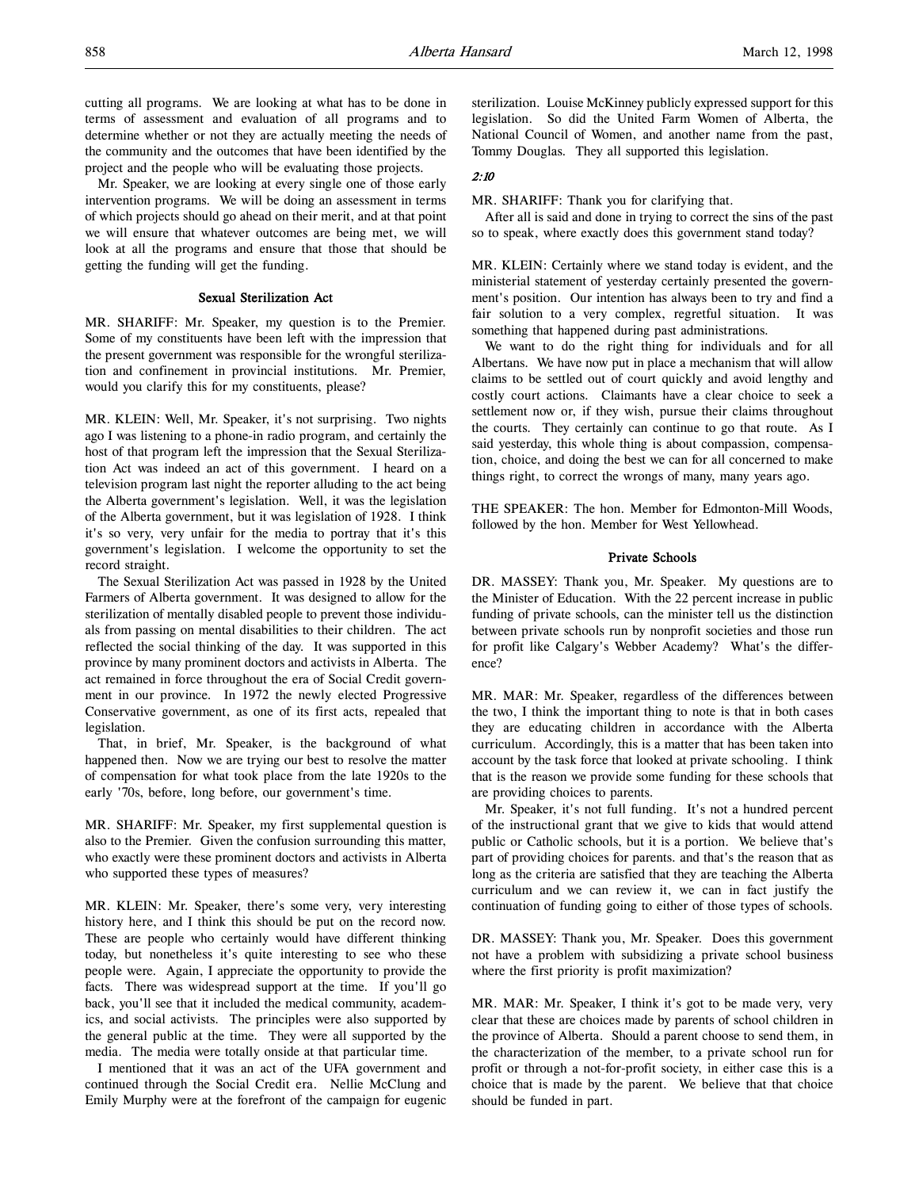Mr. Speaker, we are looking at every single one of those early intervention programs. We will be doing an assessment in terms of which projects should go ahead on their merit, and at that point we will ensure that whatever outcomes are being met, we will look at all the programs and ensure that those that should be getting the funding will get the funding.

# Sexual Sterilization Act

MR. SHARIFF: Mr. Speaker, my question is to the Premier. Some of my constituents have been left with the impression that the present government was responsible for the wrongful sterilization and confinement in provincial institutions. Mr. Premier, would you clarify this for my constituents, please?

MR. KLEIN: Well, Mr. Speaker, it's not surprising. Two nights ago I was listening to a phone-in radio program, and certainly the host of that program left the impression that the Sexual Sterilization Act was indeed an act of this government. I heard on a television program last night the reporter alluding to the act being the Alberta government's legislation. Well, it was the legislation of the Alberta government, but it was legislation of 1928. I think it's so very, very unfair for the media to portray that it's this government's legislation. I welcome the opportunity to set the record straight.

The Sexual Sterilization Act was passed in 1928 by the United Farmers of Alberta government. It was designed to allow for the sterilization of mentally disabled people to prevent those individuals from passing on mental disabilities to their children. The act reflected the social thinking of the day. It was supported in this province by many prominent doctors and activists in Alberta. The act remained in force throughout the era of Social Credit government in our province. In 1972 the newly elected Progressive Conservative government, as one of its first acts, repealed that legislation.

That, in brief, Mr. Speaker, is the background of what happened then. Now we are trying our best to resolve the matter of compensation for what took place from the late 1920s to the early '70s, before, long before, our government's time.

MR. SHARIFF: Mr. Speaker, my first supplemental question is also to the Premier. Given the confusion surrounding this matter, who exactly were these prominent doctors and activists in Alberta who supported these types of measures?

MR. KLEIN: Mr. Speaker, there's some very, very interesting history here, and I think this should be put on the record now. These are people who certainly would have different thinking today, but nonetheless it's quite interesting to see who these people were. Again, I appreciate the opportunity to provide the facts. There was widespread support at the time. If you'll go back, you'll see that it included the medical community, academics, and social activists. The principles were also supported by the general public at the time. They were all supported by the media. The media were totally onside at that particular time.

I mentioned that it was an act of the UFA government and continued through the Social Credit era. Nellie McClung and Emily Murphy were at the forefront of the campaign for eugenic sterilization. Louise McKinney publicly expressed support for this legislation. So did the United Farm Women of Alberta, the National Council of Women, and another name from the past, Tommy Douglas. They all supported this legislation.

# 2:10

MR. SHARIFF: Thank you for clarifying that.

After all is said and done in trying to correct the sins of the past so to speak, where exactly does this government stand today?

MR. KLEIN: Certainly where we stand today is evident, and the ministerial statement of yesterday certainly presented the government's position. Our intention has always been to try and find a fair solution to a very complex, regretful situation. It was something that happened during past administrations.

We want to do the right thing for individuals and for all Albertans. We have now put in place a mechanism that will allow claims to be settled out of court quickly and avoid lengthy and costly court actions. Claimants have a clear choice to seek a settlement now or, if they wish, pursue their claims throughout the courts. They certainly can continue to go that route. As I said yesterday, this whole thing is about compassion, compensation, choice, and doing the best we can for all concerned to make things right, to correct the wrongs of many, many years ago.

THE SPEAKER: The hon. Member for Edmonton-Mill Woods, followed by the hon. Member for West Yellowhead.

#### Private Schools

DR. MASSEY: Thank you, Mr. Speaker. My questions are to the Minister of Education. With the 22 percent increase in public funding of private schools, can the minister tell us the distinction between private schools run by nonprofit societies and those run for profit like Calgary's Webber Academy? What's the difference?

MR. MAR: Mr. Speaker, regardless of the differences between the two, I think the important thing to note is that in both cases they are educating children in accordance with the Alberta curriculum. Accordingly, this is a matter that has been taken into account by the task force that looked at private schooling. I think that is the reason we provide some funding for these schools that are providing choices to parents.

Mr. Speaker, it's not full funding. It's not a hundred percent of the instructional grant that we give to kids that would attend public or Catholic schools, but it is a portion. We believe that's part of providing choices for parents. and that's the reason that as long as the criteria are satisfied that they are teaching the Alberta curriculum and we can review it, we can in fact justify the continuation of funding going to either of those types of schools.

DR. MASSEY: Thank you, Mr. Speaker. Does this government not have a problem with subsidizing a private school business where the first priority is profit maximization?

MR. MAR: Mr. Speaker, I think it's got to be made very, very clear that these are choices made by parents of school children in the province of Alberta. Should a parent choose to send them, in the characterization of the member, to a private school run for profit or through a not-for-profit society, in either case this is a choice that is made by the parent. We believe that that choice should be funded in part.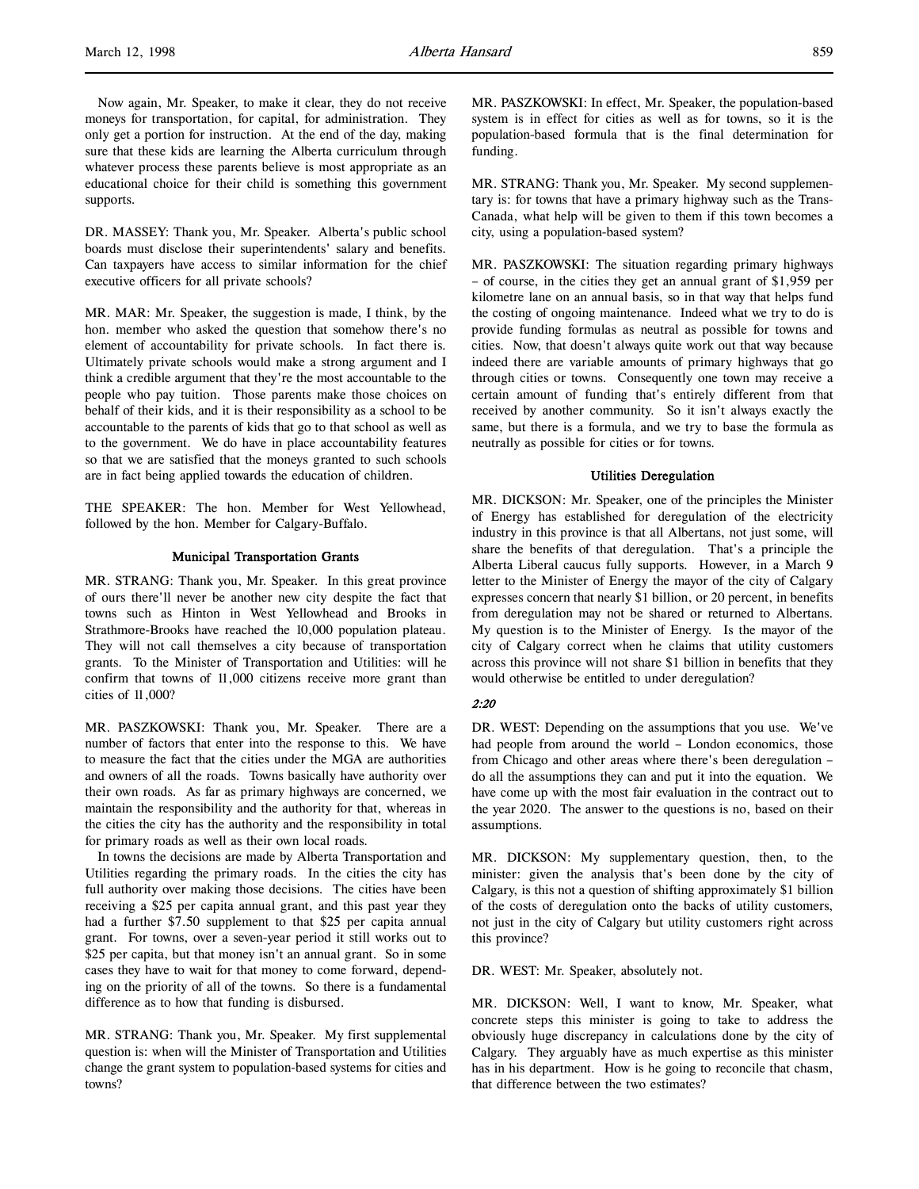Now again, Mr. Speaker, to make it clear, they do not receive moneys for transportation, for capital, for administration. They only get a portion for instruction. At the end of the day, making sure that these kids are learning the Alberta curriculum through whatever process these parents believe is most appropriate as an educational choice for their child is something this government supports.

DR. MASSEY: Thank you, Mr. Speaker. Alberta's public school boards must disclose their superintendents' salary and benefits. Can taxpayers have access to similar information for the chief executive officers for all private schools?

MR. MAR: Mr. Speaker, the suggestion is made, I think, by the hon. member who asked the question that somehow there's no element of accountability for private schools. In fact there is. Ultimately private schools would make a strong argument and I think a credible argument that they're the most accountable to the people who pay tuition. Those parents make those choices on behalf of their kids, and it is their responsibility as a school to be accountable to the parents of kids that go to that school as well as to the government. We do have in place accountability features so that we are satisfied that the moneys granted to such schools are in fact being applied towards the education of children.

THE SPEAKER: The hon. Member for West Yellowhead, followed by the hon. Member for Calgary-Buffalo.

# Municipal Transportation Grants

MR. STRANG: Thank you, Mr. Speaker. In this great province of ours there'll never be another new city despite the fact that towns such as Hinton in West Yellowhead and Brooks in Strathmore-Brooks have reached the 10,000 population plateau. They will not call themselves a city because of transportation grants. To the Minister of Transportation and Utilities: will he confirm that towns of 11,000 citizens receive more grant than cities of 11,000?

MR. PASZKOWSKI: Thank you, Mr. Speaker. There are a number of factors that enter into the response to this. We have to measure the fact that the cities under the MGA are authorities and owners of all the roads. Towns basically have authority over their own roads. As far as primary highways are concerned, we maintain the responsibility and the authority for that, whereas in the cities the city has the authority and the responsibility in total for primary roads as well as their own local roads.

In towns the decisions are made by Alberta Transportation and Utilities regarding the primary roads. In the cities the city has full authority over making those decisions. The cities have been receiving a \$25 per capita annual grant, and this past year they had a further \$7.50 supplement to that \$25 per capita annual grant. For towns, over a seven-year period it still works out to \$25 per capita, but that money isn't an annual grant. So in some cases they have to wait for that money to come forward, depending on the priority of all of the towns. So there is a fundamental difference as to how that funding is disbursed.

MR. STRANG: Thank you, Mr. Speaker. My first supplemental question is: when will the Minister of Transportation and Utilities change the grant system to population-based systems for cities and towns?

MR. PASZKOWSKI: In effect, Mr. Speaker, the population-based system is in effect for cities as well as for towns, so it is the population-based formula that is the final determination for funding.

MR. STRANG: Thank you, Mr. Speaker. My second supplementary is: for towns that have a primary highway such as the Trans-Canada, what help will be given to them if this town becomes a city, using a population-based system?

MR. PASZKOWSKI: The situation regarding primary highways – of course, in the cities they get an annual grant of \$1,959 per kilometre lane on an annual basis, so in that way that helps fund the costing of ongoing maintenance. Indeed what we try to do is provide funding formulas as neutral as possible for towns and cities. Now, that doesn't always quite work out that way because indeed there are variable amounts of primary highways that go through cities or towns. Consequently one town may receive a certain amount of funding that's entirely different from that received by another community. So it isn't always exactly the same, but there is a formula, and we try to base the formula as neutrally as possible for cities or for towns.

### Utilities Deregulation

MR. DICKSON: Mr. Speaker, one of the principles the Minister of Energy has established for deregulation of the electricity industry in this province is that all Albertans, not just some, will share the benefits of that deregulation. That's a principle the Alberta Liberal caucus fully supports. However, in a March 9 letter to the Minister of Energy the mayor of the city of Calgary expresses concern that nearly \$1 billion, or 20 percent, in benefits from deregulation may not be shared or returned to Albertans. My question is to the Minister of Energy. Is the mayor of the city of Calgary correct when he claims that utility customers across this province will not share \$1 billion in benefits that they would otherwise be entitled to under deregulation?

# 2:20

DR. WEST: Depending on the assumptions that you use. We've had people from around the world – London economics, those from Chicago and other areas where there's been deregulation – do all the assumptions they can and put it into the equation. We have come up with the most fair evaluation in the contract out to the year 2020. The answer to the questions is no, based on their assumptions.

MR. DICKSON: My supplementary question, then, to the minister: given the analysis that's been done by the city of Calgary, is this not a question of shifting approximately \$1 billion of the costs of deregulation onto the backs of utility customers, not just in the city of Calgary but utility customers right across this province?

DR. WEST: Mr. Speaker, absolutely not.

MR. DICKSON: Well, I want to know, Mr. Speaker, what concrete steps this minister is going to take to address the obviously huge discrepancy in calculations done by the city of Calgary. They arguably have as much expertise as this minister has in his department. How is he going to reconcile that chasm, that difference between the two estimates?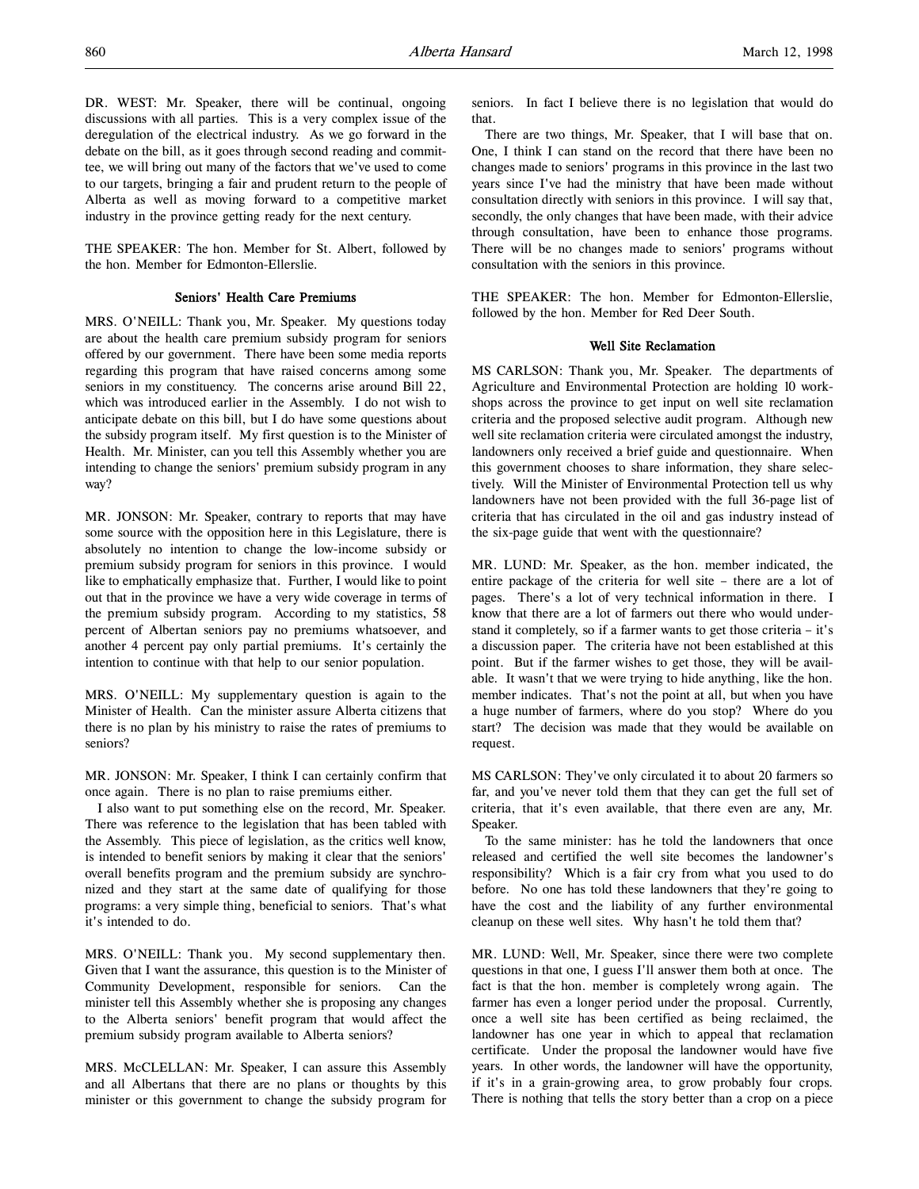DR. WEST: Mr. Speaker, there will be continual, ongoing discussions with all parties. This is a very complex issue of the deregulation of the electrical industry. As we go forward in the debate on the bill, as it goes through second reading and committee, we will bring out many of the factors that we've used to come to our targets, bringing a fair and prudent return to the people of Alberta as well as moving forward to a competitive market industry in the province getting ready for the next century.

THE SPEAKER: The hon. Member for St. Albert, followed by the hon. Member for Edmonton-Ellerslie.

# Seniors' Health Care Premiums

MRS. O'NEILL: Thank you, Mr. Speaker. My questions today are about the health care premium subsidy program for seniors offered by our government. There have been some media reports regarding this program that have raised concerns among some seniors in my constituency. The concerns arise around Bill 22, which was introduced earlier in the Assembly. I do not wish to anticipate debate on this bill, but I do have some questions about the subsidy program itself. My first question is to the Minister of Health. Mr. Minister, can you tell this Assembly whether you are intending to change the seniors' premium subsidy program in any way?

MR. JONSON: Mr. Speaker, contrary to reports that may have some source with the opposition here in this Legislature, there is absolutely no intention to change the low-income subsidy or premium subsidy program for seniors in this province. I would like to emphatically emphasize that. Further, I would like to point out that in the province we have a very wide coverage in terms of the premium subsidy program. According to my statistics, 58 percent of Albertan seniors pay no premiums whatsoever, and another 4 percent pay only partial premiums. It's certainly the intention to continue with that help to our senior population.

MRS. O'NEILL: My supplementary question is again to the Minister of Health. Can the minister assure Alberta citizens that there is no plan by his ministry to raise the rates of premiums to seniors?

MR. JONSON: Mr. Speaker, I think I can certainly confirm that once again. There is no plan to raise premiums either.

I also want to put something else on the record, Mr. Speaker. There was reference to the legislation that has been tabled with the Assembly. This piece of legislation, as the critics well know, is intended to benefit seniors by making it clear that the seniors' overall benefits program and the premium subsidy are synchronized and they start at the same date of qualifying for those programs: a very simple thing, beneficial to seniors. That's what it's intended to do.

MRS. O'NEILL: Thank you. My second supplementary then. Given that I want the assurance, this question is to the Minister of Community Development, responsible for seniors. Can the minister tell this Assembly whether she is proposing any changes to the Alberta seniors' benefit program that would affect the premium subsidy program available to Alberta seniors?

MRS. McCLELLAN: Mr. Speaker, I can assure this Assembly and all Albertans that there are no plans or thoughts by this minister or this government to change the subsidy program for

seniors. In fact I believe there is no legislation that would do that.

There are two things, Mr. Speaker, that I will base that on. One, I think I can stand on the record that there have been no changes made to seniors' programs in this province in the last two years since I've had the ministry that have been made without consultation directly with seniors in this province. I will say that, secondly, the only changes that have been made, with their advice through consultation, have been to enhance those programs. There will be no changes made to seniors' programs without consultation with the seniors in this province.

THE SPEAKER: The hon. Member for Edmonton-Ellerslie, followed by the hon. Member for Red Deer South.

# Well Site Reclamation

MS CARLSON: Thank you, Mr. Speaker. The departments of Agriculture and Environmental Protection are holding 10 workshops across the province to get input on well site reclamation criteria and the proposed selective audit program. Although new well site reclamation criteria were circulated amongst the industry, landowners only received a brief guide and questionnaire. When this government chooses to share information, they share selectively. Will the Minister of Environmental Protection tell us why landowners have not been provided with the full 36-page list of criteria that has circulated in the oil and gas industry instead of the six-page guide that went with the questionnaire?

MR. LUND: Mr. Speaker, as the hon. member indicated, the entire package of the criteria for well site – there are a lot of pages. There's a lot of very technical information in there. I know that there are a lot of farmers out there who would understand it completely, so if a farmer wants to get those criteria – it's a discussion paper. The criteria have not been established at this point. But if the farmer wishes to get those, they will be available. It wasn't that we were trying to hide anything, like the hon. member indicates. That's not the point at all, but when you have a huge number of farmers, where do you stop? Where do you start? The decision was made that they would be available on request.

MS CARLSON: They've only circulated it to about 20 farmers so far, and you've never told them that they can get the full set of criteria, that it's even available, that there even are any, Mr. Speaker.

To the same minister: has he told the landowners that once released and certified the well site becomes the landowner's responsibility? Which is a fair cry from what you used to do before. No one has told these landowners that they're going to have the cost and the liability of any further environmental cleanup on these well sites. Why hasn't he told them that?

MR. LUND: Well, Mr. Speaker, since there were two complete questions in that one, I guess I'll answer them both at once. The fact is that the hon. member is completely wrong again. The farmer has even a longer period under the proposal. Currently, once a well site has been certified as being reclaimed, the landowner has one year in which to appeal that reclamation certificate. Under the proposal the landowner would have five years. In other words, the landowner will have the opportunity, if it's in a grain-growing area, to grow probably four crops. There is nothing that tells the story better than a crop on a piece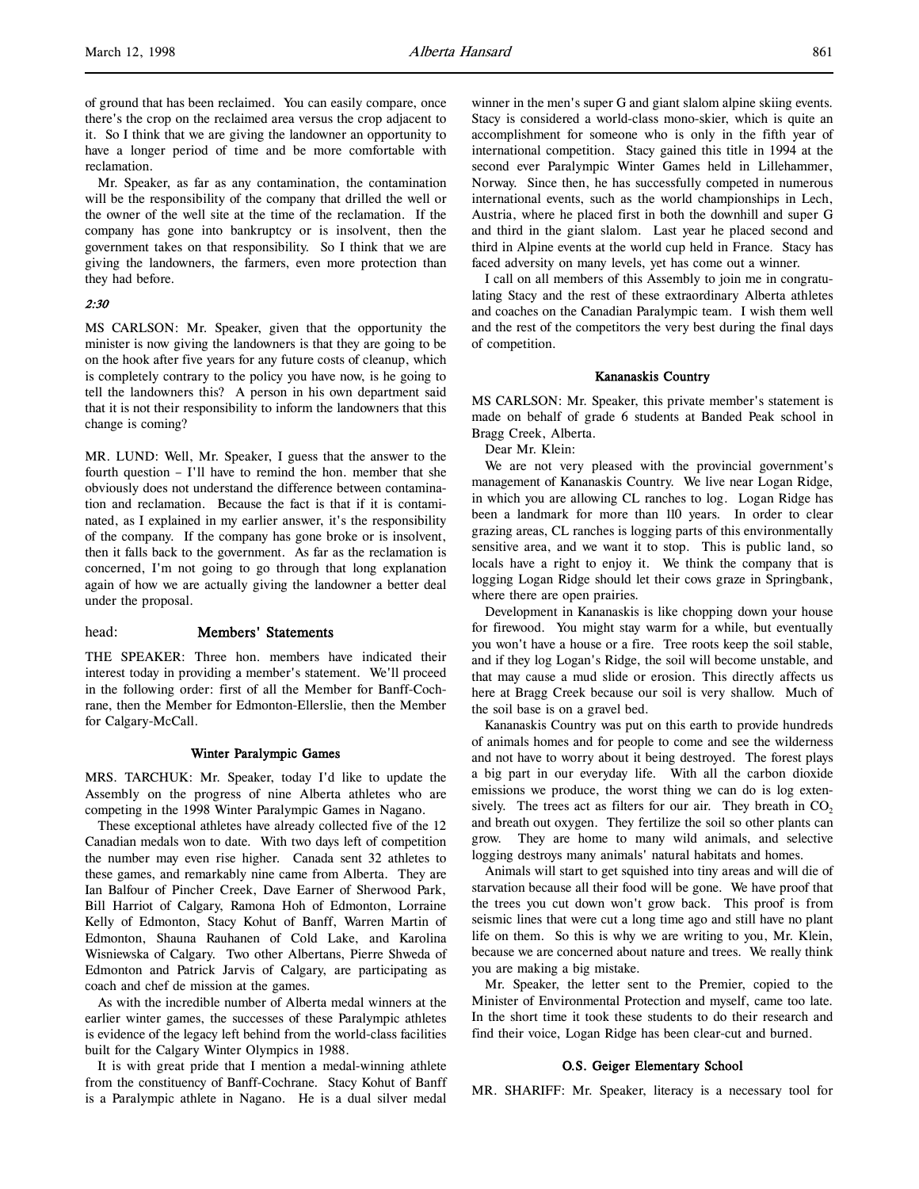Mr. Speaker, as far as any contamination, the contamination will be the responsibility of the company that drilled the well or the owner of the well site at the time of the reclamation. If the company has gone into bankruptcy or is insolvent, then the government takes on that responsibility. So I think that we are giving the landowners, the farmers, even more protection than they had before.

### 2:30

MS CARLSON: Mr. Speaker, given that the opportunity the minister is now giving the landowners is that they are going to be on the hook after five years for any future costs of cleanup, which is completely contrary to the policy you have now, is he going to tell the landowners this? A person in his own department said that it is not their responsibility to inform the landowners that this change is coming?

MR. LUND: Well, Mr. Speaker, I guess that the answer to the fourth question – I'll have to remind the hon. member that she obviously does not understand the difference between contamination and reclamation. Because the fact is that if it is contaminated, as I explained in my earlier answer, it's the responsibility of the company. If the company has gone broke or is insolvent, then it falls back to the government. As far as the reclamation is concerned, I'm not going to go through that long explanation again of how we are actually giving the landowner a better deal under the proposal.

# head: Members' Statements

THE SPEAKER: Three hon. members have indicated their interest today in providing a member's statement. We'll proceed in the following order: first of all the Member for Banff-Cochrane, then the Member for Edmonton-Ellerslie, then the Member for Calgary-McCall.

#### Winter Paralympic Games

MRS. TARCHUK: Mr. Speaker, today I'd like to update the Assembly on the progress of nine Alberta athletes who are competing in the 1998 Winter Paralympic Games in Nagano.

These exceptional athletes have already collected five of the 12 Canadian medals won to date. With two days left of competition the number may even rise higher. Canada sent 32 athletes to these games, and remarkably nine came from Alberta. They are Ian Balfour of Pincher Creek, Dave Earner of Sherwood Park, Bill Harriot of Calgary, Ramona Hoh of Edmonton, Lorraine Kelly of Edmonton, Stacy Kohut of Banff, Warren Martin of Edmonton, Shauna Rauhanen of Cold Lake, and Karolina Wisniewska of Calgary. Two other Albertans, Pierre Shweda of Edmonton and Patrick Jarvis of Calgary, are participating as coach and chef de mission at the games.

As with the incredible number of Alberta medal winners at the earlier winter games, the successes of these Paralympic athletes is evidence of the legacy left behind from the world-class facilities built for the Calgary Winter Olympics in 1988.

It is with great pride that I mention a medal-winning athlete from the constituency of Banff-Cochrane. Stacy Kohut of Banff is a Paralympic athlete in Nagano. He is a dual silver medal

winner in the men's super G and giant slalom alpine skiing events. Stacy is considered a world-class mono-skier, which is quite an accomplishment for someone who is only in the fifth year of international competition. Stacy gained this title in 1994 at the second ever Paralympic Winter Games held in Lillehammer, Norway. Since then, he has successfully competed in numerous international events, such as the world championships in Lech, Austria, where he placed first in both the downhill and super G and third in the giant slalom. Last year he placed second and third in Alpine events at the world cup held in France. Stacy has faced adversity on many levels, yet has come out a winner.

I call on all members of this Assembly to join me in congratulating Stacy and the rest of these extraordinary Alberta athletes and coaches on the Canadian Paralympic team. I wish them well and the rest of the competitors the very best during the final days of competition.

#### Kananaskis Country

MS CARLSON: Mr. Speaker, this private member's statement is made on behalf of grade 6 students at Banded Peak school in Bragg Creek, Alberta.

Dear Mr. Klein:

We are not very pleased with the provincial government's management of Kananaskis Country. We live near Logan Ridge, in which you are allowing CL ranches to log. Logan Ridge has been a landmark for more than 110 years. In order to clear grazing areas, CL ranches is logging parts of this environmentally sensitive area, and we want it to stop. This is public land, so locals have a right to enjoy it. We think the company that is logging Logan Ridge should let their cows graze in Springbank, where there are open prairies.

Development in Kananaskis is like chopping down your house for firewood. You might stay warm for a while, but eventually you won't have a house or a fire. Tree roots keep the soil stable, and if they log Logan's Ridge, the soil will become unstable, and that may cause a mud slide or erosion. This directly affects us here at Bragg Creek because our soil is very shallow. Much of the soil base is on a gravel bed.

Kananaskis Country was put on this earth to provide hundreds of animals homes and for people to come and see the wilderness and not have to worry about it being destroyed. The forest plays a big part in our everyday life. With all the carbon dioxide emissions we produce, the worst thing we can do is log extensively. The trees act as filters for our air. They breath in  $CO<sub>2</sub>$ and breath out oxygen. They fertilize the soil so other plants can grow. They are home to many wild animals, and selective logging destroys many animals' natural habitats and homes.

Animals will start to get squished into tiny areas and will die of starvation because all their food will be gone. We have proof that the trees you cut down won't grow back. This proof is from seismic lines that were cut a long time ago and still have no plant life on them. So this is why we are writing to you, Mr. Klein, because we are concerned about nature and trees. We really think you are making a big mistake.

Mr. Speaker, the letter sent to the Premier, copied to the Minister of Environmental Protection and myself, came too late. In the short time it took these students to do their research and find their voice, Logan Ridge has been clear-cut and burned.

### O.S. Geiger Elementary School

MR. SHARIFF: Mr. Speaker, literacy is a necessary tool for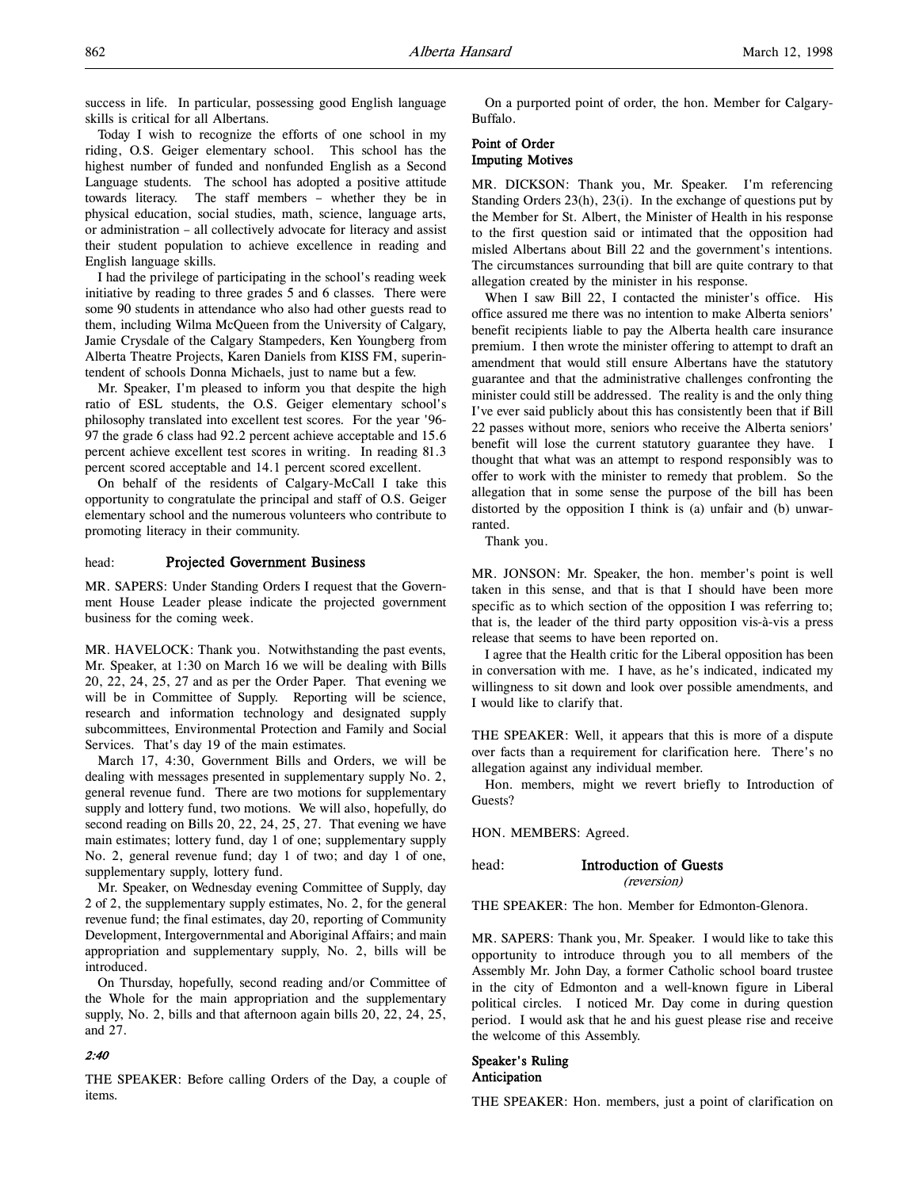success in life. In particular, possessing good English language skills is critical for all Albertans.

Today I wish to recognize the efforts of one school in my riding, O.S. Geiger elementary school. This school has the highest number of funded and nonfunded English as a Second Language students. The school has adopted a positive attitude towards literacy. The staff members – whether they be in physical education, social studies, math, science, language arts, or administration – all collectively advocate for literacy and assist their student population to achieve excellence in reading and English language skills.

I had the privilege of participating in the school's reading week initiative by reading to three grades 5 and 6 classes. There were some 90 students in attendance who also had other guests read to them, including Wilma McQueen from the University of Calgary, Jamie Crysdale of the Calgary Stampeders, Ken Youngberg from Alberta Theatre Projects, Karen Daniels from KISS FM, superintendent of schools Donna Michaels, just to name but a few.

Mr. Speaker, I'm pleased to inform you that despite the high ratio of ESL students, the O.S. Geiger elementary school's philosophy translated into excellent test scores. For the year '96- 97 the grade 6 class had 92.2 percent achieve acceptable and 15.6 percent achieve excellent test scores in writing. In reading 81.3 percent scored acceptable and 14.1 percent scored excellent.

On behalf of the residents of Calgary-McCall I take this opportunity to congratulate the principal and staff of O.S. Geiger elementary school and the numerous volunteers who contribute to promoting literacy in their community.

### head: Projected Government Business

MR. SAPERS: Under Standing Orders I request that the Government House Leader please indicate the projected government business for the coming week.

MR. HAVELOCK: Thank you. Notwithstanding the past events, Mr. Speaker, at 1:30 on March 16 we will be dealing with Bills 20, 22, 24, 25, 27 and as per the Order Paper. That evening we will be in Committee of Supply. Reporting will be science, research and information technology and designated supply subcommittees, Environmental Protection and Family and Social Services. That's day 19 of the main estimates.

March 17, 4:30, Government Bills and Orders, we will be dealing with messages presented in supplementary supply No. 2, general revenue fund. There are two motions for supplementary supply and lottery fund, two motions. We will also, hopefully, do second reading on Bills 20, 22, 24, 25, 27. That evening we have main estimates; lottery fund, day 1 of one; supplementary supply No. 2, general revenue fund; day 1 of two; and day 1 of one, supplementary supply, lottery fund.

Mr. Speaker, on Wednesday evening Committee of Supply, day 2 of 2, the supplementary supply estimates, No. 2, for the general revenue fund; the final estimates, day 20, reporting of Community Development, Intergovernmental and Aboriginal Affairs; and main appropriation and supplementary supply, No. 2, bills will be introduced.

On Thursday, hopefully, second reading and/or Committee of the Whole for the main appropriation and the supplementary supply, No. 2, bills and that afternoon again bills 20, 22, 24, 25, and 27.

# 2:40

THE SPEAKER: Before calling Orders of the Day, a couple of items.

On a purported point of order, the hon. Member for Calgary-Buffalo.

# Point of Order Imputing Motives

MR. DICKSON: Thank you, Mr. Speaker. I'm referencing Standing Orders 23(h), 23(i). In the exchange of questions put by the Member for St. Albert, the Minister of Health in his response to the first question said or intimated that the opposition had misled Albertans about Bill 22 and the government's intentions. The circumstances surrounding that bill are quite contrary to that allegation created by the minister in his response.

When I saw Bill 22, I contacted the minister's office. His office assured me there was no intention to make Alberta seniors' benefit recipients liable to pay the Alberta health care insurance premium. I then wrote the minister offering to attempt to draft an amendment that would still ensure Albertans have the statutory guarantee and that the administrative challenges confronting the minister could still be addressed. The reality is and the only thing I've ever said publicly about this has consistently been that if Bill 22 passes without more, seniors who receive the Alberta seniors' benefit will lose the current statutory guarantee they have. I thought that what was an attempt to respond responsibly was to offer to work with the minister to remedy that problem. So the allegation that in some sense the purpose of the bill has been distorted by the opposition I think is (a) unfair and (b) unwarranted.

Thank you.

MR. JONSON: Mr. Speaker, the hon. member's point is well taken in this sense, and that is that I should have been more specific as to which section of the opposition I was referring to; that is, the leader of the third party opposition vis-à-vis a press release that seems to have been reported on.

I agree that the Health critic for the Liberal opposition has been in conversation with me. I have, as he's indicated, indicated my willingness to sit down and look over possible amendments, and I would like to clarify that.

THE SPEAKER: Well, it appears that this is more of a dispute over facts than a requirement for clarification here. There's no allegation against any individual member.

Hon. members, might we revert briefly to Introduction of Guests?

HON. MEMBERS: Agreed.

# head: Introduction of Guests

(reversion)

THE SPEAKER: The hon. Member for Edmonton-Glenora.

MR. SAPERS: Thank you, Mr. Speaker. I would like to take this opportunity to introduce through you to all members of the Assembly Mr. John Day, a former Catholic school board trustee in the city of Edmonton and a well-known figure in Liberal political circles. I noticed Mr. Day come in during question period. I would ask that he and his guest please rise and receive the welcome of this Assembly.

### Speaker's Ruling Anticipation

THE SPEAKER: Hon. members, just a point of clarification on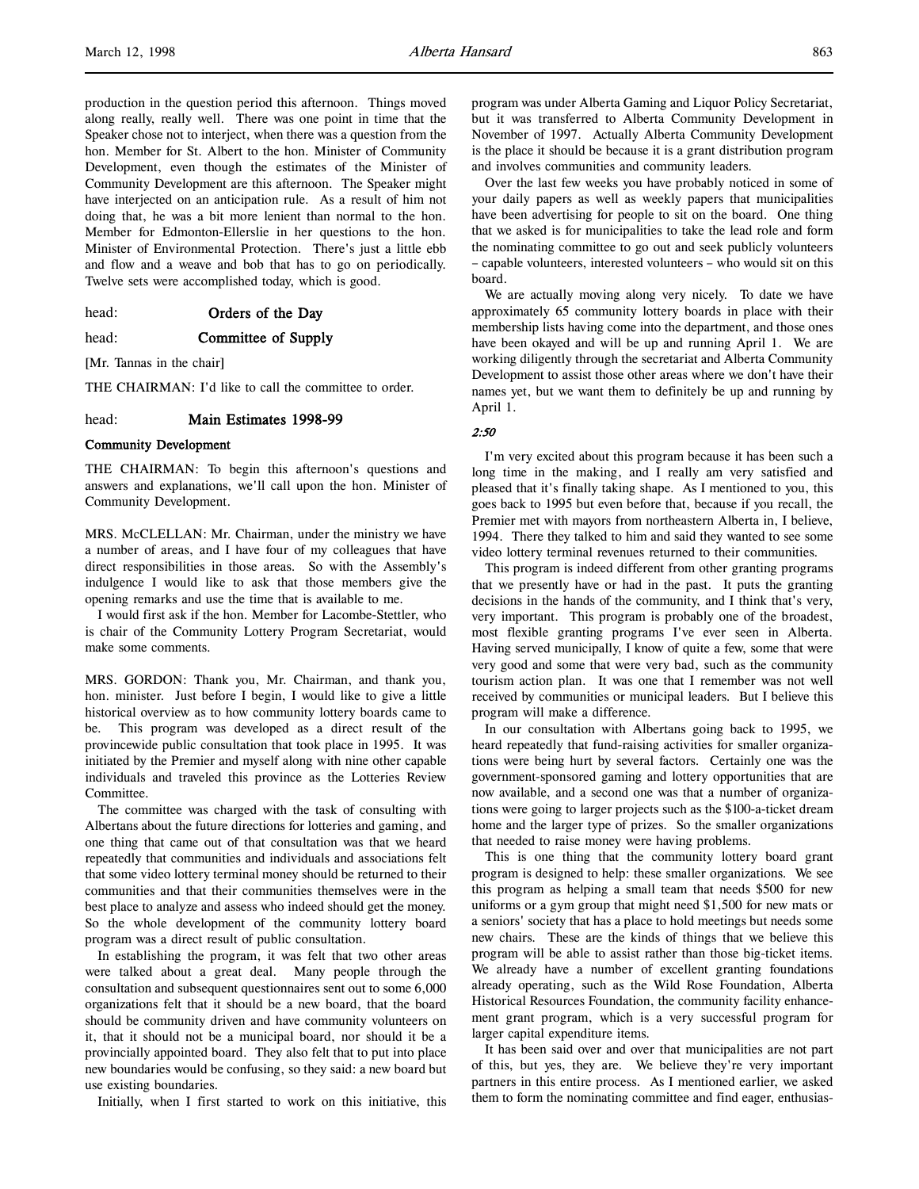production in the question period this afternoon. Things moved along really, really well. There was one point in time that the Speaker chose not to interject, when there was a question from the hon. Member for St. Albert to the hon. Minister of Community Development, even though the estimates of the Minister of Community Development are this afternoon. The Speaker might have interjected on an anticipation rule. As a result of him not doing that, he was a bit more lenient than normal to the hon. Member for Edmonton-Ellerslie in her questions to the hon. Minister of Environmental Protection. There's just a little ebb and flow and a weave and bob that has to go on periodically. Twelve sets were accomplished today, which is good.

head: Orders of the Day

# head: **Committee of Supply**

[Mr. Tannas in the chair]

THE CHAIRMAN: I'd like to call the committee to order.

# head: Main Estimates 1998-99

# Community Development

THE CHAIRMAN: To begin this afternoon's questions and answers and explanations, we'll call upon the hon. Minister of Community Development.

MRS. McCLELLAN: Mr. Chairman, under the ministry we have a number of areas, and I have four of my colleagues that have direct responsibilities in those areas. So with the Assembly's indulgence I would like to ask that those members give the opening remarks and use the time that is available to me.

I would first ask if the hon. Member for Lacombe-Stettler, who is chair of the Community Lottery Program Secretariat, would make some comments.

MRS. GORDON: Thank you, Mr. Chairman, and thank you, hon. minister. Just before I begin, I would like to give a little historical overview as to how community lottery boards came to be. This program was developed as a direct result of the provincewide public consultation that took place in 1995. It was initiated by the Premier and myself along with nine other capable individuals and traveled this province as the Lotteries Review Committee.

The committee was charged with the task of consulting with Albertans about the future directions for lotteries and gaming, and one thing that came out of that consultation was that we heard repeatedly that communities and individuals and associations felt that some video lottery terminal money should be returned to their communities and that their communities themselves were in the best place to analyze and assess who indeed should get the money. So the whole development of the community lottery board program was a direct result of public consultation.

In establishing the program, it was felt that two other areas were talked about a great deal. Many people through the consultation and subsequent questionnaires sent out to some 6,000 organizations felt that it should be a new board, that the board should be community driven and have community volunteers on it, that it should not be a municipal board, nor should it be a provincially appointed board. They also felt that to put into place new boundaries would be confusing, so they said: a new board but use existing boundaries.

Initially, when I first started to work on this initiative, this

program was under Alberta Gaming and Liquor Policy Secretariat, but it was transferred to Alberta Community Development in November of 1997. Actually Alberta Community Development is the place it should be because it is a grant distribution program and involves communities and community leaders.

Over the last few weeks you have probably noticed in some of your daily papers as well as weekly papers that municipalities have been advertising for people to sit on the board. One thing that we asked is for municipalities to take the lead role and form the nominating committee to go out and seek publicly volunteers – capable volunteers, interested volunteers – who would sit on this board.

We are actually moving along very nicely. To date we have approximately 65 community lottery boards in place with their membership lists having come into the department, and those ones have been okayed and will be up and running April 1. We are working diligently through the secretariat and Alberta Community Development to assist those other areas where we don't have their names yet, but we want them to definitely be up and running by April 1.

# 2:50

I'm very excited about this program because it has been such a long time in the making, and I really am very satisfied and pleased that it's finally taking shape. As I mentioned to you, this goes back to 1995 but even before that, because if you recall, the Premier met with mayors from northeastern Alberta in, I believe, 1994. There they talked to him and said they wanted to see some video lottery terminal revenues returned to their communities.

This program is indeed different from other granting programs that we presently have or had in the past. It puts the granting decisions in the hands of the community, and I think that's very, very important. This program is probably one of the broadest, most flexible granting programs I've ever seen in Alberta. Having served municipally, I know of quite a few, some that were very good and some that were very bad, such as the community tourism action plan. It was one that I remember was not well received by communities or municipal leaders. But I believe this program will make a difference.

In our consultation with Albertans going back to 1995, we heard repeatedly that fund-raising activities for smaller organizations were being hurt by several factors. Certainly one was the government-sponsored gaming and lottery opportunities that are now available, and a second one was that a number of organizations were going to larger projects such as the \$100-a-ticket dream home and the larger type of prizes. So the smaller organizations that needed to raise money were having problems.

This is one thing that the community lottery board grant program is designed to help: these smaller organizations. We see this program as helping a small team that needs \$500 for new uniforms or a gym group that might need \$1,500 for new mats or a seniors' society that has a place to hold meetings but needs some new chairs. These are the kinds of things that we believe this program will be able to assist rather than those big-ticket items. We already have a number of excellent granting foundations already operating, such as the Wild Rose Foundation, Alberta Historical Resources Foundation, the community facility enhancement grant program, which is a very successful program for larger capital expenditure items.

It has been said over and over that municipalities are not part of this, but yes, they are. We believe they're very important partners in this entire process. As I mentioned earlier, we asked them to form the nominating committee and find eager, enthusias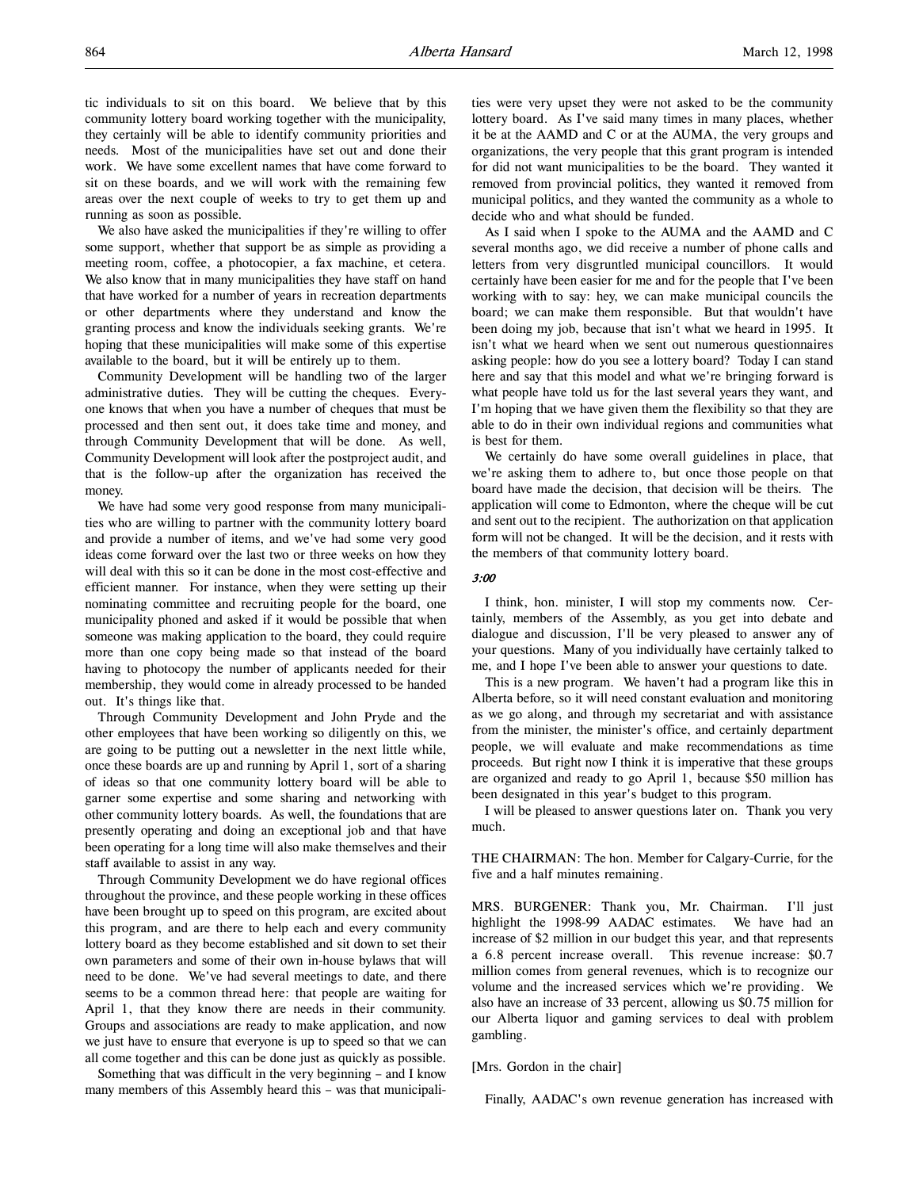tic individuals to sit on this board. We believe that by this community lottery board working together with the municipality, they certainly will be able to identify community priorities and needs. Most of the municipalities have set out and done their work. We have some excellent names that have come forward to sit on these boards, and we will work with the remaining few areas over the next couple of weeks to try to get them up and running as soon as possible.

We also have asked the municipalities if they're willing to offer some support, whether that support be as simple as providing a meeting room, coffee, a photocopier, a fax machine, et cetera. We also know that in many municipalities they have staff on hand that have worked for a number of years in recreation departments or other departments where they understand and know the granting process and know the individuals seeking grants. We're hoping that these municipalities will make some of this expertise available to the board, but it will be entirely up to them.

Community Development will be handling two of the larger administrative duties. They will be cutting the cheques. Everyone knows that when you have a number of cheques that must be processed and then sent out, it does take time and money, and through Community Development that will be done. As well, Community Development will look after the postproject audit, and that is the follow-up after the organization has received the money.

We have had some very good response from many municipalities who are willing to partner with the community lottery board and provide a number of items, and we've had some very good ideas come forward over the last two or three weeks on how they will deal with this so it can be done in the most cost-effective and efficient manner. For instance, when they were setting up their nominating committee and recruiting people for the board, one municipality phoned and asked if it would be possible that when someone was making application to the board, they could require more than one copy being made so that instead of the board having to photocopy the number of applicants needed for their membership, they would come in already processed to be handed out. It's things like that.

Through Community Development and John Pryde and the other employees that have been working so diligently on this, we are going to be putting out a newsletter in the next little while, once these boards are up and running by April 1, sort of a sharing of ideas so that one community lottery board will be able to garner some expertise and some sharing and networking with other community lottery boards. As well, the foundations that are presently operating and doing an exceptional job and that have been operating for a long time will also make themselves and their staff available to assist in any way.

Through Community Development we do have regional offices throughout the province, and these people working in these offices have been brought up to speed on this program, are excited about this program, and are there to help each and every community lottery board as they become established and sit down to set their own parameters and some of their own in-house bylaws that will need to be done. We've had several meetings to date, and there seems to be a common thread here: that people are waiting for April 1, that they know there are needs in their community. Groups and associations are ready to make application, and now we just have to ensure that everyone is up to speed so that we can all come together and this can be done just as quickly as possible.

Something that was difficult in the very beginning – and I know many members of this Assembly heard this – was that municipalities were very upset they were not asked to be the community lottery board. As I've said many times in many places, whether it be at the AAMD and C or at the AUMA, the very groups and organizations, the very people that this grant program is intended for did not want municipalities to be the board. They wanted it removed from provincial politics, they wanted it removed from municipal politics, and they wanted the community as a whole to decide who and what should be funded.

As I said when I spoke to the AUMA and the AAMD and C several months ago, we did receive a number of phone calls and letters from very disgruntled municipal councillors. It would certainly have been easier for me and for the people that I've been working with to say: hey, we can make municipal councils the board; we can make them responsible. But that wouldn't have been doing my job, because that isn't what we heard in 1995. It isn't what we heard when we sent out numerous questionnaires asking people: how do you see a lottery board? Today I can stand here and say that this model and what we're bringing forward is what people have told us for the last several years they want, and I'm hoping that we have given them the flexibility so that they are able to do in their own individual regions and communities what is best for them.

We certainly do have some overall guidelines in place, that we're asking them to adhere to, but once those people on that board have made the decision, that decision will be theirs. The application will come to Edmonton, where the cheque will be cut and sent out to the recipient. The authorization on that application form will not be changed. It will be the decision, and it rests with the members of that community lottery board.

### 3:00

I think, hon. minister, I will stop my comments now. Certainly, members of the Assembly, as you get into debate and dialogue and discussion, I'll be very pleased to answer any of your questions. Many of you individually have certainly talked to me, and I hope I've been able to answer your questions to date.

This is a new program. We haven't had a program like this in Alberta before, so it will need constant evaluation and monitoring as we go along, and through my secretariat and with assistance from the minister, the minister's office, and certainly department people, we will evaluate and make recommendations as time proceeds. But right now I think it is imperative that these groups are organized and ready to go April 1, because \$50 million has been designated in this year's budget to this program.

I will be pleased to answer questions later on. Thank you very much.

THE CHAIRMAN: The hon. Member for Calgary-Currie, for the five and a half minutes remaining.

MRS. BURGENER: Thank you, Mr. Chairman. I'll just highlight the 1998-99 AADAC estimates. We have had an increase of \$2 million in our budget this year, and that represents a 6.8 percent increase overall. This revenue increase: \$0.7 million comes from general revenues, which is to recognize our volume and the increased services which we're providing. We also have an increase of 33 percent, allowing us \$0.75 million for our Alberta liquor and gaming services to deal with problem gambling.

### [Mrs. Gordon in the chair]

Finally, AADAC's own revenue generation has increased with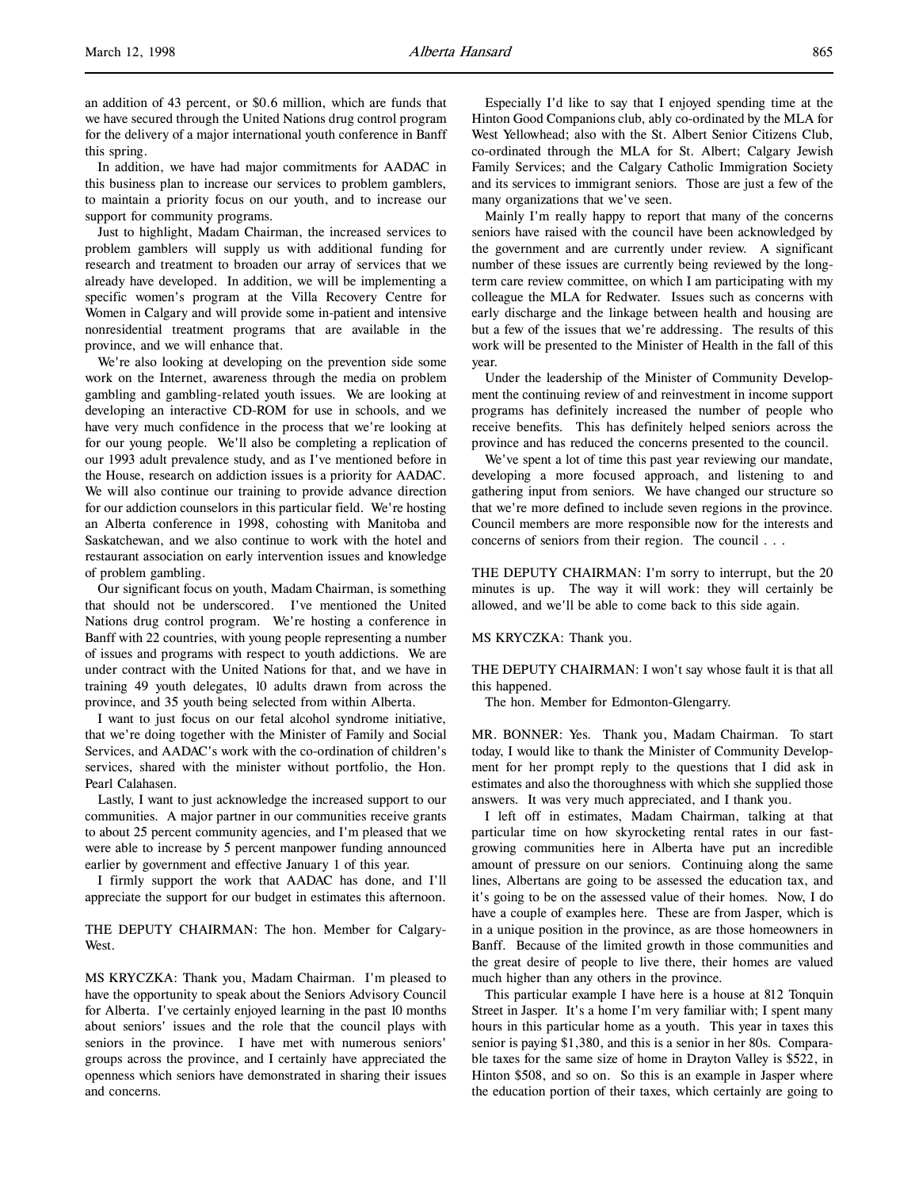an addition of 43 percent, or \$0.6 million, which are funds that we have secured through the United Nations drug control program for the delivery of a major international youth conference in Banff this spring.

In addition, we have had major commitments for AADAC in this business plan to increase our services to problem gamblers, to maintain a priority focus on our youth, and to increase our support for community programs.

Just to highlight, Madam Chairman, the increased services to problem gamblers will supply us with additional funding for research and treatment to broaden our array of services that we already have developed. In addition, we will be implementing a specific women's program at the Villa Recovery Centre for Women in Calgary and will provide some in-patient and intensive nonresidential treatment programs that are available in the province, and we will enhance that.

We're also looking at developing on the prevention side some work on the Internet, awareness through the media on problem gambling and gambling-related youth issues. We are looking at developing an interactive CD-ROM for use in schools, and we have very much confidence in the process that we're looking at for our young people. We'll also be completing a replication of our 1993 adult prevalence study, and as I've mentioned before in the House, research on addiction issues is a priority for AADAC. We will also continue our training to provide advance direction for our addiction counselors in this particular field. We're hosting an Alberta conference in 1998, cohosting with Manitoba and Saskatchewan, and we also continue to work with the hotel and restaurant association on early intervention issues and knowledge of problem gambling.

Our significant focus on youth, Madam Chairman, is something that should not be underscored. I've mentioned the United Nations drug control program. We're hosting a conference in Banff with 22 countries, with young people representing a number of issues and programs with respect to youth addictions. We are under contract with the United Nations for that, and we have in training 49 youth delegates, 10 adults drawn from across the province, and 35 youth being selected from within Alberta.

I want to just focus on our fetal alcohol syndrome initiative, that we're doing together with the Minister of Family and Social Services, and AADAC's work with the co-ordination of children's services, shared with the minister without portfolio, the Hon. Pearl Calahasen.

Lastly, I want to just acknowledge the increased support to our communities. A major partner in our communities receive grants to about 25 percent community agencies, and I'm pleased that we were able to increase by 5 percent manpower funding announced earlier by government and effective January 1 of this year.

I firmly support the work that AADAC has done, and I'll appreciate the support for our budget in estimates this afternoon.

# THE DEPUTY CHAIRMAN: The hon. Member for Calgary-West.

MS KRYCZKA: Thank you, Madam Chairman. I'm pleased to have the opportunity to speak about the Seniors Advisory Council for Alberta. I've certainly enjoyed learning in the past 10 months about seniors' issues and the role that the council plays with seniors in the province. I have met with numerous seniors' groups across the province, and I certainly have appreciated the openness which seniors have demonstrated in sharing their issues and concerns.

Especially I'd like to say that I enjoyed spending time at the Hinton Good Companions club, ably co-ordinated by the MLA for West Yellowhead; also with the St. Albert Senior Citizens Club, co-ordinated through the MLA for St. Albert; Calgary Jewish Family Services; and the Calgary Catholic Immigration Society and its services to immigrant seniors. Those are just a few of the many organizations that we've seen.

Mainly I'm really happy to report that many of the concerns seniors have raised with the council have been acknowledged by the government and are currently under review. A significant number of these issues are currently being reviewed by the longterm care review committee, on which I am participating with my colleague the MLA for Redwater. Issues such as concerns with early discharge and the linkage between health and housing are but a few of the issues that we're addressing. The results of this work will be presented to the Minister of Health in the fall of this year.

Under the leadership of the Minister of Community Development the continuing review of and reinvestment in income support programs has definitely increased the number of people who receive benefits. This has definitely helped seniors across the province and has reduced the concerns presented to the council.

We've spent a lot of time this past year reviewing our mandate, developing a more focused approach, and listening to and gathering input from seniors. We have changed our structure so that we're more defined to include seven regions in the province. Council members are more responsible now for the interests and concerns of seniors from their region. The council . . .

THE DEPUTY CHAIRMAN: I'm sorry to interrupt, but the 20 minutes is up. The way it will work: they will certainly be allowed, and we'll be able to come back to this side again.

### MS KRYCZKA: Thank you.

THE DEPUTY CHAIRMAN: I won't say whose fault it is that all this happened.

The hon. Member for Edmonton-Glengarry.

MR. BONNER: Yes. Thank you, Madam Chairman. To start today, I would like to thank the Minister of Community Development for her prompt reply to the questions that I did ask in estimates and also the thoroughness with which she supplied those answers. It was very much appreciated, and I thank you.

I left off in estimates, Madam Chairman, talking at that particular time on how skyrocketing rental rates in our fastgrowing communities here in Alberta have put an incredible amount of pressure on our seniors. Continuing along the same lines, Albertans are going to be assessed the education tax, and it's going to be on the assessed value of their homes. Now, I do have a couple of examples here. These are from Jasper, which is in a unique position in the province, as are those homeowners in Banff. Because of the limited growth in those communities and the great desire of people to live there, their homes are valued much higher than any others in the province.

This particular example I have here is a house at 812 Tonquin Street in Jasper. It's a home I'm very familiar with; I spent many hours in this particular home as a youth. This year in taxes this senior is paying \$1,380, and this is a senior in her 80s. Comparable taxes for the same size of home in Drayton Valley is \$522, in Hinton \$508, and so on. So this is an example in Jasper where the education portion of their taxes, which certainly are going to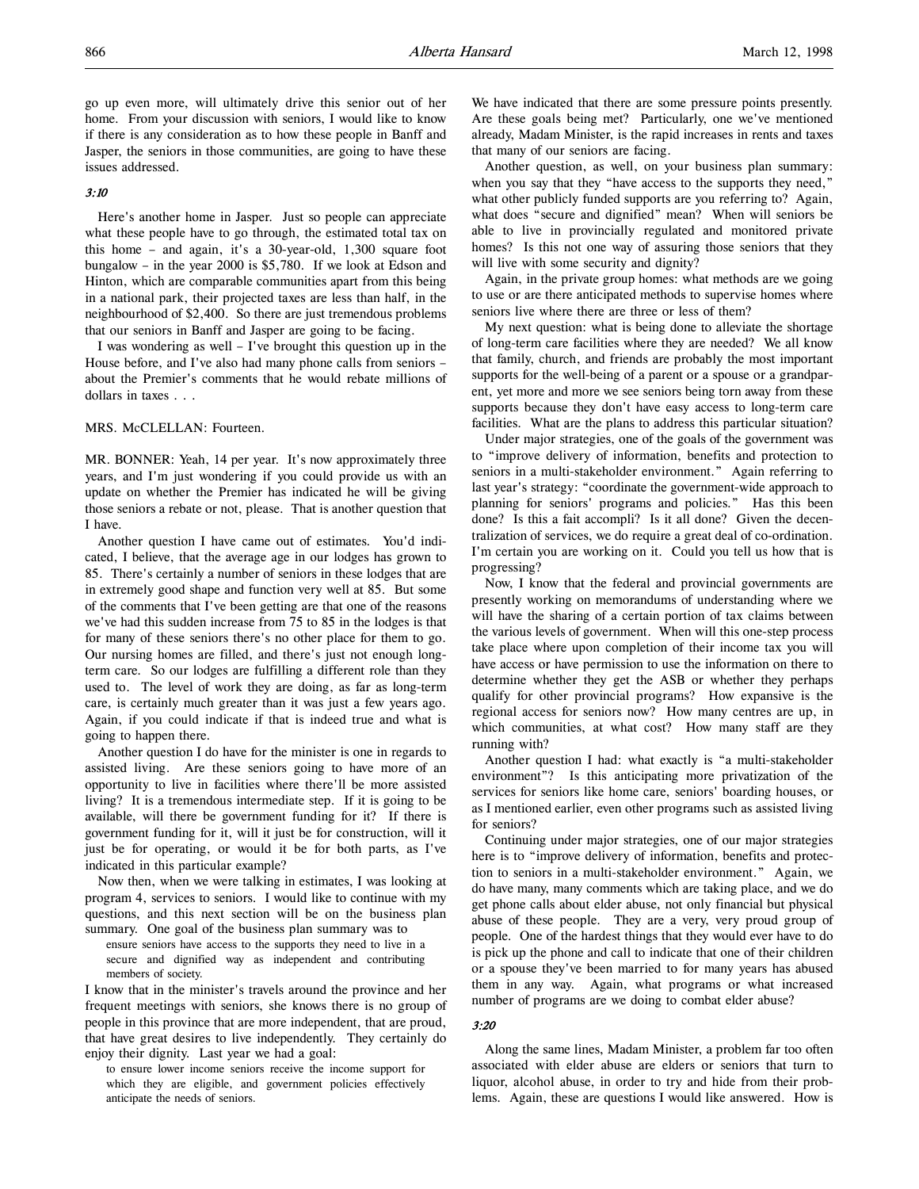go up even more, will ultimately drive this senior out of her home. From your discussion with seniors, I would like to know if there is any consideration as to how these people in Banff and Jasper, the seniors in those communities, are going to have these issues addressed.

### 3:10

Here's another home in Jasper. Just so people can appreciate what these people have to go through, the estimated total tax on this home – and again, it's a 30-year-old, 1,300 square foot bungalow – in the year 2000 is \$5,780. If we look at Edson and Hinton, which are comparable communities apart from this being in a national park, their projected taxes are less than half, in the neighbourhood of \$2,400. So there are just tremendous problems that our seniors in Banff and Jasper are going to be facing.

I was wondering as well – I've brought this question up in the House before, and I've also had many phone calls from seniors – about the Premier's comments that he would rebate millions of dollars in taxes . . .

MRS. McCLELLAN: Fourteen.

MR. BONNER: Yeah, 14 per year. It's now approximately three years, and I'm just wondering if you could provide us with an update on whether the Premier has indicated he will be giving those seniors a rebate or not, please. That is another question that I have.

Another question I have came out of estimates. You'd indicated, I believe, that the average age in our lodges has grown to 85. There's certainly a number of seniors in these lodges that are in extremely good shape and function very well at 85. But some of the comments that I've been getting are that one of the reasons we've had this sudden increase from 75 to 85 in the lodges is that for many of these seniors there's no other place for them to go. Our nursing homes are filled, and there's just not enough longterm care. So our lodges are fulfilling a different role than they used to. The level of work they are doing, as far as long-term care, is certainly much greater than it was just a few years ago. Again, if you could indicate if that is indeed true and what is going to happen there.

Another question I do have for the minister is one in regards to assisted living. Are these seniors going to have more of an opportunity to live in facilities where there'll be more assisted living? It is a tremendous intermediate step. If it is going to be available, will there be government funding for it? If there is government funding for it, will it just be for construction, will it just be for operating, or would it be for both parts, as I've indicated in this particular example?

Now then, when we were talking in estimates, I was looking at program 4, services to seniors. I would like to continue with my questions, and this next section will be on the business plan summary. One goal of the business plan summary was to

ensure seniors have access to the supports they need to live in a secure and dignified way as independent and contributing members of society.

I know that in the minister's travels around the province and her frequent meetings with seniors, she knows there is no group of people in this province that are more independent, that are proud, that have great desires to live independently. They certainly do enjoy their dignity. Last year we had a goal:

to ensure lower income seniors receive the income support for which they are eligible, and government policies effectively anticipate the needs of seniors.

We have indicated that there are some pressure points presently. Are these goals being met? Particularly, one we've mentioned already, Madam Minister, is the rapid increases in rents and taxes that many of our seniors are facing.

Another question, as well, on your business plan summary: when you say that they "have access to the supports they need," what other publicly funded supports are you referring to? Again, what does "secure and dignified" mean? When will seniors be able to live in provincially regulated and monitored private homes? Is this not one way of assuring those seniors that they will live with some security and dignity?

Again, in the private group homes: what methods are we going to use or are there anticipated methods to supervise homes where seniors live where there are three or less of them?

My next question: what is being done to alleviate the shortage of long-term care facilities where they are needed? We all know that family, church, and friends are probably the most important supports for the well-being of a parent or a spouse or a grandparent, yet more and more we see seniors being torn away from these supports because they don't have easy access to long-term care facilities. What are the plans to address this particular situation?

Under major strategies, one of the goals of the government was to "improve delivery of information, benefits and protection to seniors in a multi-stakeholder environment." Again referring to last year's strategy: "coordinate the government-wide approach to planning for seniors' programs and policies." Has this been done? Is this a fait accompli? Is it all done? Given the decentralization of services, we do require a great deal of co-ordination. I'm certain you are working on it. Could you tell us how that is progressing?

Now, I know that the federal and provincial governments are presently working on memorandums of understanding where we will have the sharing of a certain portion of tax claims between the various levels of government. When will this one-step process take place where upon completion of their income tax you will have access or have permission to use the information on there to determine whether they get the ASB or whether they perhaps qualify for other provincial programs? How expansive is the regional access for seniors now? How many centres are up, in which communities, at what cost? How many staff are they running with?

Another question I had: what exactly is "a multi-stakeholder environment"? Is this anticipating more privatization of the services for seniors like home care, seniors' boarding houses, or as I mentioned earlier, even other programs such as assisted living for seniors?

Continuing under major strategies, one of our major strategies here is to "improve delivery of information, benefits and protection to seniors in a multi-stakeholder environment." Again, we do have many, many comments which are taking place, and we do get phone calls about elder abuse, not only financial but physical abuse of these people. They are a very, very proud group of people. One of the hardest things that they would ever have to do is pick up the phone and call to indicate that one of their children or a spouse they've been married to for many years has abused them in any way. Again, what programs or what increased number of programs are we doing to combat elder abuse?

### 3:20

Along the same lines, Madam Minister, a problem far too often associated with elder abuse are elders or seniors that turn to liquor, alcohol abuse, in order to try and hide from their problems. Again, these are questions I would like answered. How is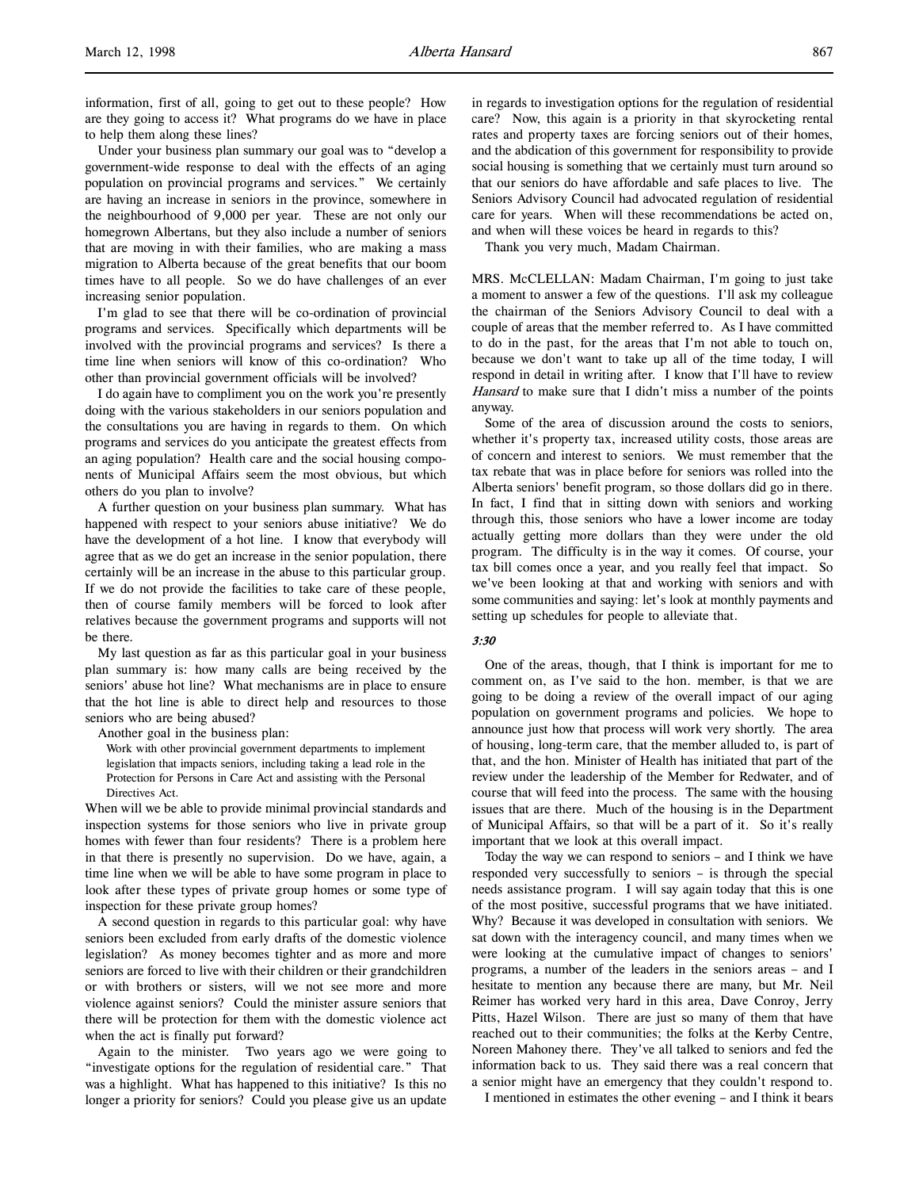information, first of all, going to get out to these people? How are they going to access it? What programs do we have in place to help them along these lines?

Under your business plan summary our goal was to "develop a government-wide response to deal with the effects of an aging population on provincial programs and services." We certainly are having an increase in seniors in the province, somewhere in the neighbourhood of 9,000 per year. These are not only our homegrown Albertans, but they also include a number of seniors that are moving in with their families, who are making a mass migration to Alberta because of the great benefits that our boom times have to all people. So we do have challenges of an ever increasing senior population.

I'm glad to see that there will be co-ordination of provincial programs and services. Specifically which departments will be involved with the provincial programs and services? Is there a time line when seniors will know of this co-ordination? Who other than provincial government officials will be involved?

I do again have to compliment you on the work you're presently doing with the various stakeholders in our seniors population and the consultations you are having in regards to them. On which programs and services do you anticipate the greatest effects from an aging population? Health care and the social housing components of Municipal Affairs seem the most obvious, but which others do you plan to involve?

A further question on your business plan summary. What has happened with respect to your seniors abuse initiative? We do have the development of a hot line. I know that everybody will agree that as we do get an increase in the senior population, there certainly will be an increase in the abuse to this particular group. If we do not provide the facilities to take care of these people, then of course family members will be forced to look after relatives because the government programs and supports will not be there.

My last question as far as this particular goal in your business plan summary is: how many calls are being received by the seniors' abuse hot line? What mechanisms are in place to ensure that the hot line is able to direct help and resources to those seniors who are being abused?

Another goal in the business plan:

Work with other provincial government departments to implement legislation that impacts seniors, including taking a lead role in the Protection for Persons in Care Act and assisting with the Personal Directives Act.

When will we be able to provide minimal provincial standards and inspection systems for those seniors who live in private group homes with fewer than four residents? There is a problem here in that there is presently no supervision. Do we have, again, a time line when we will be able to have some program in place to look after these types of private group homes or some type of inspection for these private group homes?

A second question in regards to this particular goal: why have seniors been excluded from early drafts of the domestic violence legislation? As money becomes tighter and as more and more seniors are forced to live with their children or their grandchildren or with brothers or sisters, will we not see more and more violence against seniors? Could the minister assure seniors that there will be protection for them with the domestic violence act when the act is finally put forward?

Again to the minister. Two years ago we were going to "investigate options for the regulation of residential care." That was a highlight. What has happened to this initiative? Is this no longer a priority for seniors? Could you please give us an update

in regards to investigation options for the regulation of residential care? Now, this again is a priority in that skyrocketing rental rates and property taxes are forcing seniors out of their homes, and the abdication of this government for responsibility to provide social housing is something that we certainly must turn around so that our seniors do have affordable and safe places to live. The Seniors Advisory Council had advocated regulation of residential care for years. When will these recommendations be acted on, and when will these voices be heard in regards to this?

Thank you very much, Madam Chairman.

MRS. McCLELLAN: Madam Chairman, I'm going to just take a moment to answer a few of the questions. I'll ask my colleague the chairman of the Seniors Advisory Council to deal with a couple of areas that the member referred to. As I have committed to do in the past, for the areas that I'm not able to touch on, because we don't want to take up all of the time today, I will respond in detail in writing after. I know that I'll have to review Hansard to make sure that I didn't miss a number of the points anyway.

Some of the area of discussion around the costs to seniors, whether it's property tax, increased utility costs, those areas are of concern and interest to seniors. We must remember that the tax rebate that was in place before for seniors was rolled into the Alberta seniors' benefit program, so those dollars did go in there. In fact, I find that in sitting down with seniors and working through this, those seniors who have a lower income are today actually getting more dollars than they were under the old program. The difficulty is in the way it comes. Of course, your tax bill comes once a year, and you really feel that impact. So we've been looking at that and working with seniors and with some communities and saying: let's look at monthly payments and setting up schedules for people to alleviate that.

#### 3:30

One of the areas, though, that I think is important for me to comment on, as I've said to the hon. member, is that we are going to be doing a review of the overall impact of our aging population on government programs and policies. We hope to announce just how that process will work very shortly. The area of housing, long-term care, that the member alluded to, is part of that, and the hon. Minister of Health has initiated that part of the review under the leadership of the Member for Redwater, and of course that will feed into the process. The same with the housing issues that are there. Much of the housing is in the Department of Municipal Affairs, so that will be a part of it. So it's really important that we look at this overall impact.

Today the way we can respond to seniors – and I think we have responded very successfully to seniors – is through the special needs assistance program. I will say again today that this is one of the most positive, successful programs that we have initiated. Why? Because it was developed in consultation with seniors. We sat down with the interagency council, and many times when we were looking at the cumulative impact of changes to seniors' programs, a number of the leaders in the seniors areas – and I hesitate to mention any because there are many, but Mr. Neil Reimer has worked very hard in this area, Dave Conroy, Jerry Pitts, Hazel Wilson. There are just so many of them that have reached out to their communities; the folks at the Kerby Centre, Noreen Mahoney there. They've all talked to seniors and fed the information back to us. They said there was a real concern that a senior might have an emergency that they couldn't respond to.

I mentioned in estimates the other evening – and I think it bears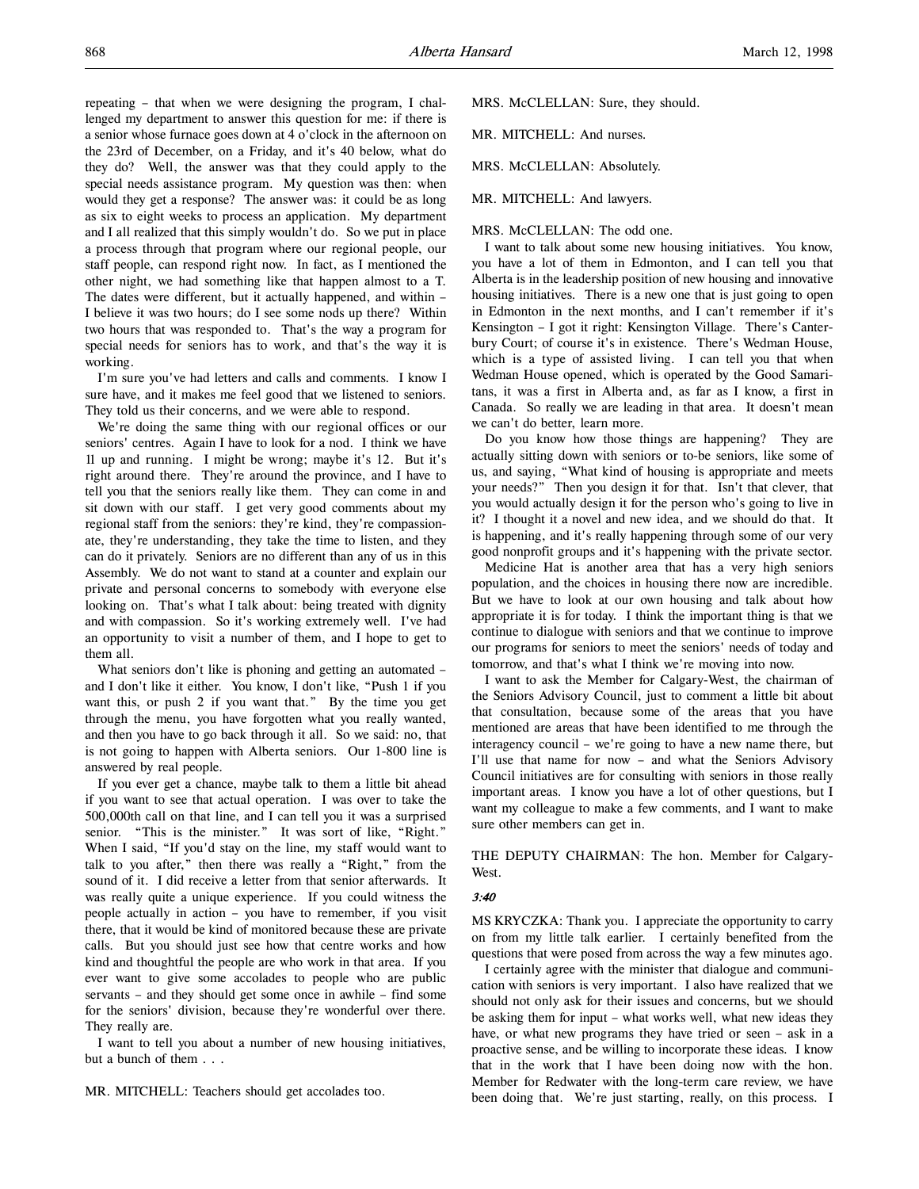repeating – that when we were designing the program, I challenged my department to answer this question for me: if there is a senior whose furnace goes down at 4 o'clock in the afternoon on the 23rd of December, on a Friday, and it's 40 below, what do they do? Well, the answer was that they could apply to the special needs assistance program. My question was then: when would they get a response? The answer was: it could be as long as six to eight weeks to process an application. My department and I all realized that this simply wouldn't do. So we put in place a process through that program where our regional people, our staff people, can respond right now. In fact, as I mentioned the other night, we had something like that happen almost to a T. The dates were different, but it actually happened, and within – I believe it was two hours; do I see some nods up there? Within two hours that was responded to. That's the way a program for special needs for seniors has to work, and that's the way it is working.

I'm sure you've had letters and calls and comments. I know I sure have, and it makes me feel good that we listened to seniors. They told us their concerns, and we were able to respond.

We're doing the same thing with our regional offices or our seniors' centres. Again I have to look for a nod. I think we have 11 up and running. I might be wrong; maybe it's 12. But it's right around there. They're around the province, and I have to tell you that the seniors really like them. They can come in and sit down with our staff. I get very good comments about my regional staff from the seniors: they're kind, they're compassionate, they're understanding, they take the time to listen, and they can do it privately. Seniors are no different than any of us in this Assembly. We do not want to stand at a counter and explain our private and personal concerns to somebody with everyone else looking on. That's what I talk about: being treated with dignity and with compassion. So it's working extremely well. I've had an opportunity to visit a number of them, and I hope to get to them all.

What seniors don't like is phoning and getting an automated – and I don't like it either. You know, I don't like, "Push 1 if you want this, or push 2 if you want that." By the time you get through the menu, you have forgotten what you really wanted, and then you have to go back through it all. So we said: no, that is not going to happen with Alberta seniors. Our 1-800 line is answered by real people.

If you ever get a chance, maybe talk to them a little bit ahead if you want to see that actual operation. I was over to take the 500,000th call on that line, and I can tell you it was a surprised senior. "This is the minister." It was sort of like, "Right." When I said, "If you'd stay on the line, my staff would want to talk to you after," then there was really a "Right," from the sound of it. I did receive a letter from that senior afterwards. It was really quite a unique experience. If you could witness the people actually in action – you have to remember, if you visit there, that it would be kind of monitored because these are private calls. But you should just see how that centre works and how kind and thoughtful the people are who work in that area. If you ever want to give some accolades to people who are public servants – and they should get some once in awhile – find some for the seniors' division, because they're wonderful over there. They really are.

I want to tell you about a number of new housing initiatives, but a bunch of them  $\ldots$ 

MRS. McCLELLAN: Sure, they should.

MR. MITCHELL: And nurses.

MRS. McCLELLAN: Absolutely.

MR. MITCHELL: And lawyers.

#### MRS. McCLELLAN: The odd one.

I want to talk about some new housing initiatives. You know, you have a lot of them in Edmonton, and I can tell you that Alberta is in the leadership position of new housing and innovative housing initiatives. There is a new one that is just going to open in Edmonton in the next months, and I can't remember if it's Kensington – I got it right: Kensington Village. There's Canterbury Court; of course it's in existence. There's Wedman House, which is a type of assisted living. I can tell you that when Wedman House opened, which is operated by the Good Samaritans, it was a first in Alberta and, as far as I know, a first in Canada. So really we are leading in that area. It doesn't mean we can't do better, learn more.

Do you know how those things are happening? They are actually sitting down with seniors or to-be seniors, like some of us, and saying, "What kind of housing is appropriate and meets your needs?" Then you design it for that. Isn't that clever, that you would actually design it for the person who's going to live in it? I thought it a novel and new idea, and we should do that. It is happening, and it's really happening through some of our very good nonprofit groups and it's happening with the private sector.

Medicine Hat is another area that has a very high seniors population, and the choices in housing there now are incredible. But we have to look at our own housing and talk about how appropriate it is for today. I think the important thing is that we continue to dialogue with seniors and that we continue to improve our programs for seniors to meet the seniors' needs of today and tomorrow, and that's what I think we're moving into now.

I want to ask the Member for Calgary-West, the chairman of the Seniors Advisory Council, just to comment a little bit about that consultation, because some of the areas that you have mentioned are areas that have been identified to me through the interagency council – we're going to have a new name there, but I'll use that name for now – and what the Seniors Advisory Council initiatives are for consulting with seniors in those really important areas. I know you have a lot of other questions, but I want my colleague to make a few comments, and I want to make sure other members can get in.

THE DEPUTY CHAIRMAN: The hon. Member for Calgary-West.

#### 3:40

MS KRYCZKA: Thank you. I appreciate the opportunity to carry on from my little talk earlier. I certainly benefited from the questions that were posed from across the way a few minutes ago.

I certainly agree with the minister that dialogue and communication with seniors is very important. I also have realized that we should not only ask for their issues and concerns, but we should be asking them for input – what works well, what new ideas they have, or what new programs they have tried or seen – ask in a proactive sense, and be willing to incorporate these ideas. I know that in the work that I have been doing now with the hon. Member for Redwater with the long-term care review, we have been doing that. We're just starting, really, on this process. I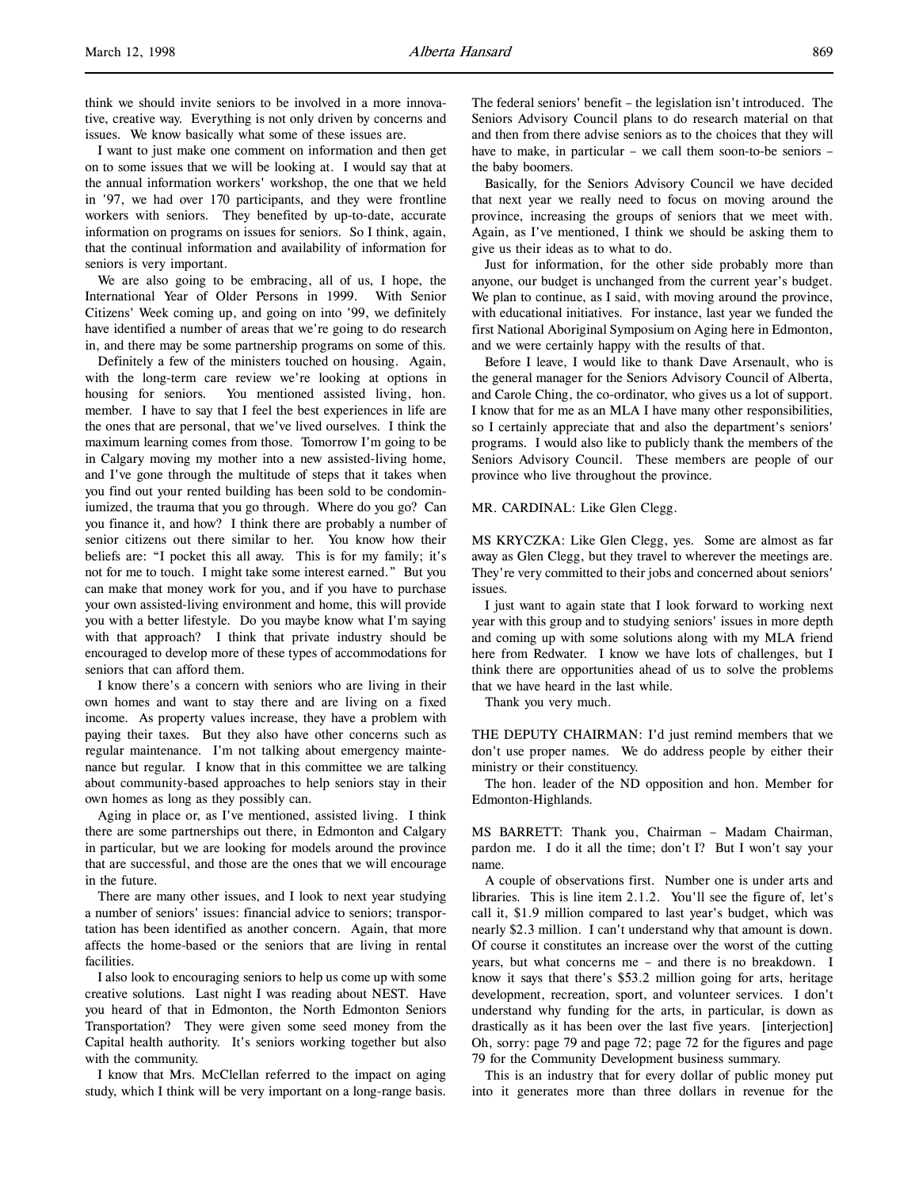think we should invite seniors to be involved in a more innovative, creative way. Everything is not only driven by concerns and issues. We know basically what some of these issues are.

I want to just make one comment on information and then get on to some issues that we will be looking at. I would say that at the annual information workers' workshop, the one that we held in '97, we had over 170 participants, and they were frontline workers with seniors. They benefited by up-to-date, accurate information on programs on issues for seniors. So I think, again, that the continual information and availability of information for seniors is very important.

We are also going to be embracing, all of us, I hope, the International Year of Older Persons in 1999. With Senior Citizens' Week coming up, and going on into '99, we definitely have identified a number of areas that we're going to do research in, and there may be some partnership programs on some of this.

Definitely a few of the ministers touched on housing. Again, with the long-term care review we're looking at options in housing for seniors. You mentioned assisted living, hon. member. I have to say that I feel the best experiences in life are the ones that are personal, that we've lived ourselves. I think the maximum learning comes from those. Tomorrow I'm going to be in Calgary moving my mother into a new assisted-living home, and I've gone through the multitude of steps that it takes when you find out your rented building has been sold to be condominiumized, the trauma that you go through. Where do you go? Can you finance it, and how? I think there are probably a number of senior citizens out there similar to her. You know how their beliefs are: "I pocket this all away. This is for my family; it's not for me to touch. I might take some interest earned." But you can make that money work for you, and if you have to purchase your own assisted-living environment and home, this will provide you with a better lifestyle. Do you maybe know what I'm saying with that approach? I think that private industry should be encouraged to develop more of these types of accommodations for seniors that can afford them.

I know there's a concern with seniors who are living in their own homes and want to stay there and are living on a fixed income. As property values increase, they have a problem with paying their taxes. But they also have other concerns such as regular maintenance. I'm not talking about emergency maintenance but regular. I know that in this committee we are talking about community-based approaches to help seniors stay in their own homes as long as they possibly can.

Aging in place or, as I've mentioned, assisted living. I think there are some partnerships out there, in Edmonton and Calgary in particular, but we are looking for models around the province that are successful, and those are the ones that we will encourage in the future.

There are many other issues, and I look to next year studying a number of seniors' issues: financial advice to seniors; transportation has been identified as another concern. Again, that more affects the home-based or the seniors that are living in rental facilities.

I also look to encouraging seniors to help us come up with some creative solutions. Last night I was reading about NEST. Have you heard of that in Edmonton, the North Edmonton Seniors Transportation? They were given some seed money from the Capital health authority. It's seniors working together but also with the community.

I know that Mrs. McClellan referred to the impact on aging study, which I think will be very important on a long-range basis.

The federal seniors' benefit – the legislation isn't introduced. The Seniors Advisory Council plans to do research material on that and then from there advise seniors as to the choices that they will have to make, in particular – we call them soon-to-be seniors – the baby boomers.

Basically, for the Seniors Advisory Council we have decided that next year we really need to focus on moving around the province, increasing the groups of seniors that we meet with. Again, as I've mentioned, I think we should be asking them to give us their ideas as to what to do.

Just for information, for the other side probably more than anyone, our budget is unchanged from the current year's budget. We plan to continue, as I said, with moving around the province, with educational initiatives. For instance, last year we funded the first National Aboriginal Symposium on Aging here in Edmonton, and we were certainly happy with the results of that.

Before I leave, I would like to thank Dave Arsenault, who is the general manager for the Seniors Advisory Council of Alberta, and Carole Ching, the co-ordinator, who gives us a lot of support. I know that for me as an MLA I have many other responsibilities, so I certainly appreciate that and also the department's seniors' programs. I would also like to publicly thank the members of the Seniors Advisory Council. These members are people of our province who live throughout the province.

MR. CARDINAL: Like Glen Clegg.

MS KRYCZKA: Like Glen Clegg, yes. Some are almost as far away as Glen Clegg, but they travel to wherever the meetings are. They're very committed to their jobs and concerned about seniors' issues.

I just want to again state that I look forward to working next year with this group and to studying seniors' issues in more depth and coming up with some solutions along with my MLA friend here from Redwater. I know we have lots of challenges, but I think there are opportunities ahead of us to solve the problems that we have heard in the last while.

Thank you very much.

THE DEPUTY CHAIRMAN: I'd just remind members that we don't use proper names. We do address people by either their ministry or their constituency.

The hon. leader of the ND opposition and hon. Member for Edmonton-Highlands.

MS BARRETT: Thank you, Chairman – Madam Chairman, pardon me. I do it all the time; don't I? But I won't say your name.

A couple of observations first. Number one is under arts and libraries. This is line item 2.1.2. You'll see the figure of, let's call it, \$1.9 million compared to last year's budget, which was nearly \$2.3 million. I can't understand why that amount is down. Of course it constitutes an increase over the worst of the cutting years, but what concerns me – and there is no breakdown. I know it says that there's \$53.2 million going for arts, heritage development, recreation, sport, and volunteer services. I don't understand why funding for the arts, in particular, is down as drastically as it has been over the last five years. [interjection] Oh, sorry: page 79 and page 72; page 72 for the figures and page 79 for the Community Development business summary.

This is an industry that for every dollar of public money put into it generates more than three dollars in revenue for the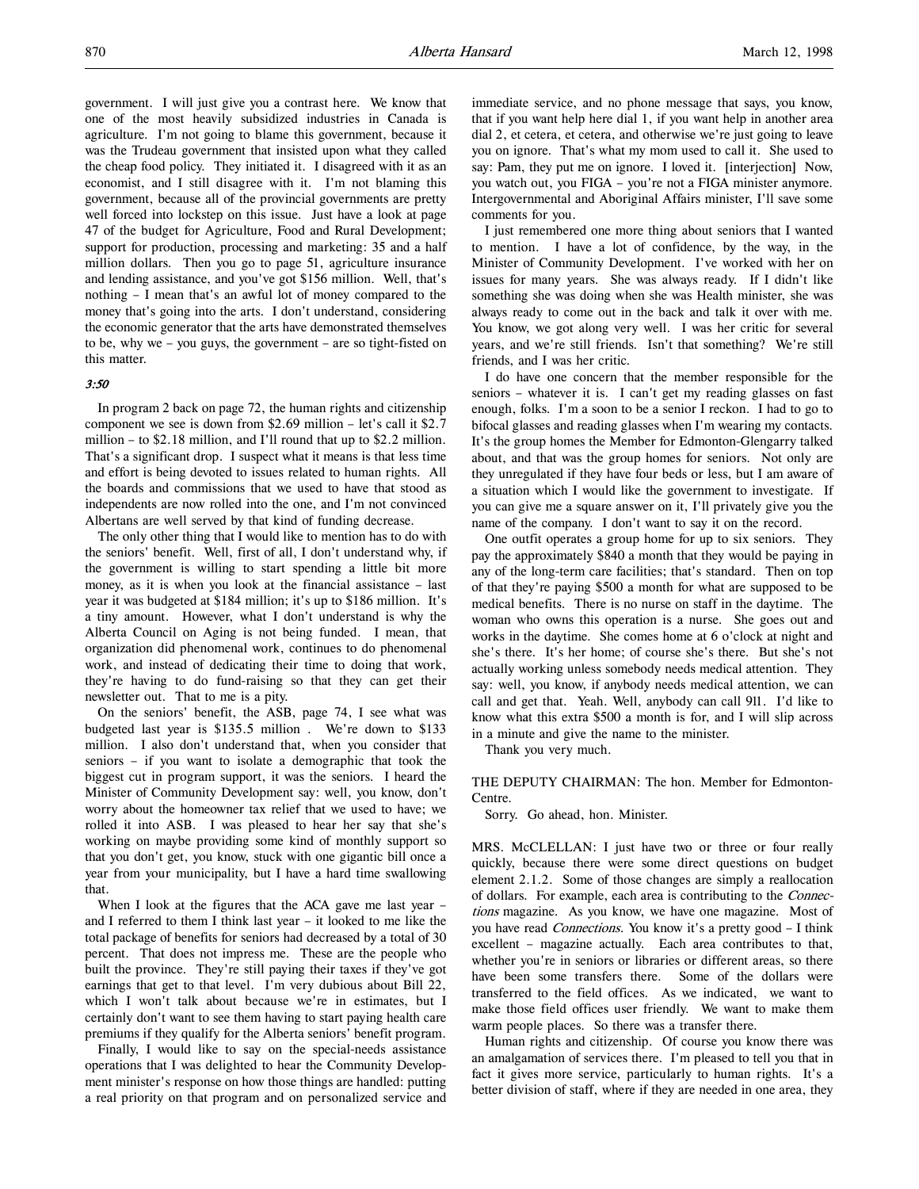government. I will just give you a contrast here. We know that one of the most heavily subsidized industries in Canada is agriculture. I'm not going to blame this government, because it was the Trudeau government that insisted upon what they called the cheap food policy. They initiated it. I disagreed with it as an economist, and I still disagree with it. I'm not blaming this government, because all of the provincial governments are pretty well forced into lockstep on this issue. Just have a look at page 47 of the budget for Agriculture, Food and Rural Development; support for production, processing and marketing: 35 and a half million dollars. Then you go to page 51, agriculture insurance and lending assistance, and you've got \$156 million. Well, that's nothing – I mean that's an awful lot of money compared to the money that's going into the arts. I don't understand, considering the economic generator that the arts have demonstrated themselves to be, why we – you guys, the government – are so tight-fisted on this matter.

### 3:50

In program 2 back on page 72, the human rights and citizenship component we see is down from \$2.69 million – let's call it \$2.7 million – to \$2.18 million, and I'll round that up to \$2.2 million. That's a significant drop. I suspect what it means is that less time and effort is being devoted to issues related to human rights. All the boards and commissions that we used to have that stood as independents are now rolled into the one, and I'm not convinced Albertans are well served by that kind of funding decrease.

The only other thing that I would like to mention has to do with the seniors' benefit. Well, first of all, I don't understand why, if the government is willing to start spending a little bit more money, as it is when you look at the financial assistance – last year it was budgeted at \$184 million; it's up to \$186 million. It's a tiny amount. However, what I don't understand is why the Alberta Council on Aging is not being funded. I mean, that organization did phenomenal work, continues to do phenomenal work, and instead of dedicating their time to doing that work, they're having to do fund-raising so that they can get their newsletter out. That to me is a pity.

On the seniors' benefit, the ASB, page 74, I see what was budgeted last year is \$135.5 million . We're down to \$133 million. I also don't understand that, when you consider that seniors – if you want to isolate a demographic that took the biggest cut in program support, it was the seniors. I heard the Minister of Community Development say: well, you know, don't worry about the homeowner tax relief that we used to have; we rolled it into ASB. I was pleased to hear her say that she's working on maybe providing some kind of monthly support so that you don't get, you know, stuck with one gigantic bill once a year from your municipality, but I have a hard time swallowing that.

When I look at the figures that the ACA gave me last year and I referred to them I think last year – it looked to me like the total package of benefits for seniors had decreased by a total of 30 percent. That does not impress me. These are the people who built the province. They're still paying their taxes if they've got earnings that get to that level. I'm very dubious about Bill 22, which I won't talk about because we're in estimates, but I certainly don't want to see them having to start paying health care premiums if they qualify for the Alberta seniors' benefit program.

Finally, I would like to say on the special-needs assistance operations that I was delighted to hear the Community Development minister's response on how those things are handled: putting a real priority on that program and on personalized service and

immediate service, and no phone message that says, you know, that if you want help here dial 1, if you want help in another area dial 2, et cetera, et cetera, and otherwise we're just going to leave you on ignore. That's what my mom used to call it. She used to say: Pam, they put me on ignore. I loved it. [interjection] Now, you watch out, you FIGA – you're not a FIGA minister anymore. Intergovernmental and Aboriginal Affairs minister, I'll save some comments for you.

I just remembered one more thing about seniors that I wanted to mention. I have a lot of confidence, by the way, in the Minister of Community Development. I've worked with her on issues for many years. She was always ready. If I didn't like something she was doing when she was Health minister, she was always ready to come out in the back and talk it over with me. You know, we got along very well. I was her critic for several years, and we're still friends. Isn't that something? We're still friends, and I was her critic.

I do have one concern that the member responsible for the seniors – whatever it is. I can't get my reading glasses on fast enough, folks. I'm a soon to be a senior I reckon. I had to go to bifocal glasses and reading glasses when I'm wearing my contacts. It's the group homes the Member for Edmonton-Glengarry talked about, and that was the group homes for seniors. Not only are they unregulated if they have four beds or less, but I am aware of a situation which I would like the government to investigate. If you can give me a square answer on it, I'll privately give you the name of the company. I don't want to say it on the record.

One outfit operates a group home for up to six seniors. They pay the approximately \$840 a month that they would be paying in any of the long-term care facilities; that's standard. Then on top of that they're paying \$500 a month for what are supposed to be medical benefits. There is no nurse on staff in the daytime. The woman who owns this operation is a nurse. She goes out and works in the daytime. She comes home at 6 o'clock at night and she's there. It's her home; of course she's there. But she's not actually working unless somebody needs medical attention. They say: well, you know, if anybody needs medical attention, we can call and get that. Yeah. Well, anybody can call 911. I'd like to know what this extra \$500 a month is for, and I will slip across in a minute and give the name to the minister.

Thank you very much.

THE DEPUTY CHAIRMAN: The hon. Member for Edmonton-Centre.

Sorry. Go ahead, hon. Minister.

MRS. McCLELLAN: I just have two or three or four really quickly, because there were some direct questions on budget element 2.1.2. Some of those changes are simply a reallocation of dollars. For example, each area is contributing to the Connections magazine. As you know, we have one magazine. Most of you have read *Connections*. You know it's a pretty good - I think excellent – magazine actually. Each area contributes to that, whether you're in seniors or libraries or different areas, so there have been some transfers there. Some of the dollars were transferred to the field offices. As we indicated, we want to make those field offices user friendly. We want to make them warm people places. So there was a transfer there.

Human rights and citizenship. Of course you know there was an amalgamation of services there. I'm pleased to tell you that in fact it gives more service, particularly to human rights. It's a better division of staff, where if they are needed in one area, they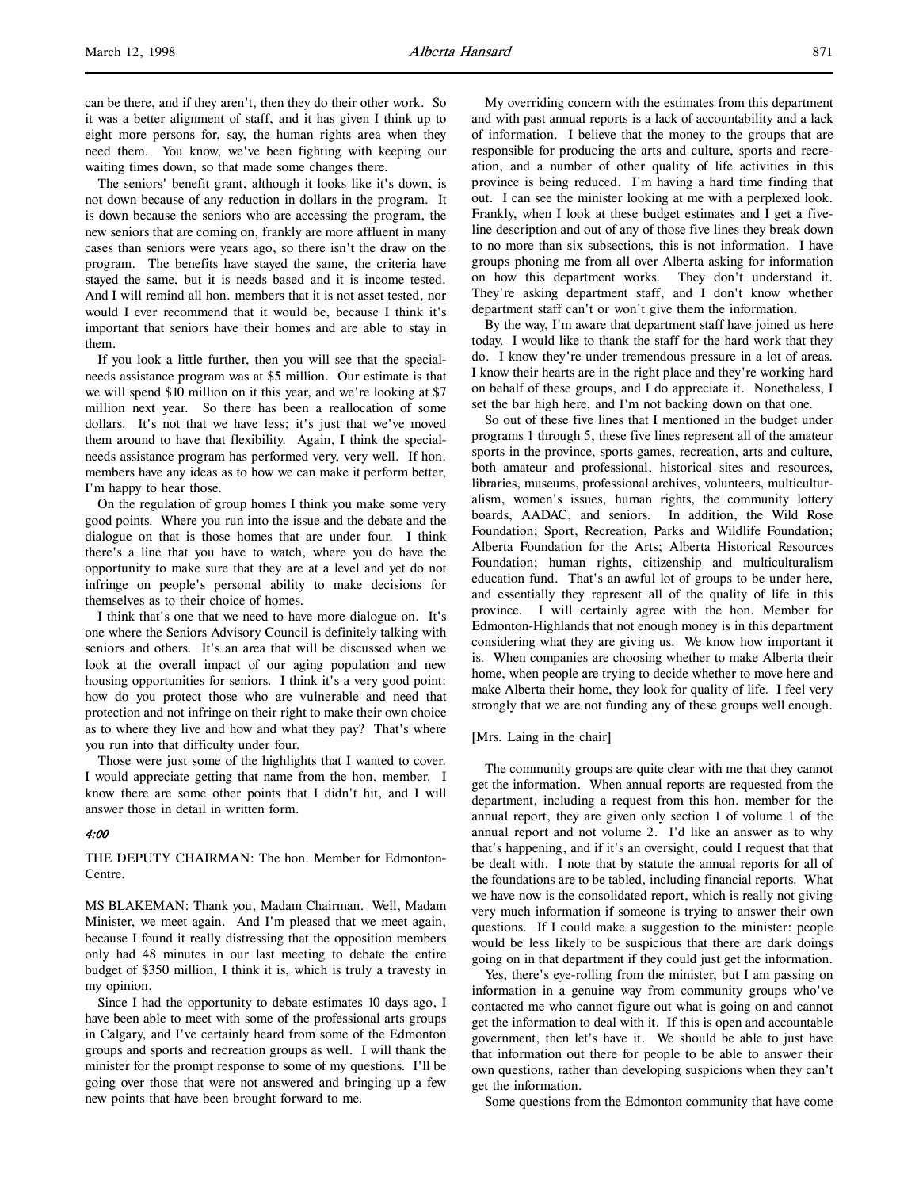can be there, and if they aren't, then they do their other work. So it was a better alignment of staff, and it has given I think up to eight more persons for, say, the human rights area when they need them. You know, we've been fighting with keeping our waiting times down, so that made some changes there.

The seniors' benefit grant, although it looks like it's down, is not down because of any reduction in dollars in the program. It is down because the seniors who are accessing the program, the new seniors that are coming on, frankly are more affluent in many cases than seniors were years ago, so there isn't the draw on the program. The benefits have stayed the same, the criteria have stayed the same, but it is needs based and it is income tested. And I will remind all hon. members that it is not asset tested, nor would I ever recommend that it would be, because I think it's important that seniors have their homes and are able to stay in them.

If you look a little further, then you will see that the specialneeds assistance program was at \$5 million. Our estimate is that we will spend \$10 million on it this year, and we're looking at \$7 million next year. So there has been a reallocation of some dollars. It's not that we have less; it's just that we've moved them around to have that flexibility. Again, I think the specialneeds assistance program has performed very, very well. If hon. members have any ideas as to how we can make it perform better, I'm happy to hear those.

On the regulation of group homes I think you make some very good points. Where you run into the issue and the debate and the dialogue on that is those homes that are under four. I think there's a line that you have to watch, where you do have the opportunity to make sure that they are at a level and yet do not infringe on people's personal ability to make decisions for themselves as to their choice of homes.

I think that's one that we need to have more dialogue on. It's one where the Seniors Advisory Council is definitely talking with seniors and others. It's an area that will be discussed when we look at the overall impact of our aging population and new housing opportunities for seniors. I think it's a very good point: how do you protect those who are vulnerable and need that protection and not infringe on their right to make their own choice as to where they live and how and what they pay? That's where you run into that difficulty under four.

Those were just some of the highlights that I wanted to cover. I would appreciate getting that name from the hon. member. I know there are some other points that I didn't hit, and I will answer those in detail in written form.

# 4:00

THE DEPUTY CHAIRMAN: The hon. Member for Edmonton-Centre.

MS BLAKEMAN: Thank you, Madam Chairman. Well, Madam Minister, we meet again. And I'm pleased that we meet again, because I found it really distressing that the opposition members only had 48 minutes in our last meeting to debate the entire budget of \$350 million, I think it is, which is truly a travesty in my opinion.

Since I had the opportunity to debate estimates 10 days ago, I have been able to meet with some of the professional arts groups in Calgary, and I've certainly heard from some of the Edmonton groups and sports and recreation groups as well. I will thank the minister for the prompt response to some of my questions. I'll be going over those that were not answered and bringing up a few new points that have been brought forward to me.

My overriding concern with the estimates from this department and with past annual reports is a lack of accountability and a lack of information. I believe that the money to the groups that are responsible for producing the arts and culture, sports and recreation, and a number of other quality of life activities in this province is being reduced. I'm having a hard time finding that out. I can see the minister looking at me with a perplexed look. Frankly, when I look at these budget estimates and I get a fiveline description and out of any of those five lines they break down to no more than six subsections, this is not information. I have groups phoning me from all over Alberta asking for information on how this department works. They don't understand it. They're asking department staff, and I don't know whether department staff can't or won't give them the information.

By the way, I'm aware that department staff have joined us here today. I would like to thank the staff for the hard work that they do. I know they're under tremendous pressure in a lot of areas. I know their hearts are in the right place and they're working hard on behalf of these groups, and I do appreciate it. Nonetheless, I set the bar high here, and I'm not backing down on that one.

So out of these five lines that I mentioned in the budget under programs 1 through 5, these five lines represent all of the amateur sports in the province, sports games, recreation, arts and culture, both amateur and professional, historical sites and resources, libraries, museums, professional archives, volunteers, multiculturalism, women's issues, human rights, the community lottery boards, AADAC, and seniors. In addition, the Wild Rose Foundation; Sport, Recreation, Parks and Wildlife Foundation; Alberta Foundation for the Arts; Alberta Historical Resources Foundation; human rights, citizenship and multiculturalism education fund. That's an awful lot of groups to be under here, and essentially they represent all of the quality of life in this province. I will certainly agree with the hon. Member for Edmonton-Highlands that not enough money is in this department considering what they are giving us. We know how important it is. When companies are choosing whether to make Alberta their home, when people are trying to decide whether to move here and make Alberta their home, they look for quality of life. I feel very strongly that we are not funding any of these groups well enough.

### [Mrs. Laing in the chair]

The community groups are quite clear with me that they cannot get the information. When annual reports are requested from the department, including a request from this hon. member for the annual report, they are given only section 1 of volume 1 of the annual report and not volume 2. I'd like an answer as to why that's happening, and if it's an oversight, could I request that that be dealt with. I note that by statute the annual reports for all of the foundations are to be tabled, including financial reports. What we have now is the consolidated report, which is really not giving very much information if someone is trying to answer their own questions. If I could make a suggestion to the minister: people would be less likely to be suspicious that there are dark doings going on in that department if they could just get the information.

Yes, there's eye-rolling from the minister, but I am passing on information in a genuine way from community groups who've contacted me who cannot figure out what is going on and cannot get the information to deal with it. If this is open and accountable government, then let's have it. We should be able to just have that information out there for people to be able to answer their own questions, rather than developing suspicions when they can't get the information.

Some questions from the Edmonton community that have come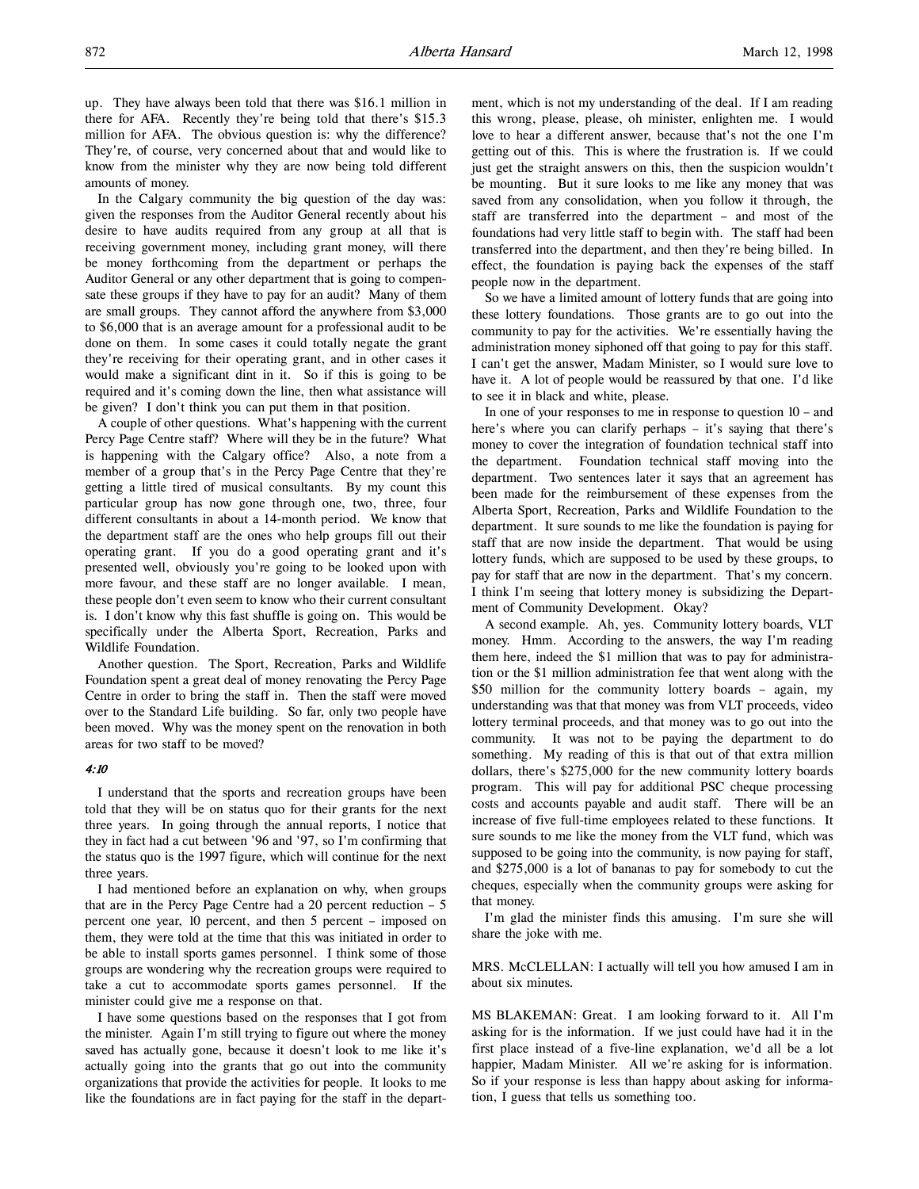up. They have always been told that there was \$16.1 million in there for AFA. Recently they're being told that there's \$15.3 million for AFA. The obvious question is: why the difference? They're, of course, very concerned about that and would like to know from the minister why they are now being told different amounts of money.

In the Calgary community the big question of the day was: given the responses from the Auditor General recently about his desire to have audits required from any group at all that is receiving government money, including grant money, will there be money forthcoming from the department or perhaps the Auditor General or any other department that is going to compensate these groups if they have to pay for an audit? Many of them are small groups. They cannot afford the anywhere from \$3,000 to \$6,000 that is an average amount for a professional audit to be done on them. In some cases it could totally negate the grant they're receiving for their operating grant, and in other cases it would make a significant dint in it. So if this is going to be required and it's coming down the line, then what assistance will be given? I don't think you can put them in that position.

A couple of other questions. What's happening with the current Percy Page Centre staff? Where will they be in the future? What is happening with the Calgary office? Also, a note from a member of a group that's in the Percy Page Centre that they're getting a little tired of musical consultants. By my count this particular group has now gone through one, two, three, four different consultants in about a 14-month period. We know that the department staff are the ones who help groups fill out their operating grant. If you do a good operating grant and it's presented well, obviously you're going to be looked upon with more favour, and these staff are no longer available. I mean, these people don't even seem to know who their current consultant is. I don't know why this fast shuffle is going on. This would be specifically under the Alberta Sport, Recreation, Parks and Wildlife Foundation.

Another question. The Sport, Recreation, Parks and Wildlife Foundation spent a great deal of money renovating the Percy Page Centre in order to bring the staff in. Then the staff were moved over to the Standard Life building. So far, only two people have been moved. Why was the money spent on the renovation in both areas for two staff to be moved?

# 4:10

I understand that the sports and recreation groups have been told that they will be on status quo for their grants for the next three years. In going through the annual reports, I notice that they in fact had a cut between '96 and '97, so I'm confirming that the status quo is the 1997 figure, which will continue for the next three years.

I had mentioned before an explanation on why, when groups that are in the Percy Page Centre had a 20 percent reduction  $-5$ percent one year, 10 percent, and then 5 percent – imposed on them, they were told at the time that this was initiated in order to be able to install sports games personnel. I think some of those groups are wondering why the recreation groups were required to take a cut to accommodate sports games personnel. If the minister could give me a response on that.

I have some questions based on the responses that I got from the minister. Again I'm still trying to figure out where the money saved has actually gone, because it doesn't look to me like it's actually going into the grants that go out into the community organizations that provide the activities for people. It looks to me like the foundations are in fact paying for the staff in the department, which is not my understanding of the deal. If I am reading this wrong, please, please, oh minister, enlighten me. I would love to hear a different answer, because that's not the one I'm getting out of this. This is where the frustration is. If we could just get the straight answers on this, then the suspicion wouldn't be mounting. But it sure looks to me like any money that was saved from any consolidation, when you follow it through, the staff are transferred into the department – and most of the foundations had very little staff to begin with. The staff had been transferred into the department, and then they're being billed. In effect, the foundation is paying back the expenses of the staff people now in the department.

So we have a limited amount of lottery funds that are going into these lottery foundations. Those grants are to go out into the community to pay for the activities. We're essentially having the administration money siphoned off that going to pay for this staff. I can't get the answer, Madam Minister, so I would sure love to have it. A lot of people would be reassured by that one. I'd like to see it in black and white, please.

In one of your responses to me in response to question 10 – and here's where you can clarify perhaps – it's saying that there's money to cover the integration of foundation technical staff into the department. Foundation technical staff moving into the department. Two sentences later it says that an agreement has been made for the reimbursement of these expenses from the Alberta Sport, Recreation, Parks and Wildlife Foundation to the department. It sure sounds to me like the foundation is paying for staff that are now inside the department. That would be using lottery funds, which are supposed to be used by these groups, to pay for staff that are now in the department. That's my concern. I think I'm seeing that lottery money is subsidizing the Department of Community Development. Okay?

A second example. Ah, yes. Community lottery boards, VLT money. Hmm. According to the answers, the way I'm reading them here, indeed the \$1 million that was to pay for administration or the \$1 million administration fee that went along with the \$50 million for the community lottery boards – again, my understanding was that that money was from VLT proceeds, video lottery terminal proceeds, and that money was to go out into the community. It was not to be paying the department to do something. My reading of this is that out of that extra million dollars, there's \$275,000 for the new community lottery boards program. This will pay for additional PSC cheque processing costs and accounts payable and audit staff. There will be an increase of five full-time employees related to these functions. It sure sounds to me like the money from the VLT fund, which was supposed to be going into the community, is now paying for staff, and \$275,000 is a lot of bananas to pay for somebody to cut the cheques, especially when the community groups were asking for that money.

I'm glad the minister finds this amusing. I'm sure she will share the joke with me.

MRS. McCLELLAN: I actually will tell you how amused I am in about six minutes.

MS BLAKEMAN: Great. I am looking forward to it. All I'm asking for is the information. If we just could have had it in the first place instead of a five-line explanation, we'd all be a lot happier, Madam Minister. All we're asking for is information. So if your response is less than happy about asking for information, I guess that tells us something too.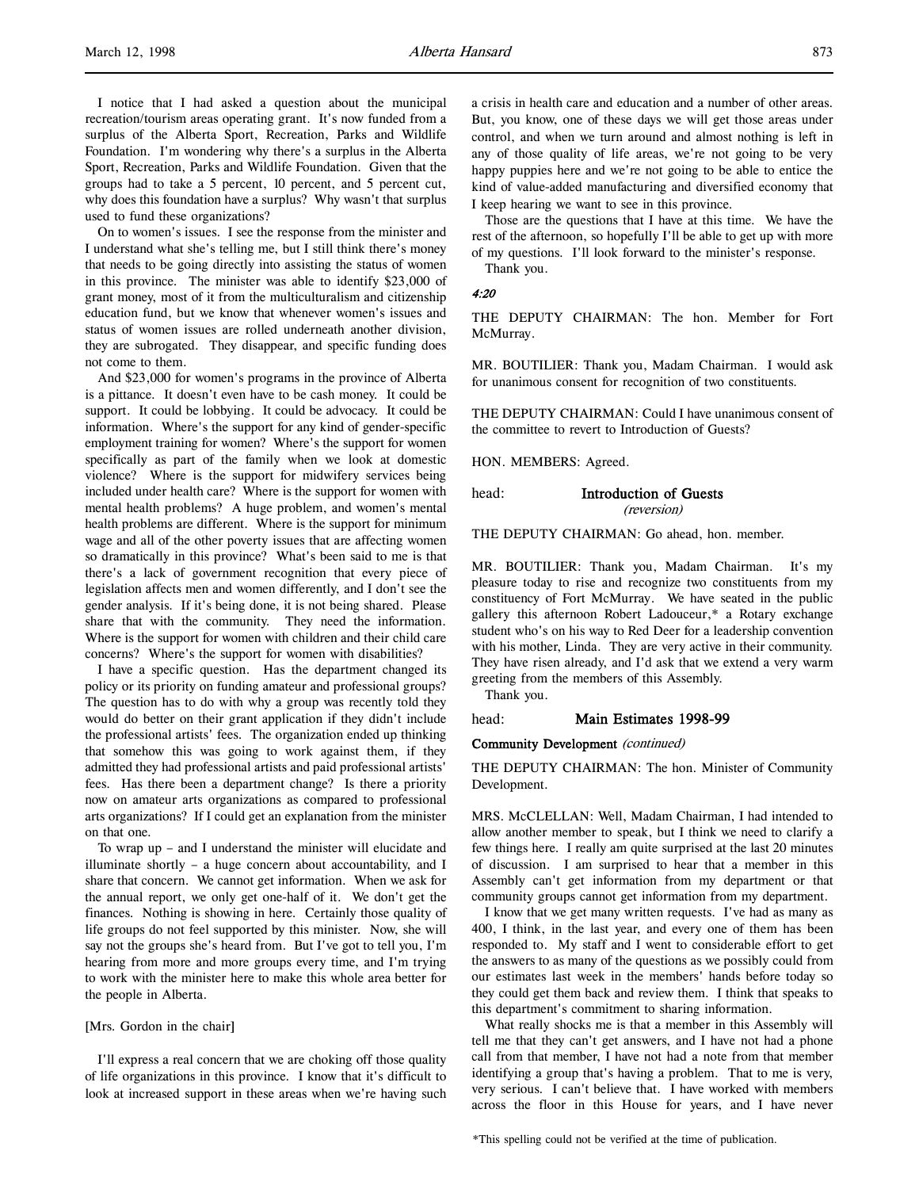I notice that I had asked a question about the municipal recreation/tourism areas operating grant. It's now funded from a surplus of the Alberta Sport, Recreation, Parks and Wildlife Foundation. I'm wondering why there's a surplus in the Alberta Sport, Recreation, Parks and Wildlife Foundation. Given that the groups had to take a 5 percent, 10 percent, and 5 percent cut, why does this foundation have a surplus? Why wasn't that surplus used to fund these organizations?

On to women's issues. I see the response from the minister and I understand what she's telling me, but I still think there's money that needs to be going directly into assisting the status of women in this province. The minister was able to identify \$23,000 of grant money, most of it from the multiculturalism and citizenship education fund, but we know that whenever women's issues and status of women issues are rolled underneath another division, they are subrogated. They disappear, and specific funding does not come to them.

And \$23,000 for women's programs in the province of Alberta is a pittance. It doesn't even have to be cash money. It could be support. It could be lobbying. It could be advocacy. It could be information. Where's the support for any kind of gender-specific employment training for women? Where's the support for women specifically as part of the family when we look at domestic violence? Where is the support for midwifery services being included under health care? Where is the support for women with mental health problems? A huge problem, and women's mental health problems are different. Where is the support for minimum wage and all of the other poverty issues that are affecting women so dramatically in this province? What's been said to me is that there's a lack of government recognition that every piece of legislation affects men and women differently, and I don't see the gender analysis. If it's being done, it is not being shared. Please share that with the community. They need the information. Where is the support for women with children and their child care concerns? Where's the support for women with disabilities?

I have a specific question. Has the department changed its policy or its priority on funding amateur and professional groups? The question has to do with why a group was recently told they would do better on their grant application if they didn't include the professional artists' fees. The organization ended up thinking that somehow this was going to work against them, if they admitted they had professional artists and paid professional artists' fees. Has there been a department change? Is there a priority now on amateur arts organizations as compared to professional arts organizations? If I could get an explanation from the minister on that one.

To wrap up – and I understand the minister will elucidate and illuminate shortly – a huge concern about accountability, and I share that concern. We cannot get information. When we ask for the annual report, we only get one-half of it. We don't get the finances. Nothing is showing in here. Certainly those quality of life groups do not feel supported by this minister. Now, she will say not the groups she's heard from. But I've got to tell you, I'm hearing from more and more groups every time, and I'm trying to work with the minister here to make this whole area better for the people in Alberta.

### [Mrs. Gordon in the chair]

I'll express a real concern that we are choking off those quality of life organizations in this province. I know that it's difficult to look at increased support in these areas when we're having such a crisis in health care and education and a number of other areas. But, you know, one of these days we will get those areas under control, and when we turn around and almost nothing is left in any of those quality of life areas, we're not going to be very happy puppies here and we're not going to be able to entice the kind of value-added manufacturing and diversified economy that I keep hearing we want to see in this province.

Those are the questions that I have at this time. We have the rest of the afternoon, so hopefully I'll be able to get up with more of my questions. I'll look forward to the minister's response. Thank you.

# 4:20

THE DEPUTY CHAIRMAN: The hon. Member for Fort McMurray.

MR. BOUTILIER: Thank you, Madam Chairman. I would ask for unanimous consent for recognition of two constituents.

THE DEPUTY CHAIRMAN: Could I have unanimous consent of the committee to revert to Introduction of Guests?

HON. MEMBERS: Agreed.

head: Introduction of Guests

(reversion)

THE DEPUTY CHAIRMAN: Go ahead, hon. member.

MR. BOUTILIER: Thank you, Madam Chairman. It's my pleasure today to rise and recognize two constituents from my constituency of Fort McMurray. We have seated in the public gallery this afternoon Robert Ladouceur,\* a Rotary exchange student who's on his way to Red Deer for a leadership convention with his mother, Linda. They are very active in their community. They have risen already, and I'd ask that we extend a very warm greeting from the members of this Assembly.

Thank you.

### head: Main Estimates 1998-99

### Community Development (continued)

THE DEPUTY CHAIRMAN: The hon. Minister of Community Development.

MRS. McCLELLAN: Well, Madam Chairman, I had intended to allow another member to speak, but I think we need to clarify a few things here. I really am quite surprised at the last 20 minutes of discussion. I am surprised to hear that a member in this Assembly can't get information from my department or that community groups cannot get information from my department.

I know that we get many written requests. I've had as many as 400, I think, in the last year, and every one of them has been responded to. My staff and I went to considerable effort to get the answers to as many of the questions as we possibly could from our estimates last week in the members' hands before today so they could get them back and review them. I think that speaks to this department's commitment to sharing information.

What really shocks me is that a member in this Assembly will tell me that they can't get answers, and I have not had a phone call from that member, I have not had a note from that member identifying a group that's having a problem. That to me is very, very serious. I can't believe that. I have worked with members across the floor in this House for years, and I have never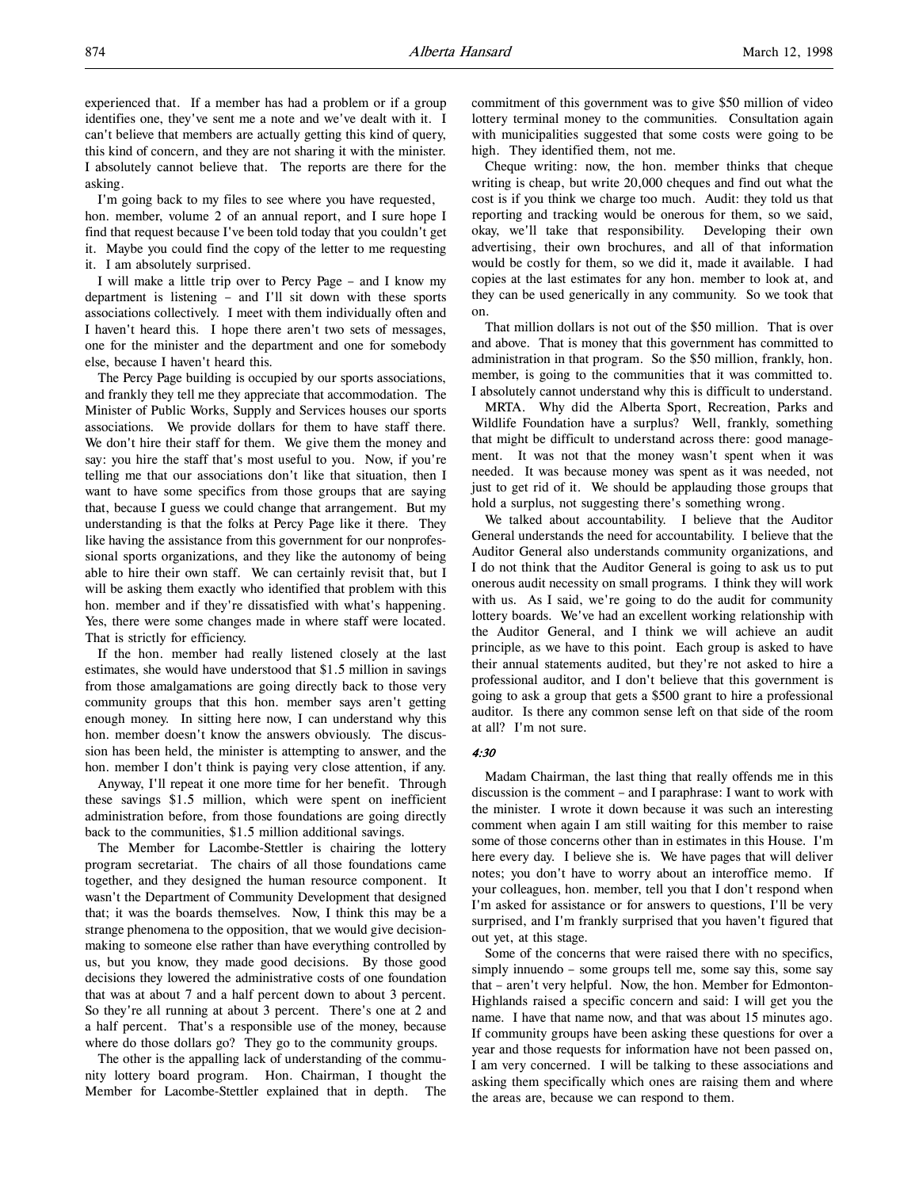experienced that. If a member has had a problem or if a group identifies one, they've sent me a note and we've dealt with it. I can't believe that members are actually getting this kind of query, this kind of concern, and they are not sharing it with the minister. I absolutely cannot believe that. The reports are there for the asking.

I'm going back to my files to see where you have requested, hon. member, volume 2 of an annual report, and I sure hope I find that request because I've been told today that you couldn't get it. Maybe you could find the copy of the letter to me requesting it. I am absolutely surprised.

I will make a little trip over to Percy Page – and I know my department is listening – and I'll sit down with these sports associations collectively. I meet with them individually often and I haven't heard this. I hope there aren't two sets of messages, one for the minister and the department and one for somebody else, because I haven't heard this.

The Percy Page building is occupied by our sports associations, and frankly they tell me they appreciate that accommodation. The Minister of Public Works, Supply and Services houses our sports associations. We provide dollars for them to have staff there. We don't hire their staff for them. We give them the money and say: you hire the staff that's most useful to you. Now, if you're telling me that our associations don't like that situation, then I want to have some specifics from those groups that are saying that, because I guess we could change that arrangement. But my understanding is that the folks at Percy Page like it there. They like having the assistance from this government for our nonprofessional sports organizations, and they like the autonomy of being able to hire their own staff. We can certainly revisit that, but I will be asking them exactly who identified that problem with this hon. member and if they're dissatisfied with what's happening. Yes, there were some changes made in where staff were located. That is strictly for efficiency.

If the hon. member had really listened closely at the last estimates, she would have understood that \$1.5 million in savings from those amalgamations are going directly back to those very community groups that this hon. member says aren't getting enough money. In sitting here now, I can understand why this hon. member doesn't know the answers obviously. The discussion has been held, the minister is attempting to answer, and the hon. member I don't think is paying very close attention, if any.

Anyway, I'll repeat it one more time for her benefit. Through these savings \$1.5 million, which were spent on inefficient administration before, from those foundations are going directly back to the communities, \$1.5 million additional savings.

The Member for Lacombe-Stettler is chairing the lottery program secretariat. The chairs of all those foundations came together, and they designed the human resource component. It wasn't the Department of Community Development that designed that; it was the boards themselves. Now, I think this may be a strange phenomena to the opposition, that we would give decisionmaking to someone else rather than have everything controlled by us, but you know, they made good decisions. By those good decisions they lowered the administrative costs of one foundation that was at about 7 and a half percent down to about 3 percent. So they're all running at about 3 percent. There's one at 2 and a half percent. That's a responsible use of the money, because where do those dollars go? They go to the community groups.

The other is the appalling lack of understanding of the community lottery board program. Hon. Chairman, I thought the Member for Lacombe-Stettler explained that in depth. The commitment of this government was to give \$50 million of video lottery terminal money to the communities. Consultation again with municipalities suggested that some costs were going to be high. They identified them, not me.

Cheque writing: now, the hon. member thinks that cheque writing is cheap, but write 20,000 cheques and find out what the cost is if you think we charge too much. Audit: they told us that reporting and tracking would be onerous for them, so we said, okay, we'll take that responsibility. Developing their own advertising, their own brochures, and all of that information would be costly for them, so we did it, made it available. I had copies at the last estimates for any hon. member to look at, and they can be used generically in any community. So we took that on.

That million dollars is not out of the \$50 million. That is over and above. That is money that this government has committed to administration in that program. So the \$50 million, frankly, hon. member, is going to the communities that it was committed to. I absolutely cannot understand why this is difficult to understand.

MRTA. Why did the Alberta Sport, Recreation, Parks and Wildlife Foundation have a surplus? Well, frankly, something that might be difficult to understand across there: good management. It was not that the money wasn't spent when it was needed. It was because money was spent as it was needed, not just to get rid of it. We should be applauding those groups that hold a surplus, not suggesting there's something wrong.

We talked about accountability. I believe that the Auditor General understands the need for accountability. I believe that the Auditor General also understands community organizations, and I do not think that the Auditor General is going to ask us to put onerous audit necessity on small programs. I think they will work with us. As I said, we're going to do the audit for community lottery boards. We've had an excellent working relationship with the Auditor General, and I think we will achieve an audit principle, as we have to this point. Each group is asked to have their annual statements audited, but they're not asked to hire a professional auditor, and I don't believe that this government is going to ask a group that gets a \$500 grant to hire a professional auditor. Is there any common sense left on that side of the room at all? I'm not sure.

### 4:30

Madam Chairman, the last thing that really offends me in this discussion is the comment – and I paraphrase: I want to work with the minister. I wrote it down because it was such an interesting comment when again I am still waiting for this member to raise some of those concerns other than in estimates in this House. I'm here every day. I believe she is. We have pages that will deliver notes; you don't have to worry about an interoffice memo. If your colleagues, hon. member, tell you that I don't respond when I'm asked for assistance or for answers to questions, I'll be very surprised, and I'm frankly surprised that you haven't figured that out yet, at this stage.

Some of the concerns that were raised there with no specifics, simply innuendo – some groups tell me, some say this, some say that – aren't very helpful. Now, the hon. Member for Edmonton-Highlands raised a specific concern and said: I will get you the name. I have that name now, and that was about 15 minutes ago. If community groups have been asking these questions for over a year and those requests for information have not been passed on, I am very concerned. I will be talking to these associations and asking them specifically which ones are raising them and where the areas are, because we can respond to them.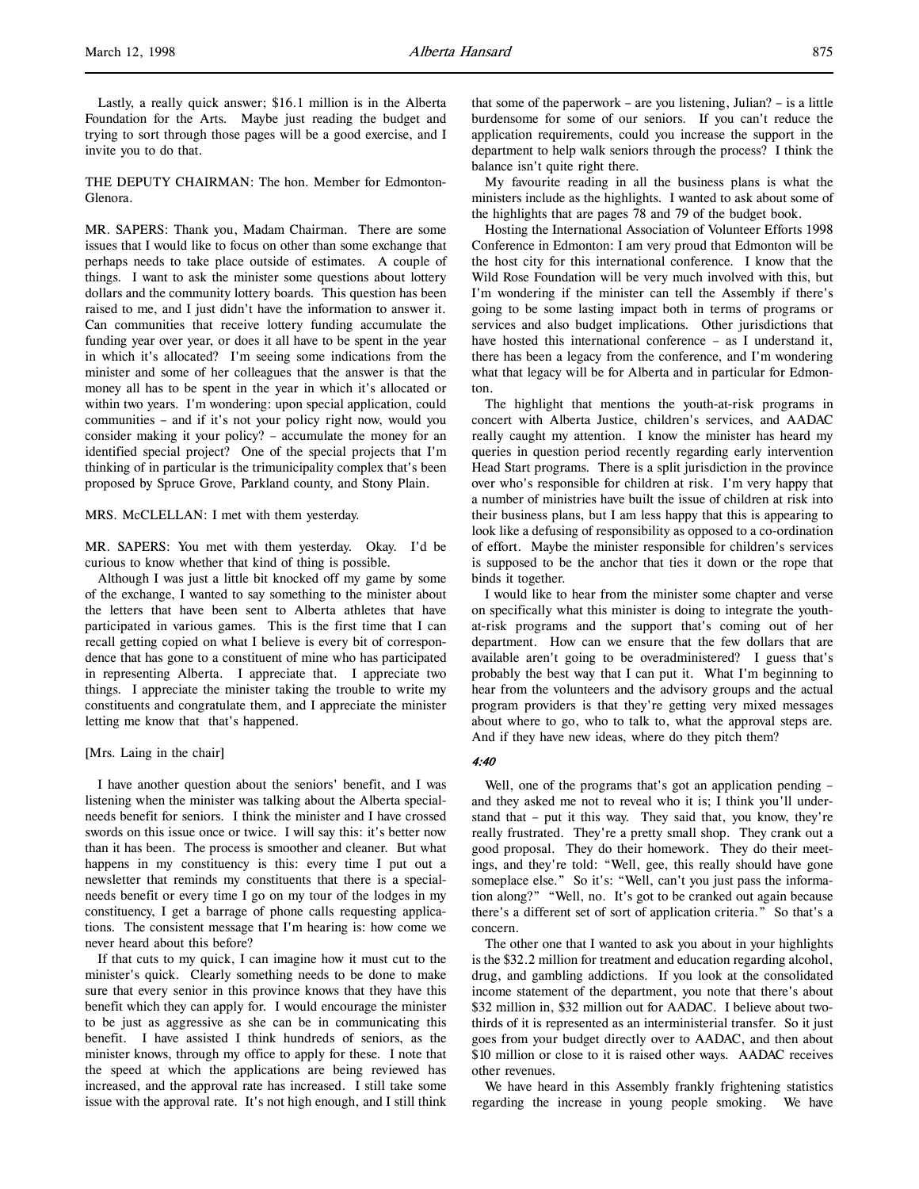Lastly, a really quick answer; \$16.1 million is in the Alberta Foundation for the Arts. Maybe just reading the budget and trying to sort through those pages will be a good exercise, and I invite you to do that.

THE DEPUTY CHAIRMAN: The hon. Member for Edmonton-Glenora.

MR. SAPERS: Thank you, Madam Chairman. There are some issues that I would like to focus on other than some exchange that perhaps needs to take place outside of estimates. A couple of things. I want to ask the minister some questions about lottery dollars and the community lottery boards. This question has been raised to me, and I just didn't have the information to answer it. Can communities that receive lottery funding accumulate the funding year over year, or does it all have to be spent in the year in which it's allocated? I'm seeing some indications from the minister and some of her colleagues that the answer is that the money all has to be spent in the year in which it's allocated or within two years. I'm wondering: upon special application, could communities – and if it's not your policy right now, would you consider making it your policy? – accumulate the money for an identified special project? One of the special projects that I'm thinking of in particular is the trimunicipality complex that's been proposed by Spruce Grove, Parkland county, and Stony Plain.

### MRS. McCLELLAN: I met with them yesterday.

MR. SAPERS: You met with them yesterday. Okay. I'd be curious to know whether that kind of thing is possible.

Although I was just a little bit knocked off my game by some of the exchange, I wanted to say something to the minister about the letters that have been sent to Alberta athletes that have participated in various games. This is the first time that I can recall getting copied on what I believe is every bit of correspondence that has gone to a constituent of mine who has participated in representing Alberta. I appreciate that. I appreciate two things. I appreciate the minister taking the trouble to write my constituents and congratulate them, and I appreciate the minister letting me know that that's happened.

### [Mrs. Laing in the chair]

I have another question about the seniors' benefit, and I was listening when the minister was talking about the Alberta specialneeds benefit for seniors. I think the minister and I have crossed swords on this issue once or twice. I will say this: it's better now than it has been. The process is smoother and cleaner. But what happens in my constituency is this: every time I put out a newsletter that reminds my constituents that there is a specialneeds benefit or every time I go on my tour of the lodges in my constituency, I get a barrage of phone calls requesting applications. The consistent message that I'm hearing is: how come we never heard about this before?

If that cuts to my quick, I can imagine how it must cut to the minister's quick. Clearly something needs to be done to make sure that every senior in this province knows that they have this benefit which they can apply for. I would encourage the minister to be just as aggressive as she can be in communicating this benefit. I have assisted I think hundreds of seniors, as the minister knows, through my office to apply for these. I note that the speed at which the applications are being reviewed has increased, and the approval rate has increased. I still take some issue with the approval rate. It's not high enough, and I still think

that some of the paperwork – are you listening, Julian? – is a little burdensome for some of our seniors. If you can't reduce the application requirements, could you increase the support in the department to help walk seniors through the process? I think the balance isn't quite right there.

My favourite reading in all the business plans is what the ministers include as the highlights. I wanted to ask about some of the highlights that are pages 78 and 79 of the budget book.

Hosting the International Association of Volunteer Efforts 1998 Conference in Edmonton: I am very proud that Edmonton will be the host city for this international conference. I know that the Wild Rose Foundation will be very much involved with this, but I'm wondering if the minister can tell the Assembly if there's going to be some lasting impact both in terms of programs or services and also budget implications. Other jurisdictions that have hosted this international conference – as I understand it, there has been a legacy from the conference, and I'm wondering what that legacy will be for Alberta and in particular for Edmonton.

The highlight that mentions the youth-at-risk programs in concert with Alberta Justice, children's services, and AADAC really caught my attention. I know the minister has heard my queries in question period recently regarding early intervention Head Start programs. There is a split jurisdiction in the province over who's responsible for children at risk. I'm very happy that a number of ministries have built the issue of children at risk into their business plans, but I am less happy that this is appearing to look like a defusing of responsibility as opposed to a co-ordination of effort. Maybe the minister responsible for children's services is supposed to be the anchor that ties it down or the rope that binds it together.

I would like to hear from the minister some chapter and verse on specifically what this minister is doing to integrate the youthat-risk programs and the support that's coming out of her department. How can we ensure that the few dollars that are available aren't going to be overadministered? I guess that's probably the best way that I can put it. What I'm beginning to hear from the volunteers and the advisory groups and the actual program providers is that they're getting very mixed messages about where to go, who to talk to, what the approval steps are. And if they have new ideas, where do they pitch them?

### 4:40

Well, one of the programs that's got an application pending – and they asked me not to reveal who it is; I think you'll understand that – put it this way. They said that, you know, they're really frustrated. They're a pretty small shop. They crank out a good proposal. They do their homework. They do their meetings, and they're told: "Well, gee, this really should have gone someplace else." So it's: "Well, can't you just pass the information along?" "Well, no. It's got to be cranked out again because there's a different set of sort of application criteria." So that's a concern.

The other one that I wanted to ask you about in your highlights is the \$32.2 million for treatment and education regarding alcohol, drug, and gambling addictions. If you look at the consolidated income statement of the department, you note that there's about \$32 million in, \$32 million out for AADAC. I believe about twothirds of it is represented as an interministerial transfer. So it just goes from your budget directly over to AADAC, and then about \$10 million or close to it is raised other ways. AADAC receives other revenues.

We have heard in this Assembly frankly frightening statistics regarding the increase in young people smoking. We have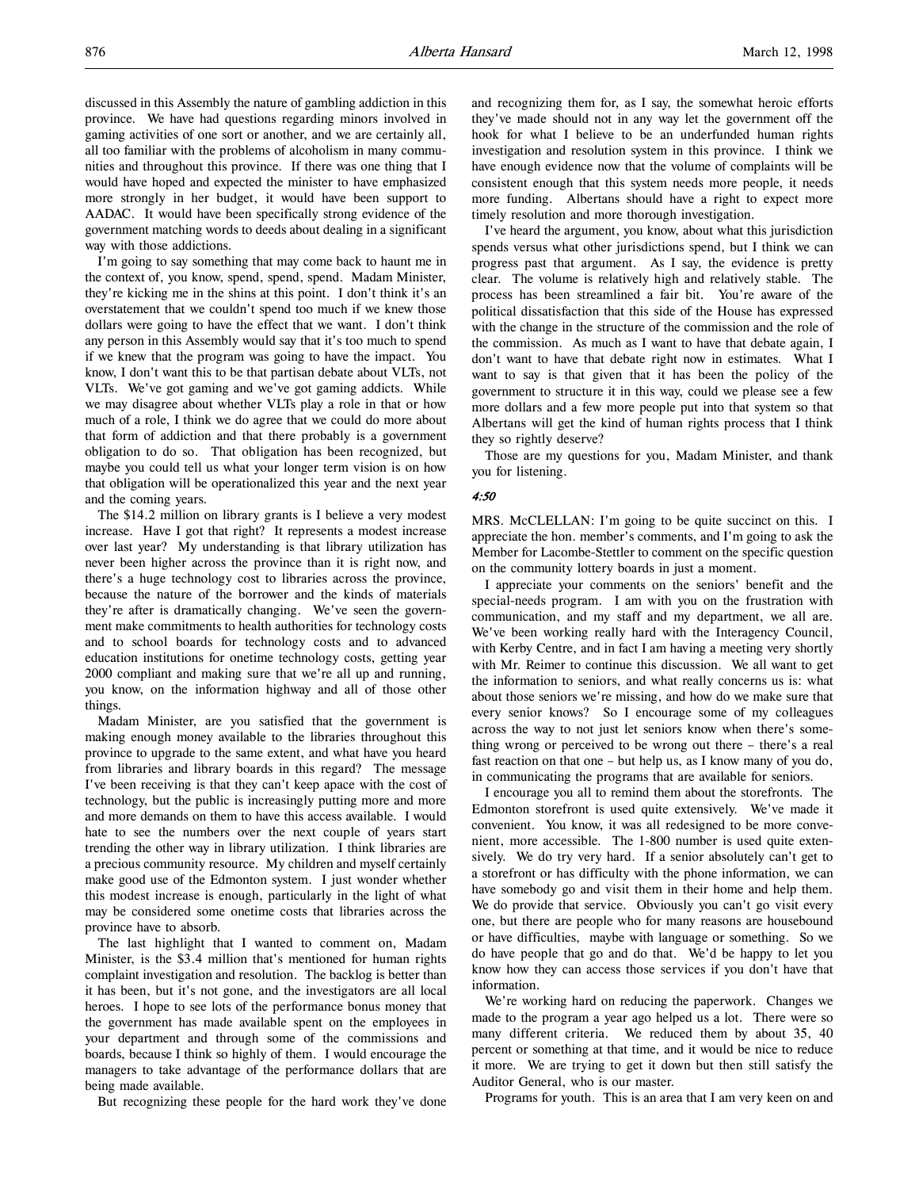discussed in this Assembly the nature of gambling addiction in this province. We have had questions regarding minors involved in gaming activities of one sort or another, and we are certainly all, all too familiar with the problems of alcoholism in many communities and throughout this province. If there was one thing that I would have hoped and expected the minister to have emphasized more strongly in her budget, it would have been support to AADAC. It would have been specifically strong evidence of the government matching words to deeds about dealing in a significant way with those addictions.

I'm going to say something that may come back to haunt me in the context of, you know, spend, spend, spend. Madam Minister, they're kicking me in the shins at this point. I don't think it's an overstatement that we couldn't spend too much if we knew those dollars were going to have the effect that we want. I don't think any person in this Assembly would say that it's too much to spend if we knew that the program was going to have the impact. You know, I don't want this to be that partisan debate about VLTs, not VLTs. We've got gaming and we've got gaming addicts. While we may disagree about whether VLTs play a role in that or how much of a role, I think we do agree that we could do more about that form of addiction and that there probably is a government obligation to do so. That obligation has been recognized, but maybe you could tell us what your longer term vision is on how that obligation will be operationalized this year and the next year and the coming years.

The \$14.2 million on library grants is I believe a very modest increase. Have I got that right? It represents a modest increase over last year? My understanding is that library utilization has never been higher across the province than it is right now, and there's a huge technology cost to libraries across the province, because the nature of the borrower and the kinds of materials they're after is dramatically changing. We've seen the government make commitments to health authorities for technology costs and to school boards for technology costs and to advanced education institutions for onetime technology costs, getting year 2000 compliant and making sure that we're all up and running, you know, on the information highway and all of those other things.

Madam Minister, are you satisfied that the government is making enough money available to the libraries throughout this province to upgrade to the same extent, and what have you heard from libraries and library boards in this regard? The message I've been receiving is that they can't keep apace with the cost of technology, but the public is increasingly putting more and more and more demands on them to have this access available. I would hate to see the numbers over the next couple of years start trending the other way in library utilization. I think libraries are a precious community resource. My children and myself certainly make good use of the Edmonton system. I just wonder whether this modest increase is enough, particularly in the light of what may be considered some onetime costs that libraries across the province have to absorb.

The last highlight that I wanted to comment on, Madam Minister, is the \$3.4 million that's mentioned for human rights complaint investigation and resolution. The backlog is better than it has been, but it's not gone, and the investigators are all local heroes. I hope to see lots of the performance bonus money that the government has made available spent on the employees in your department and through some of the commissions and boards, because I think so highly of them. I would encourage the managers to take advantage of the performance dollars that are being made available.

But recognizing these people for the hard work they've done

and recognizing them for, as I say, the somewhat heroic efforts they've made should not in any way let the government off the hook for what I believe to be an underfunded human rights investigation and resolution system in this province. I think we have enough evidence now that the volume of complaints will be consistent enough that this system needs more people, it needs more funding. Albertans should have a right to expect more timely resolution and more thorough investigation.

I've heard the argument, you know, about what this jurisdiction spends versus what other jurisdictions spend, but I think we can progress past that argument. As I say, the evidence is pretty clear. The volume is relatively high and relatively stable. The process has been streamlined a fair bit. You're aware of the political dissatisfaction that this side of the House has expressed with the change in the structure of the commission and the role of the commission. As much as I want to have that debate again, I don't want to have that debate right now in estimates. What I want to say is that given that it has been the policy of the government to structure it in this way, could we please see a few more dollars and a few more people put into that system so that Albertans will get the kind of human rights process that I think they so rightly deserve?

Those are my questions for you, Madam Minister, and thank you for listening.

# 4:50

MRS. McCLELLAN: I'm going to be quite succinct on this. I appreciate the hon. member's comments, and I'm going to ask the Member for Lacombe-Stettler to comment on the specific question on the community lottery boards in just a moment.

I appreciate your comments on the seniors' benefit and the special-needs program. I am with you on the frustration with communication, and my staff and my department, we all are. We've been working really hard with the Interagency Council, with Kerby Centre, and in fact I am having a meeting very shortly with Mr. Reimer to continue this discussion. We all want to get the information to seniors, and what really concerns us is: what about those seniors we're missing, and how do we make sure that every senior knows? So I encourage some of my colleagues across the way to not just let seniors know when there's something wrong or perceived to be wrong out there – there's a real fast reaction on that one – but help us, as I know many of you do, in communicating the programs that are available for seniors.

I encourage you all to remind them about the storefronts. The Edmonton storefront is used quite extensively. We've made it convenient. You know, it was all redesigned to be more convenient, more accessible. The 1-800 number is used quite extensively. We do try very hard. If a senior absolutely can't get to a storefront or has difficulty with the phone information, we can have somebody go and visit them in their home and help them. We do provide that service. Obviously you can't go visit every one, but there are people who for many reasons are housebound or have difficulties, maybe with language or something. So we do have people that go and do that. We'd be happy to let you know how they can access those services if you don't have that information.

We're working hard on reducing the paperwork. Changes we made to the program a year ago helped us a lot. There were so many different criteria. We reduced them by about 35, 40 percent or something at that time, and it would be nice to reduce it more. We are trying to get it down but then still satisfy the Auditor General, who is our master.

Programs for youth. This is an area that I am very keen on and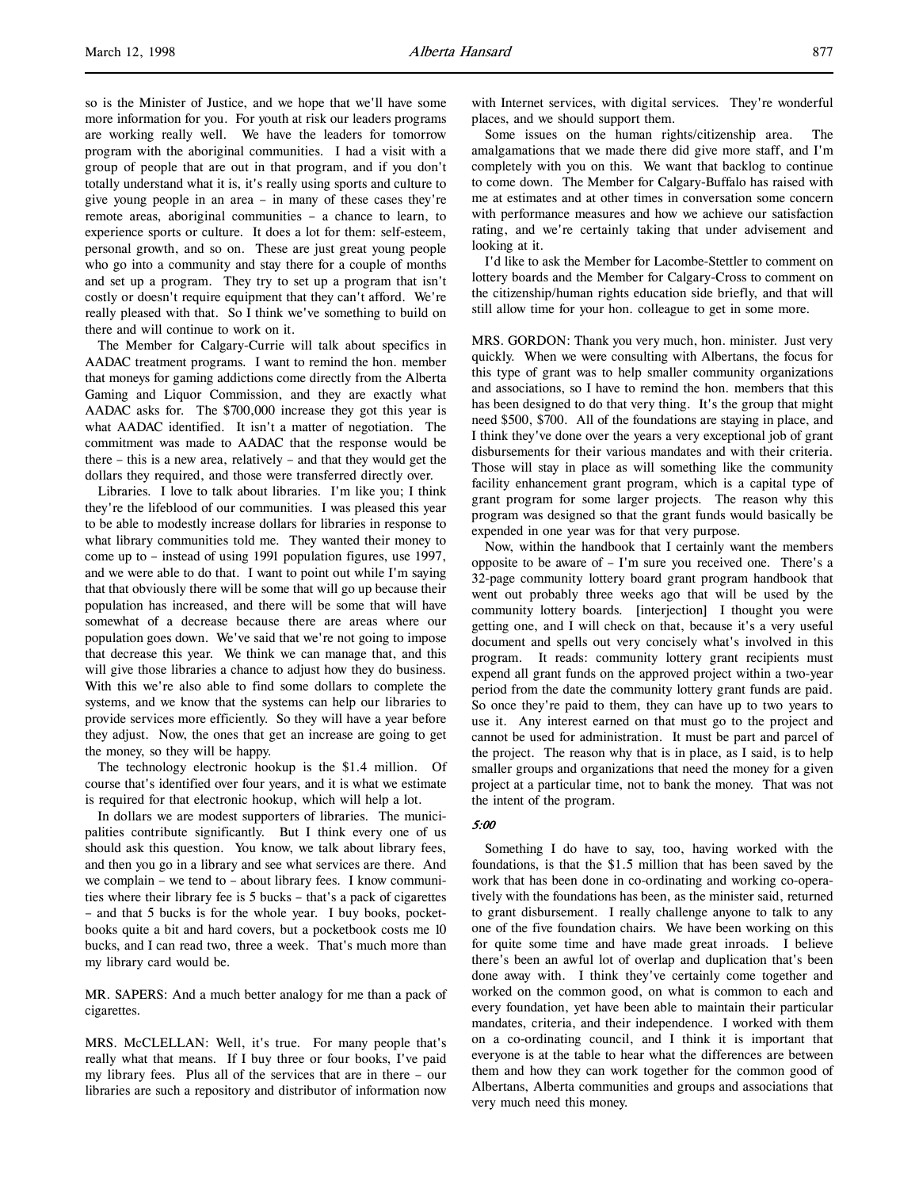so is the Minister of Justice, and we hope that we'll have some more information for you. For youth at risk our leaders programs are working really well. We have the leaders for tomorrow program with the aboriginal communities. I had a visit with a group of people that are out in that program, and if you don't totally understand what it is, it's really using sports and culture to give young people in an area – in many of these cases they're remote areas, aboriginal communities – a chance to learn, to experience sports or culture. It does a lot for them: self-esteem, personal growth, and so on. These are just great young people who go into a community and stay there for a couple of months and set up a program. They try to set up a program that isn't costly or doesn't require equipment that they can't afford. We're really pleased with that. So I think we've something to build on there and will continue to work on it.

The Member for Calgary-Currie will talk about specifics in AADAC treatment programs. I want to remind the hon. member that moneys for gaming addictions come directly from the Alberta Gaming and Liquor Commission, and they are exactly what AADAC asks for. The \$700,000 increase they got this year is what AADAC identified. It isn't a matter of negotiation. The commitment was made to AADAC that the response would be there – this is a new area, relatively – and that they would get the dollars they required, and those were transferred directly over.

Libraries. I love to talk about libraries. I'm like you; I think they're the lifeblood of our communities. I was pleased this year to be able to modestly increase dollars for libraries in response to what library communities told me. They wanted their money to come up to – instead of using 1991 population figures, use 1997, and we were able to do that. I want to point out while I'm saying that that obviously there will be some that will go up because their population has increased, and there will be some that will have somewhat of a decrease because there are areas where our population goes down. We've said that we're not going to impose that decrease this year. We think we can manage that, and this will give those libraries a chance to adjust how they do business. With this we're also able to find some dollars to complete the systems, and we know that the systems can help our libraries to provide services more efficiently. So they will have a year before they adjust. Now, the ones that get an increase are going to get the money, so they will be happy.

The technology electronic hookup is the \$1.4 million. Of course that's identified over four years, and it is what we estimate is required for that electronic hookup, which will help a lot.

In dollars we are modest supporters of libraries. The municipalities contribute significantly. But I think every one of us should ask this question. You know, we talk about library fees, and then you go in a library and see what services are there. And we complain – we tend to – about library fees. I know communities where their library fee is 5 bucks – that's a pack of cigarettes – and that 5 bucks is for the whole year. I buy books, pocketbooks quite a bit and hard covers, but a pocketbook costs me 10 bucks, and I can read two, three a week. That's much more than my library card would be.

MR. SAPERS: And a much better analogy for me than a pack of cigarettes.

MRS. McCLELLAN: Well, it's true. For many people that's really what that means. If I buy three or four books, I've paid my library fees. Plus all of the services that are in there – our libraries are such a repository and distributor of information now with Internet services, with digital services. They're wonderful places, and we should support them.

Some issues on the human rights/citizenship area. The amalgamations that we made there did give more staff, and I'm completely with you on this. We want that backlog to continue to come down. The Member for Calgary-Buffalo has raised with me at estimates and at other times in conversation some concern with performance measures and how we achieve our satisfaction rating, and we're certainly taking that under advisement and looking at it.

I'd like to ask the Member for Lacombe-Stettler to comment on lottery boards and the Member for Calgary-Cross to comment on the citizenship/human rights education side briefly, and that will still allow time for your hon. colleague to get in some more.

MRS. GORDON: Thank you very much, hon. minister. Just very quickly. When we were consulting with Albertans, the focus for this type of grant was to help smaller community organizations and associations, so I have to remind the hon. members that this has been designed to do that very thing. It's the group that might need \$500, \$700. All of the foundations are staying in place, and I think they've done over the years a very exceptional job of grant disbursements for their various mandates and with their criteria. Those will stay in place as will something like the community facility enhancement grant program, which is a capital type of grant program for some larger projects. The reason why this program was designed so that the grant funds would basically be expended in one year was for that very purpose.

Now, within the handbook that I certainly want the members opposite to be aware of – I'm sure you received one. There's a 32-page community lottery board grant program handbook that went out probably three weeks ago that will be used by the community lottery boards. [interjection] I thought you were getting one, and I will check on that, because it's a very useful document and spells out very concisely what's involved in this program. It reads: community lottery grant recipients must expend all grant funds on the approved project within a two-year period from the date the community lottery grant funds are paid. So once they're paid to them, they can have up to two years to use it. Any interest earned on that must go to the project and cannot be used for administration. It must be part and parcel of the project. The reason why that is in place, as I said, is to help smaller groups and organizations that need the money for a given project at a particular time, not to bank the money. That was not the intent of the program.

# 5:00

Something I do have to say, too, having worked with the foundations, is that the \$1.5 million that has been saved by the work that has been done in co-ordinating and working co-operatively with the foundations has been, as the minister said, returned to grant disbursement. I really challenge anyone to talk to any one of the five foundation chairs. We have been working on this for quite some time and have made great inroads. I believe there's been an awful lot of overlap and duplication that's been done away with. I think they've certainly come together and worked on the common good, on what is common to each and every foundation, yet have been able to maintain their particular mandates, criteria, and their independence. I worked with them on a co-ordinating council, and I think it is important that everyone is at the table to hear what the differences are between them and how they can work together for the common good of Albertans, Alberta communities and groups and associations that very much need this money.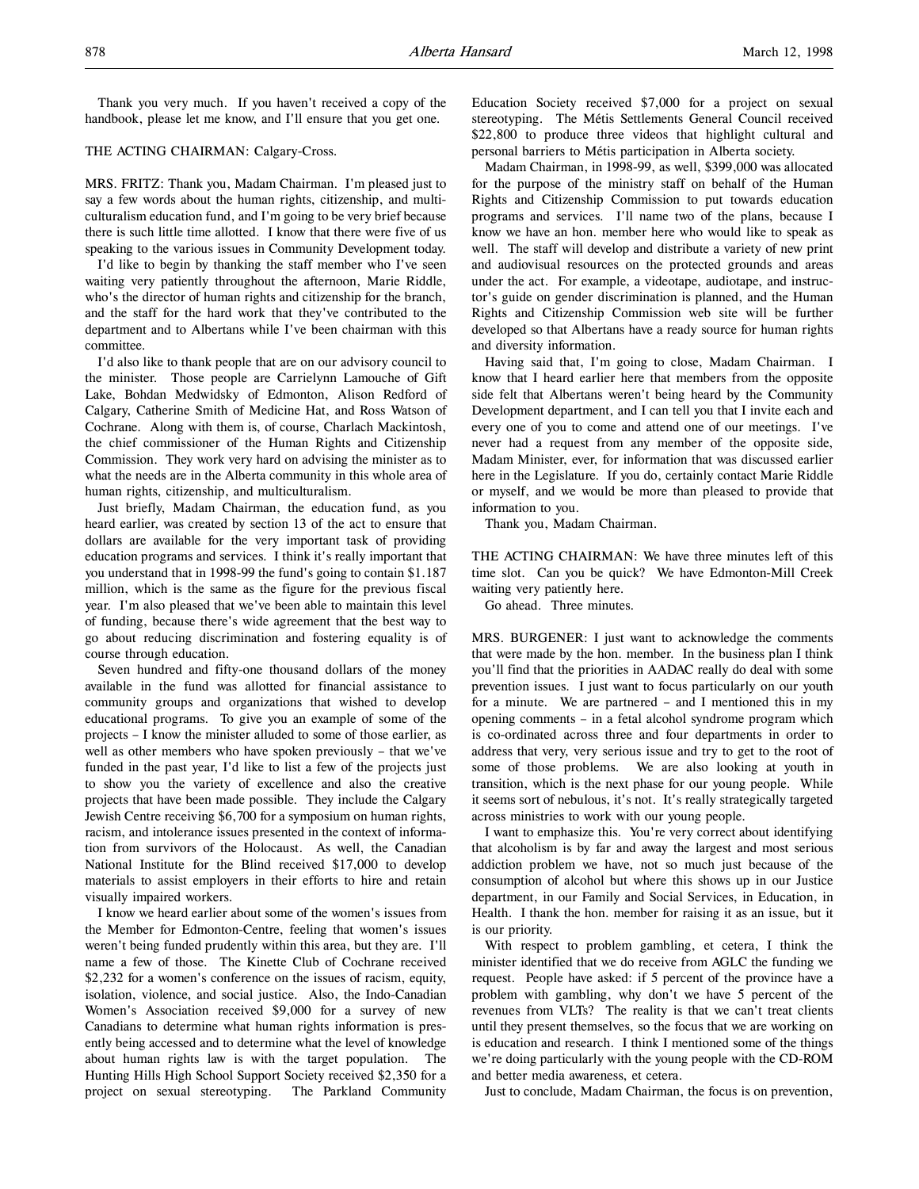Thank you very much. If you haven't received a copy of the handbook, please let me know, and I'll ensure that you get one.

# THE ACTING CHAIRMAN: Calgary-Cross.

MRS. FRITZ: Thank you, Madam Chairman. I'm pleased just to say a few words about the human rights, citizenship, and multiculturalism education fund, and I'm going to be very brief because there is such little time allotted. I know that there were five of us speaking to the various issues in Community Development today.

I'd like to begin by thanking the staff member who I've seen waiting very patiently throughout the afternoon, Marie Riddle, who's the director of human rights and citizenship for the branch, and the staff for the hard work that they've contributed to the department and to Albertans while I've been chairman with this committee.

I'd also like to thank people that are on our advisory council to the minister. Those people are Carrielynn Lamouche of Gift Lake, Bohdan Medwidsky of Edmonton, Alison Redford of Calgary, Catherine Smith of Medicine Hat, and Ross Watson of Cochrane. Along with them is, of course, Charlach Mackintosh, the chief commissioner of the Human Rights and Citizenship Commission. They work very hard on advising the minister as to what the needs are in the Alberta community in this whole area of human rights, citizenship, and multiculturalism.

Just briefly, Madam Chairman, the education fund, as you heard earlier, was created by section 13 of the act to ensure that dollars are available for the very important task of providing education programs and services. I think it's really important that you understand that in 1998-99 the fund's going to contain \$1.187 million, which is the same as the figure for the previous fiscal year. I'm also pleased that we've been able to maintain this level of funding, because there's wide agreement that the best way to go about reducing discrimination and fostering equality is of course through education.

Seven hundred and fifty-one thousand dollars of the money available in the fund was allotted for financial assistance to community groups and organizations that wished to develop educational programs. To give you an example of some of the projects – I know the minister alluded to some of those earlier, as well as other members who have spoken previously – that we've funded in the past year, I'd like to list a few of the projects just to show you the variety of excellence and also the creative projects that have been made possible. They include the Calgary Jewish Centre receiving \$6,700 for a symposium on human rights, racism, and intolerance issues presented in the context of information from survivors of the Holocaust. As well, the Canadian National Institute for the Blind received \$17,000 to develop materials to assist employers in their efforts to hire and retain visually impaired workers.

I know we heard earlier about some of the women's issues from the Member for Edmonton-Centre, feeling that women's issues weren't being funded prudently within this area, but they are. I'll name a few of those. The Kinette Club of Cochrane received \$2,232 for a women's conference on the issues of racism, equity, isolation, violence, and social justice. Also, the Indo-Canadian Women's Association received \$9,000 for a survey of new Canadians to determine what human rights information is presently being accessed and to determine what the level of knowledge about human rights law is with the target population. The Hunting Hills High School Support Society received \$2,350 for a project on sexual stereotyping. The Parkland Community

Education Society received \$7,000 for a project on sexual stereotyping. The Métis Settlements General Council received \$22,800 to produce three videos that highlight cultural and personal barriers to Métis participation in Alberta society.

Madam Chairman, in 1998-99, as well, \$399,000 was allocated for the purpose of the ministry staff on behalf of the Human Rights and Citizenship Commission to put towards education programs and services. I'll name two of the plans, because I know we have an hon. member here who would like to speak as well. The staff will develop and distribute a variety of new print and audiovisual resources on the protected grounds and areas under the act. For example, a videotape, audiotape, and instructor's guide on gender discrimination is planned, and the Human Rights and Citizenship Commission web site will be further developed so that Albertans have a ready source for human rights and diversity information.

Having said that, I'm going to close, Madam Chairman. I know that I heard earlier here that members from the opposite side felt that Albertans weren't being heard by the Community Development department, and I can tell you that I invite each and every one of you to come and attend one of our meetings. I've never had a request from any member of the opposite side, Madam Minister, ever, for information that was discussed earlier here in the Legislature. If you do, certainly contact Marie Riddle or myself, and we would be more than pleased to provide that information to you.

Thank you, Madam Chairman.

THE ACTING CHAIRMAN: We have three minutes left of this time slot. Can you be quick? We have Edmonton-Mill Creek waiting very patiently here.

Go ahead. Three minutes.

MRS. BURGENER: I just want to acknowledge the comments that were made by the hon. member. In the business plan I think you'll find that the priorities in AADAC really do deal with some prevention issues. I just want to focus particularly on our youth for a minute. We are partnered – and I mentioned this in my opening comments – in a fetal alcohol syndrome program which is co-ordinated across three and four departments in order to address that very, very serious issue and try to get to the root of some of those problems. We are also looking at youth in transition, which is the next phase for our young people. While it seems sort of nebulous, it's not. It's really strategically targeted across ministries to work with our young people.

I want to emphasize this. You're very correct about identifying that alcoholism is by far and away the largest and most serious addiction problem we have, not so much just because of the consumption of alcohol but where this shows up in our Justice department, in our Family and Social Services, in Education, in Health. I thank the hon. member for raising it as an issue, but it is our priority.

With respect to problem gambling, et cetera, I think the minister identified that we do receive from AGLC the funding we request. People have asked: if 5 percent of the province have a problem with gambling, why don't we have 5 percent of the revenues from VLTs? The reality is that we can't treat clients until they present themselves, so the focus that we are working on is education and research. I think I mentioned some of the things we're doing particularly with the young people with the CD-ROM and better media awareness, et cetera.

Just to conclude, Madam Chairman, the focus is on prevention,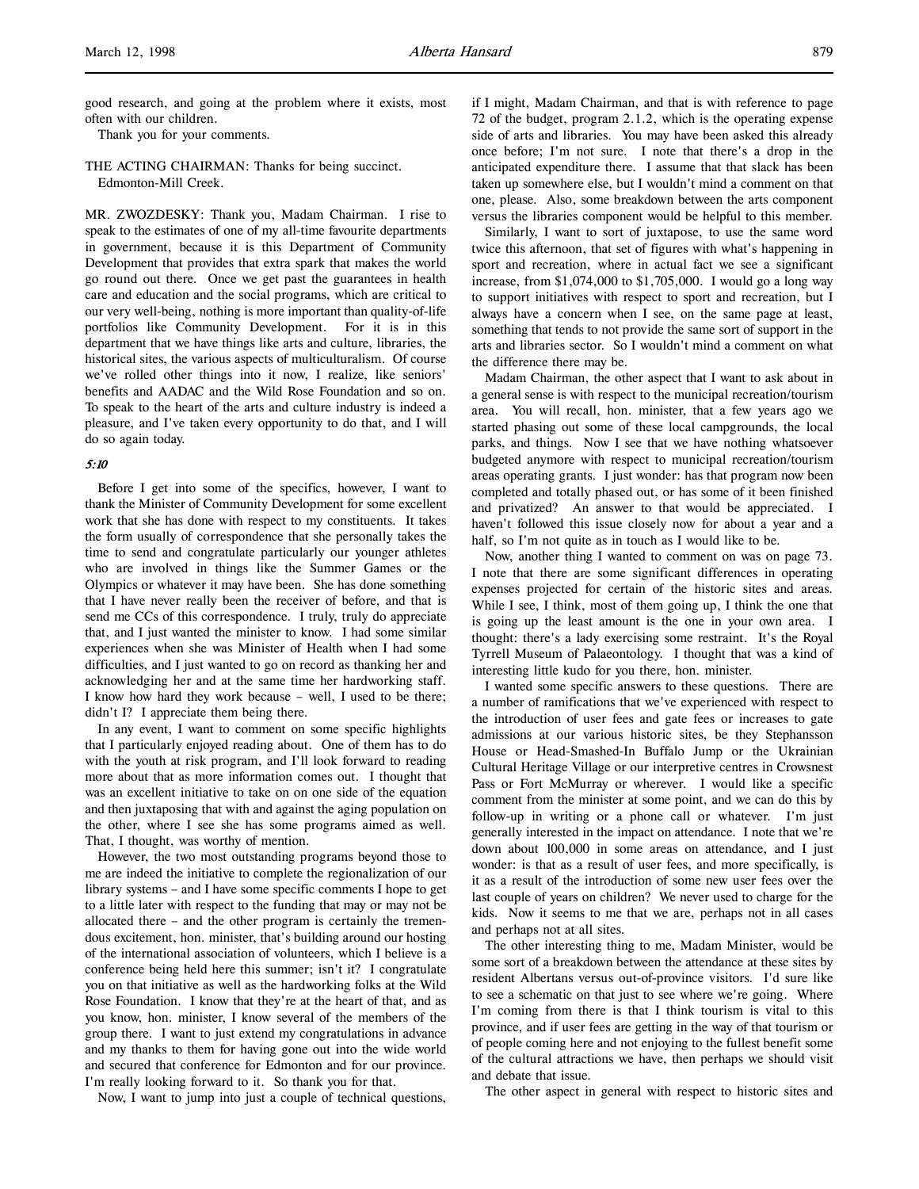good research, and going at the problem where it exists, most often with our children.

Thank you for your comments.

THE ACTING CHAIRMAN: Thanks for being succinct. Edmonton-Mill Creek.

MR. ZWOZDESKY: Thank you, Madam Chairman. I rise to speak to the estimates of one of my all-time favourite departments in government, because it is this Department of Community Development that provides that extra spark that makes the world go round out there. Once we get past the guarantees in health care and education and the social programs, which are critical to our very well-being, nothing is more important than quality-of-life portfolios like Community Development. For it is in this department that we have things like arts and culture, libraries, the historical sites, the various aspects of multiculturalism. Of course we've rolled other things into it now, I realize, like seniors' benefits and AADAC and the Wild Rose Foundation and so on. To speak to the heart of the arts and culture industry is indeed a pleasure, and I've taken every opportunity to do that, and I will do so again today.

### 5:10

Before I get into some of the specifics, however, I want to thank the Minister of Community Development for some excellent work that she has done with respect to my constituents. It takes the form usually of correspondence that she personally takes the time to send and congratulate particularly our younger athletes who are involved in things like the Summer Games or the Olympics or whatever it may have been. She has done something that I have never really been the receiver of before, and that is send me CCs of this correspondence. I truly, truly do appreciate that, and I just wanted the minister to know. I had some similar experiences when she was Minister of Health when I had some difficulties, and I just wanted to go on record as thanking her and acknowledging her and at the same time her hardworking staff. I know how hard they work because – well, I used to be there; didn't I? I appreciate them being there.

In any event, I want to comment on some specific highlights that I particularly enjoyed reading about. One of them has to do with the youth at risk program, and I'll look forward to reading more about that as more information comes out. I thought that was an excellent initiative to take on on one side of the equation and then juxtaposing that with and against the aging population on the other, where I see she has some programs aimed as well. That, I thought, was worthy of mention.

However, the two most outstanding programs beyond those to me are indeed the initiative to complete the regionalization of our library systems – and I have some specific comments I hope to get to a little later with respect to the funding that may or may not be allocated there – and the other program is certainly the tremendous excitement, hon. minister, that's building around our hosting of the international association of volunteers, which I believe is a conference being held here this summer; isn't it? I congratulate you on that initiative as well as the hardworking folks at the Wild Rose Foundation. I know that they're at the heart of that, and as you know, hon. minister, I know several of the members of the group there. I want to just extend my congratulations in advance and my thanks to them for having gone out into the wide world and secured that conference for Edmonton and for our province. I'm really looking forward to it. So thank you for that.

Now, I want to jump into just a couple of technical questions,

if I might, Madam Chairman, and that is with reference to page 72 of the budget, program 2.1.2, which is the operating expense side of arts and libraries. You may have been asked this already once before; I'm not sure. I note that there's a drop in the anticipated expenditure there. I assume that that slack has been taken up somewhere else, but I wouldn't mind a comment on that one, please. Also, some breakdown between the arts component versus the libraries component would be helpful to this member.

Similarly, I want to sort of juxtapose, to use the same word twice this afternoon, that set of figures with what's happening in sport and recreation, where in actual fact we see a significant increase, from \$1,074,000 to \$1,705,000. I would go a long way to support initiatives with respect to sport and recreation, but I always have a concern when I see, on the same page at least, something that tends to not provide the same sort of support in the arts and libraries sector. So I wouldn't mind a comment on what the difference there may be.

Madam Chairman, the other aspect that I want to ask about in a general sense is with respect to the municipal recreation/tourism area. You will recall, hon. minister, that a few years ago we started phasing out some of these local campgrounds, the local parks, and things. Now I see that we have nothing whatsoever budgeted anymore with respect to municipal recreation/tourism areas operating grants. I just wonder: has that program now been completed and totally phased out, or has some of it been finished and privatized? An answer to that would be appreciated. I haven't followed this issue closely now for about a year and a half, so I'm not quite as in touch as I would like to be.

Now, another thing I wanted to comment on was on page 73. I note that there are some significant differences in operating expenses projected for certain of the historic sites and areas. While I see, I think, most of them going up, I think the one that is going up the least amount is the one in your own area. I thought: there's a lady exercising some restraint. It's the Royal Tyrrell Museum of Palaeontology. I thought that was a kind of interesting little kudo for you there, hon. minister.

I wanted some specific answers to these questions. There are a number of ramifications that we've experienced with respect to the introduction of user fees and gate fees or increases to gate admissions at our various historic sites, be they Stephansson House or Head-Smashed-In Buffalo Jump or the Ukrainian Cultural Heritage Village or our interpretive centres in Crowsnest Pass or Fort McMurray or wherever. I would like a specific comment from the minister at some point, and we can do this by follow-up in writing or a phone call or whatever. I'm just generally interested in the impact on attendance. I note that we're down about 100,000 in some areas on attendance, and I just wonder: is that as a result of user fees, and more specifically, is it as a result of the introduction of some new user fees over the last couple of years on children? We never used to charge for the kids. Now it seems to me that we are, perhaps not in all cases and perhaps not at all sites.

The other interesting thing to me, Madam Minister, would be some sort of a breakdown between the attendance at these sites by resident Albertans versus out-of-province visitors. I'd sure like to see a schematic on that just to see where we're going. Where I'm coming from there is that I think tourism is vital to this province, and if user fees are getting in the way of that tourism or of people coming here and not enjoying to the fullest benefit some of the cultural attractions we have, then perhaps we should visit and debate that issue.

The other aspect in general with respect to historic sites and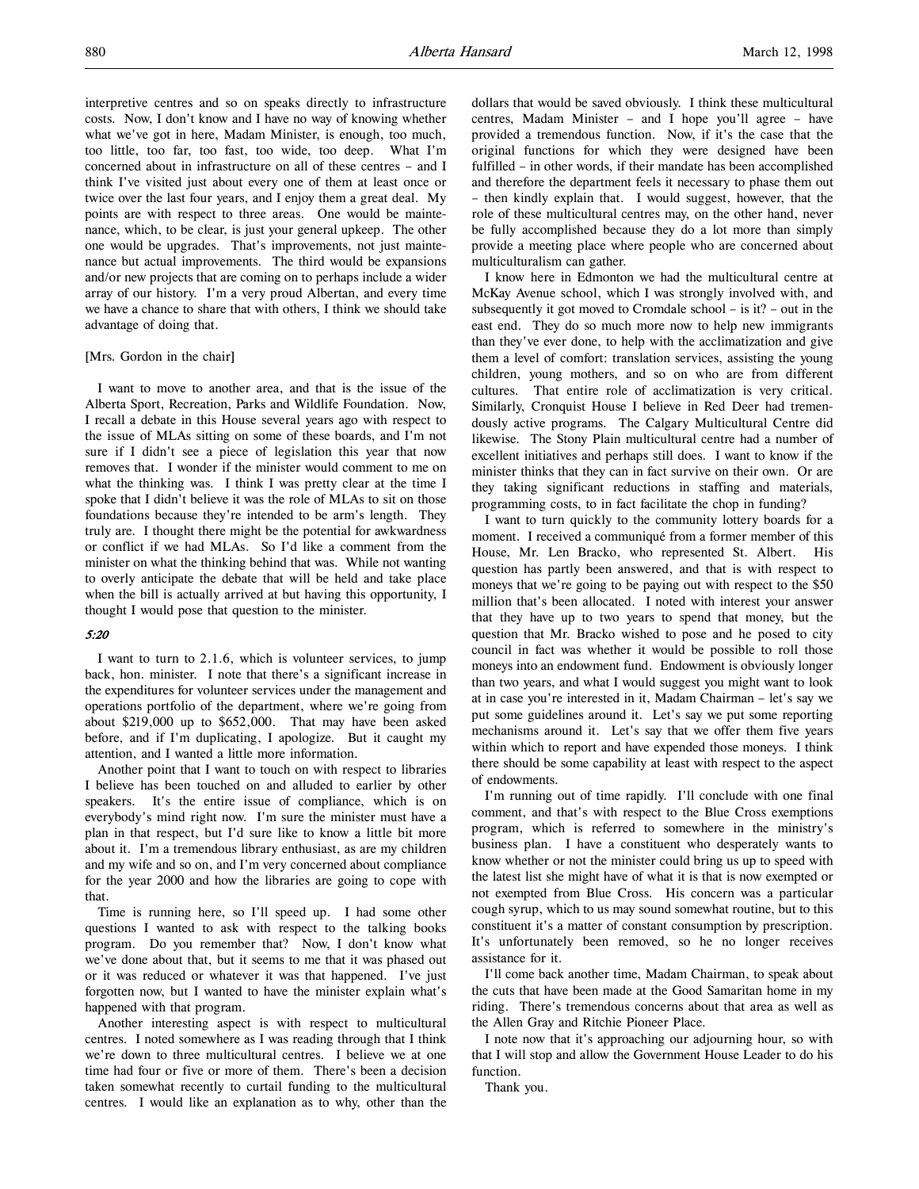interpretive centres and so on speaks directly to infrastructure costs. Now, I don't know and I have no way of knowing whether what we've got in here, Madam Minister, is enough, too much, too little, too far, too fast, too wide, too deep. What I'm concerned about in infrastructure on all of these centres – and I think I've visited just about every one of them at least once or twice over the last four years, and I enjoy them a great deal. My points are with respect to three areas. One would be maintenance, which, to be clear, is just your general upkeep. The other one would be upgrades. That's improvements, not just maintenance but actual improvements. The third would be expansions and/or new projects that are coming on to perhaps include a wider array of our history. I'm a very proud Albertan, and every time we have a chance to share that with others, I think we should take advantage of doing that.

### [Mrs. Gordon in the chair]

I want to move to another area, and that is the issue of the Alberta Sport, Recreation, Parks and Wildlife Foundation. Now, I recall a debate in this House several years ago with respect to the issue of MLAs sitting on some of these boards, and I'm not sure if I didn't see a piece of legislation this year that now removes that. I wonder if the minister would comment to me on what the thinking was. I think I was pretty clear at the time I spoke that I didn't believe it was the role of MLAs to sit on those foundations because they're intended to be arm's length. They truly are. I thought there might be the potential for awkwardness or conflict if we had MLAs. So I'd like a comment from the minister on what the thinking behind that was. While not wanting to overly anticipate the debate that will be held and take place when the bill is actually arrived at but having this opportunity, I thought I would pose that question to the minister.

### 5:20

I want to turn to 2.1.6, which is volunteer services, to jump back, hon. minister. I note that there's a significant increase in the expenditures for volunteer services under the management and operations portfolio of the department, where we're going from about \$219,000 up to \$652,000. That may have been asked before, and if I'm duplicating, I apologize. But it caught my attention, and I wanted a little more information.

Another point that I want to touch on with respect to libraries I believe has been touched on and alluded to earlier by other speakers. It's the entire issue of compliance, which is on everybody's mind right now. I'm sure the minister must have a plan in that respect, but I'd sure like to know a little bit more about it. I'm a tremendous library enthusiast, as are my children and my wife and so on, and I'm very concerned about compliance for the year 2000 and how the libraries are going to cope with that.

Time is running here, so I'll speed up. I had some other questions I wanted to ask with respect to the talking books program. Do you remember that? Now, I don't know what we've done about that, but it seems to me that it was phased out or it was reduced or whatever it was that happened. I've just forgotten now, but I wanted to have the minister explain what's happened with that program.

Another interesting aspect is with respect to multicultural centres. I noted somewhere as I was reading through that I think we're down to three multicultural centres. I believe we at one time had four or five or more of them. There's been a decision taken somewhat recently to curtail funding to the multicultural centres. I would like an explanation as to why, other than the

dollars that would be saved obviously. I think these multicultural centres, Madam Minister – and I hope you'll agree – have provided a tremendous function. Now, if it's the case that the original functions for which they were designed have been fulfilled – in other words, if their mandate has been accomplished and therefore the department feels it necessary to phase them out – then kindly explain that. I would suggest, however, that the role of these multicultural centres may, on the other hand, never be fully accomplished because they do a lot more than simply provide a meeting place where people who are concerned about multiculturalism can gather.

I know here in Edmonton we had the multicultural centre at McKay Avenue school, which I was strongly involved with, and subsequently it got moved to Cromdale school – is it? – out in the east end. They do so much more now to help new immigrants than they've ever done, to help with the acclimatization and give them a level of comfort: translation services, assisting the young children, young mothers, and so on who are from different cultures. That entire role of acclimatization is very critical. Similarly, Cronquist House I believe in Red Deer had tremendously active programs. The Calgary Multicultural Centre did likewise. The Stony Plain multicultural centre had a number of excellent initiatives and perhaps still does. I want to know if the minister thinks that they can in fact survive on their own. Or are they taking significant reductions in staffing and materials, programming costs, to in fact facilitate the chop in funding?

I want to turn quickly to the community lottery boards for a moment. I received a communiqué from a former member of this House, Mr. Len Bracko, who represented St. Albert. His question has partly been answered, and that is with respect to moneys that we're going to be paying out with respect to the \$50 million that's been allocated. I noted with interest your answer that they have up to two years to spend that money, but the question that Mr. Bracko wished to pose and he posed to city council in fact was whether it would be possible to roll those moneys into an endowment fund. Endowment is obviously longer than two years, and what I would suggest you might want to look at in case you're interested in it, Madam Chairman – let's say we put some guidelines around it. Let's say we put some reporting mechanisms around it. Let's say that we offer them five years within which to report and have expended those moneys. I think there should be some capability at least with respect to the aspect of endowments.

I'm running out of time rapidly. I'll conclude with one final comment, and that's with respect to the Blue Cross exemptions program, which is referred to somewhere in the ministry's business plan. I have a constituent who desperately wants to know whether or not the minister could bring us up to speed with the latest list she might have of what it is that is now exempted or not exempted from Blue Cross. His concern was a particular cough syrup, which to us may sound somewhat routine, but to this constituent it's a matter of constant consumption by prescription. It's unfortunately been removed, so he no longer receives assistance for it.

I'll come back another time, Madam Chairman, to speak about the cuts that have been made at the Good Samaritan home in my riding. There's tremendous concerns about that area as well as the Allen Gray and Ritchie Pioneer Place.

I note now that it's approaching our adjourning hour, so with that I will stop and allow the Government House Leader to do his function.

Thank you.